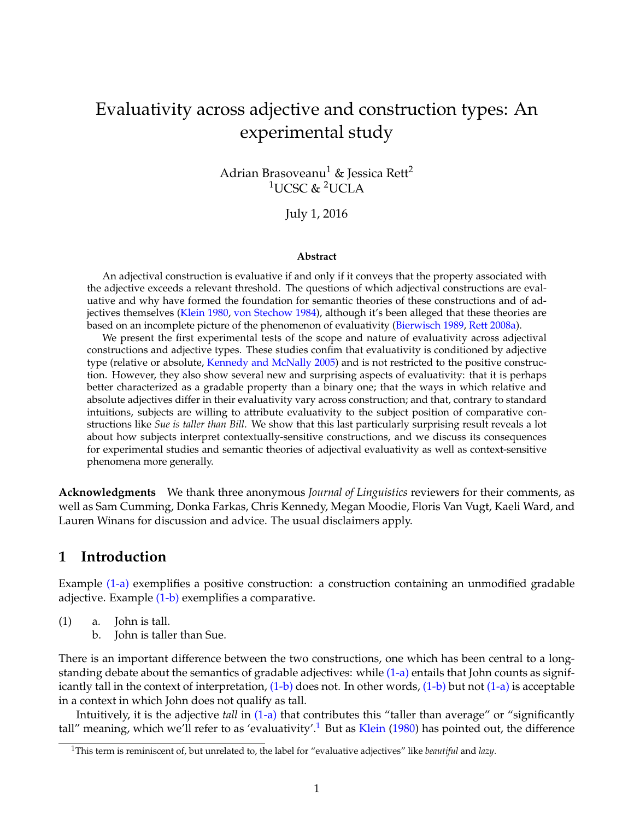# Evaluativity across adjective and construction types: An experimental study

Adrian Brasoveanu<sup>1</sup> & Jessica Rett<sup>2</sup>  $1$ UCSC &  $2$ UCLA

July 1, 2016

#### **Abstract**

An adjectival construction is evaluative if and only if it conveys that the property associated with the adjective exceeds a relevant threshold. The questions of which adjectival constructions are evaluative and why have formed the foundation for semantic theories of these constructions and of adjectives themselves [\(Klein](#page-33-0) [1980,](#page-33-0) [von Stechow](#page-34-0) [1984\)](#page-34-0), although it's been alleged that these theories are based on an incomplete picture of the phenomenon of evaluativity [\(Bierwisch](#page-32-0) [1989,](#page-32-0) [Rett](#page-34-1) [2008a\)](#page-34-1).

We present the first experimental tests of the scope and nature of evaluativity across adjectival constructions and adjective types. These studies confim that evaluativity is conditioned by adjective type (relative or absolute, [Kennedy and McNally](#page-33-1) [2005\)](#page-33-1) and is not restricted to the positive construction. However, they also show several new and surprising aspects of evaluativity: that it is perhaps better characterized as a gradable property than a binary one; that the ways in which relative and absolute adjectives differ in their evaluativity vary across construction; and that, contrary to standard intuitions, subjects are willing to attribute evaluativity to the subject position of comparative constructions like *Sue is taller than Bill*. We show that this last particularly surprising result reveals a lot about how subjects interpret contextually-sensitive constructions, and we discuss its consequences for experimental studies and semantic theories of adjectival evaluativity as well as context-sensitive phenomena more generally.

**Acknowledgments** We thank three anonymous *Journal of Linguistics* reviewers for their comments, as well as Sam Cumming, Donka Farkas, Chris Kennedy, Megan Moodie, Floris Van Vugt, Kaeli Ward, and Lauren Winans for discussion and advice. The usual disclaimers apply.

### **1 Introduction**

Example [\(1-a\)](#page-0-0) exemplifies a positive construction: a construction containing an unmodified gradable adjective. Example  $(1-b)$  exemplifies a comparative.

<span id="page-0-1"></span><span id="page-0-0"></span>(1) a. John is tall.

b. John is taller than Sue.

There is an important difference between the two constructions, one which has been central to a longstanding debate about the semantics of gradable adjectives: while [\(1-a\)](#page-0-0) entails that John counts as significantly tall in the context of interpretation,  $(1-b)$  does not. In other words,  $(1-b)$  but not  $(1-a)$  is acceptable in a context in which John does not qualify as tall.

Intuitively, it is the adjective *tall* in [\(1-a\)](#page-0-0) that contributes this "taller than average" or "significantly tall" meaning, which we'll refer to as 'evaluativity'.<sup>[1](#page-0-2)</sup> But as [Klein](#page-33-0) [\(1980\)](#page-33-0) has pointed out, the difference

<span id="page-0-2"></span><sup>1</sup>This term is reminiscent of, but unrelated to, the label for "evaluative adjectives" like *beautiful* and *lazy*.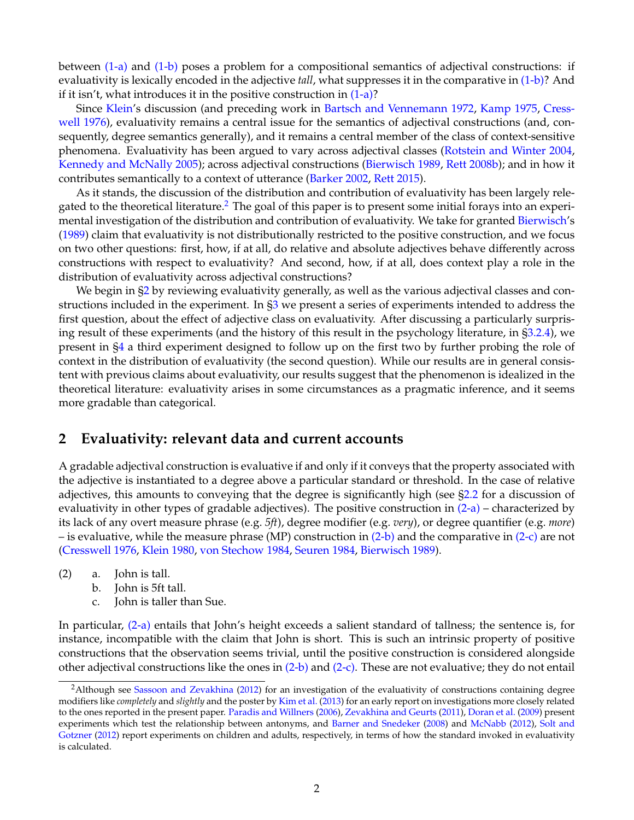between [\(1-a\)](#page-0-0) and [\(1-b\)](#page-0-1) poses a problem for a compositional semantics of adjectival constructions: if evaluativity is lexically encoded in the adjective *tall*, what suppresses it in the comparative in [\(1-b\)?](#page-0-1) And if it isn't, what introduces it in the positive construction in  $(1-a)$ ?

Since [Klein'](#page-33-0)s discussion (and preceding work in [Bartsch and Vennemann](#page-32-1) [1972,](#page-32-1) [Kamp](#page-33-2) [1975,](#page-33-2) [Cress](#page-32-2)[well](#page-32-2) [1976\)](#page-32-2), evaluativity remains a central issue for the semantics of adjectival constructions (and, consequently, degree semantics generally), and it remains a central member of the class of context-sensitive phenomena. Evaluativity has been argued to vary across adjectival classes [\(Rotstein and Winter](#page-34-2) [2004,](#page-34-2) [Kennedy and McNally](#page-33-1) [2005\)](#page-33-1); across adjectival constructions [\(Bierwisch](#page-32-0) [1989,](#page-32-0) [Rett](#page-34-3) [2008b\)](#page-34-3); and in how it contributes semantically to a context of utterance [\(Barker](#page-32-3) [2002,](#page-32-3) [Rett](#page-34-4) [2015\)](#page-34-4).

As it stands, the discussion of the distribution and contribution of evaluativity has been largely rele-gated to the theoretical literature.<sup>[2](#page-1-0)</sup> The goal of this paper is to present some initial forays into an experi-mental investigation of the distribution and contribution of evaluativity. We take for granted [Bierwisch'](#page-32-0)s [\(1989\)](#page-32-0) claim that evaluativity is not distributionally restricted to the positive construction, and we focus on two other questions: first, how, if at all, do relative and absolute adjectives behave differently across constructions with respect to evaluativity? And second, how, if at all, does context play a role in the distribution of evaluativity across adjectival constructions?

We begin in [§2](#page-1-1) by reviewing evaluativity generally, as well as the various adjectival classes and constructions included in the experiment. In [§3](#page-9-0) we present a series of experiments intended to address the first question, about the effect of adjective class on evaluativity. After discussing a particularly surprising result of these experiments (and the history of this result in the psychology literature, in [§3.2.4\)](#page-22-0), we present in [§4](#page-26-0) a third experiment designed to follow up on the first two by further probing the role of context in the distribution of evaluativity (the second question). While our results are in general consistent with previous claims about evaluativity, our results suggest that the phenomenon is idealized in the theoretical literature: evaluativity arises in some circumstances as a pragmatic inference, and it seems more gradable than categorical.

### <span id="page-1-1"></span>**2 Evaluativity: relevant data and current accounts**

A gradable adjectival construction is evaluative if and only if it conveys that the property associated with the adjective is instantiated to a degree above a particular standard or threshold. In the case of relative adjectives, this amounts to conveying that the degree is significantly high (see [§2.2](#page-5-0) for a discussion of evaluativity in other types of gradable adjectives). The positive construction in [\(2-a\)](#page-1-2) – characterized by its lack of any overt measure phrase (e.g. *5ft*), degree modifier (e.g. *very*), or degree quantifier (e.g. *more*) – is evaluative, while the measure phrase (MP) construction in [\(2-b\)](#page-1-3) and the comparative in [\(2-c\)](#page-1-4) are not [\(Cresswell](#page-32-2) [1976,](#page-32-2) [Klein](#page-33-0) [1980,](#page-33-0) [von Stechow](#page-34-0) [1984,](#page-34-0) [Seuren](#page-34-5) [1984,](#page-34-5) [Bierwisch](#page-32-0) [1989\)](#page-32-0).

- <span id="page-1-5"></span><span id="page-1-4"></span><span id="page-1-3"></span><span id="page-1-2"></span>(2) a. John is tall.
	- b. John is 5ft tall.
	- c. John is taller than Sue.

In particular, [\(2-a\)](#page-1-2) entails that John's height exceeds a salient standard of tallness; the sentence is, for instance, incompatible with the claim that John is short. This is such an intrinsic property of positive constructions that the observation seems trivial, until the positive construction is considered alongside other adjectival constructions like the ones in  $(2-b)$  and  $(2-c)$ . These are not evaluative; they do not entail

<span id="page-1-0"></span><sup>&</sup>lt;sup>2</sup>Although see [Sassoon and Zevakhina](#page-34-6) [\(2012\)](#page-34-6) for an investigation of the evaluativity of constructions containing degree modifiers like *completely* and *slightly* and the poster by [Kim et al.](#page-33-3) [\(2013\)](#page-33-3) for an early report on investigations more closely related to the ones reported in the present paper. [Paradis and Willners](#page-34-7) [\(2006\)](#page-34-7), [Zevakhina and Geurts](#page-35-0) [\(2011\)](#page-35-0), [Doran et al.](#page-33-4) [\(2009\)](#page-33-4) present experiments which test the relationship between antonyms, and [Barner and Snedeker](#page-32-4) [\(2008\)](#page-32-4) and [McNabb](#page-33-5) [\(2012\)](#page-33-5), [Solt and](#page-34-8) [Gotzner](#page-34-8) [\(2012\)](#page-34-8) report experiments on children and adults, respectively, in terms of how the standard invoked in evaluativity is calculated.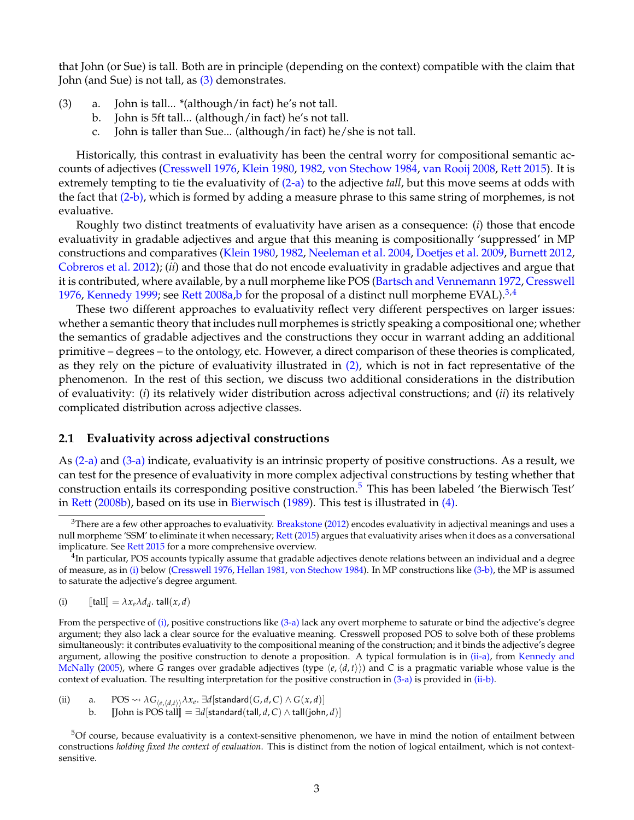that John (or Sue) is tall. Both are in principle (depending on the context) compatible with the claim that John (and Sue) is not tall, as [\(3\)](#page-2-0) demonstrates.

- <span id="page-2-7"></span><span id="page-2-3"></span><span id="page-2-0"></span>(3) a. John is tall...  $*(\text{although/in fact})$  he's not tall.
	- b. John is 5ft tall... (although/in fact) he's not tall.
	- c. John is taller than Sue... (although/in fact) he/she is not tall.

Historically, this contrast in evaluativity has been the central worry for compositional semantic accounts of adjectives [\(Cresswell](#page-32-2) [1976,](#page-32-2) [Klein](#page-33-0) [1980,](#page-33-0) [1982,](#page-33-6) [von Stechow](#page-34-0) [1984,](#page-34-0) [van Rooij](#page-34-9) [2008,](#page-34-9) [Rett](#page-34-4) [2015\)](#page-34-4). It is extremely tempting to tie the evaluativity of [\(2-a\)](#page-1-2) to the adjective *tall*, but this move seems at odds with the fact that [\(2-b\),](#page-1-3) which is formed by adding a measure phrase to this same string of morphemes, is not evaluative.

Roughly two distinct treatments of evaluativity have arisen as a consequence: (*i*) those that encode evaluativity in gradable adjectives and argue that this meaning is compositionally 'suppressed' in MP constructions and comparatives [\(Klein](#page-33-0) [1980,](#page-33-0) [1982,](#page-33-6) [Neeleman et al.](#page-34-10) [2004,](#page-34-10) [Doetjes et al.](#page-33-7) [2009,](#page-33-7) [Burnett](#page-32-5) [2012,](#page-32-5) [Cobreros et al.](#page-32-6) [2012\)](#page-32-6); (*ii*) and those that do not encode evaluativity in gradable adjectives and argue that it is contributed, where available, by a null morpheme like POS [\(Bartsch and Vennemann](#page-32-1) [1972,](#page-32-1) [Cresswell](#page-32-2) [1976,](#page-32-2) [Kennedy](#page-33-8) [1999;](#page-33-8) see [Rett](#page-34-1) [2008a](#page-34-1)[,b](#page-34-3) for the proposal of a distinct null morpheme EVAL).<sup>[3,](#page-2-1)[4](#page-2-2)</sup>

These two different approaches to evaluativity reflect very different perspectives on larger issues: whether a semantic theory that includes null morphemes is strictly speaking a compositional one; whether the semantics of gradable adjectives and the constructions they occur in warrant adding an additional primitive – degrees – to the ontology, etc. However, a direct comparison of these theories is complicated, as they rely on the picture of evaluativity illustrated in  $(2)$ , which is not in fact representative of the phenomenon. In the rest of this section, we discuss two additional considerations in the distribution of evaluativity: (*i*) its relatively wider distribution across adjectival constructions; and (*ii*) its relatively complicated distribution across adjective classes.

### <span id="page-2-10"></span>**2.1 Evaluativity across adjectival constructions**

As [\(2-a\)](#page-1-2) and [\(3-a\)](#page-2-3) indicate, evaluativity is an intrinsic property of positive constructions. As a result, we can test for the presence of evaluativity in more complex adjectival constructions by testing whether that construction entails its corresponding positive construction.<sup>[5](#page-2-4)</sup> This has been labeled 'the Bierwisch Test' in [Rett](#page-34-3) [\(2008b\)](#page-34-3), based on its use in [Bierwisch](#page-32-0) [\(1989\)](#page-32-0). This test is illustrated in [\(4\).](#page-2-5)

<span id="page-2-6"></span>(i) 
$$
\llbracket \text{tall} \rrbracket = \lambda x_e \lambda d_d. \text{ tall}(x, d)
$$

From the perspective of [\(i\),](#page-2-6) positive constructions like [\(3-a\)](#page-2-3) lack any overt morpheme to saturate or bind the adjective's degree argument; they also lack a clear source for the evaluative meaning. Cresswell proposed POS to solve both of these problems simultaneously: it contributes evaluativity to the compositional meaning of the construction; and it binds the adjective's degree argument, allowing the positive construction to denote a proposition. A typical formulation is in [\(ii-a\),](#page-2-8) from [Kennedy and](#page-33-1) [McNally](#page-33-1) [\(2005\)](#page-33-1), where *G* ranges over gradable adjectives (type  $\langle e, \langle d, t \rangle$ ) and *C* is a pragmatic variable whose value is the context of evaluation. The resulting interpretation for the positive construction in [\(3-a\)](#page-2-3) is provided in [\(ii-b\).](#page-2-9)

<span id="page-2-9"></span><span id="page-2-8"></span>(ii) a. POS  $\rightsquigarrow \lambda G_{\langle e, \langle d, t \rangle} \setminus \lambda x_e$ .  $\exists d[\text{standard}(G, d, C) \land G(x, d)]$ b.  $[[\text{John is POS tall}] = \exists d[\text{standard}(\text{tall}, d, C) \wedge \text{tall}(\text{john}, d)]$ 

<span id="page-2-4"></span><sup>5</sup>Of course, because evaluativity is a context-sensitive phenomenon, we have in mind the notion of entailment between constructions *holding fixed the context of evaluation*. This is distinct from the notion of logical entailment, which is not contextsensitive.

<span id="page-2-5"></span><span id="page-2-1"></span> $3$ There are a few other approaches to evaluativity. [Breakstone](#page-32-7) [\(2012\)](#page-32-7) encodes evaluativity in adjectival meanings and uses a null morpheme 'SSM' to eliminate it when necessary; [Rett](#page-34-4) [\(2015\)](#page-34-4) argues that evaluativity arises when it does as a conversational implicature. See [Rett](#page-34-4) [2015](#page-34-4) for a more comprehensive overview.

<span id="page-2-2"></span> $^4$ In particular, POS accounts typically assume that gradable adjectives denote relations between an individual and a degree of measure, as in [\(i\)](#page-2-6) below [\(Cresswell](#page-32-2) [1976,](#page-32-2) [Hellan](#page-33-9) [1981,](#page-33-9) [von Stechow](#page-34-0) [1984\)](#page-34-0). In MP constructions like [\(3-b\),](#page-2-7) the MP is assumed to saturate the adjective's degree argument.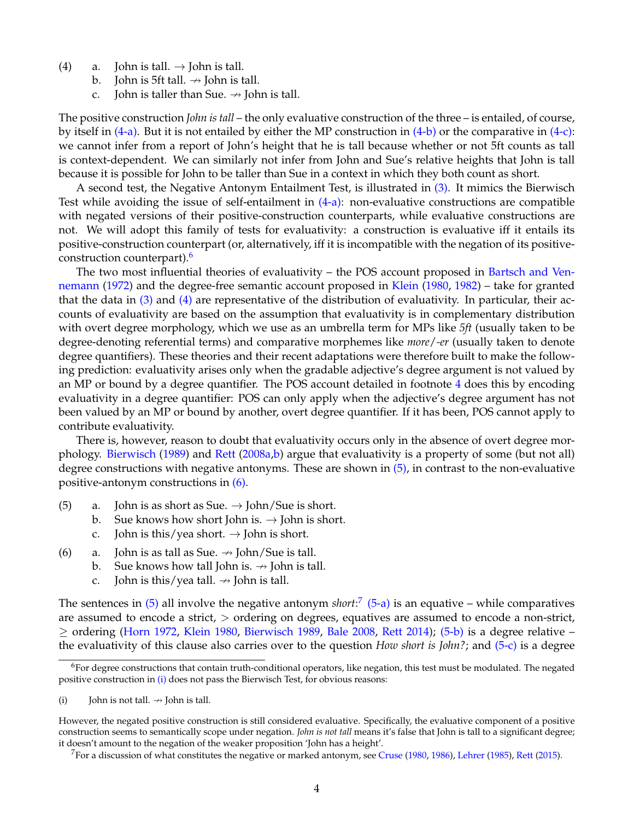- <span id="page-3-2"></span><span id="page-3-1"></span><span id="page-3-0"></span>(4) a. John is tall.  $\rightarrow$  John is tall.
	- b. John is 5ft tall.  $\rightarrow$  John is tall.
	- c. John is taller than Sue.  $\rightarrow$  John is tall.

The positive construction *John is tall* – the only evaluative construction of the three – is entailed, of course, by itself in  $(4-a)$ . But it is not entailed by either the MP construction in  $(4-b)$  or the comparative in  $(4-c)$ : we cannot infer from a report of John's height that he is tall because whether or not 5ft counts as tall is context-dependent. We can similarly not infer from John and Sue's relative heights that John is tall because it is possible for John to be taller than Sue in a context in which they both count as short.

A second test, the Negative Antonym Entailment Test, is illustrated in [\(3\).](#page-2-0) It mimics the Bierwisch Test while avoiding the issue of self-entailment in [\(4-a\):](#page-3-0) non-evaluative constructions are compatible with negated versions of their positive-construction counterparts, while evaluative constructions are not. We will adopt this family of tests for evaluativity: a construction is evaluative iff it entails its positive-construction counterpart (or, alternatively, iff it is incompatible with the negation of its positive-construction counterpart).<sup>[6](#page-3-3)</sup>

The two most influential theories of evaluativity – the POS account proposed in [Bartsch and Ven](#page-32-1)[nemann](#page-32-1) [\(1972\)](#page-32-1) and the degree-free semantic account proposed in [Klein](#page-33-0) [\(1980,](#page-33-0) [1982\)](#page-33-6) – take for granted that the data in  $(3)$  and  $(4)$  are representative of the distribution of evaluativity. In particular, their accounts of evaluativity are based on the assumption that evaluativity is in complementary distribution with overt degree morphology, which we use as an umbrella term for MPs like *5ft* (usually taken to be degree-denoting referential terms) and comparative morphemes like *more*/*-er* (usually taken to denote degree quantifiers). These theories and their recent adaptations were therefore built to make the following prediction: evaluativity arises only when the gradable adjective's degree argument is not valued by an MP or bound by a degree quantifier. The POS account detailed in footnote [4](#page-2-2) does this by encoding evaluativity in a degree quantifier: POS can only apply when the adjective's degree argument has not been valued by an MP or bound by another, overt degree quantifier. If it has been, POS cannot apply to contribute evaluativity.

There is, however, reason to doubt that evaluativity occurs only in the absence of overt degree mor-phology. [Bierwisch](#page-32-0) [\(1989\)](#page-32-0) and [Rett](#page-34-1) [\(2008a](#page-34-1)[,b\)](#page-34-3) argue that evaluativity is a property of some (but not all) degree constructions with negative antonyms. These are shown in  $(5)$ , in contrast to the non-evaluative positive-antonym constructions in [\(6\).](#page-3-5)

- <span id="page-3-8"></span><span id="page-3-7"></span><span id="page-3-4"></span>(5) a. John is as short as Sue.  $\rightarrow$  John/Sue is short.
	- b. Sue knows how short John is.  $\rightarrow$  John is short.
	- c. John is this/yea short.  $\rightarrow$  John is short.
- <span id="page-3-9"></span><span id="page-3-5"></span>(6) a. John is as tall as Sue.  $\rightarrow$  John/Sue is tall.
	- b. Sue knows how tall John is.  $\rightarrow$  John is tall.
	- c. John is this/yea tall.  $\rightarrow$  John is tall.

The sentences in [\(5\)](#page-3-4) all involve the negative antonym *short*:<sup>[7](#page-3-6)</sup> [\(5-a\)](#page-3-7) is an equative – while comparatives are assumed to encode a strict, > ordering on degrees, equatives are assumed to encode a non-strict,  $\geq$  ordering [\(Horn](#page-33-10) [1972,](#page-33-10) [Klein](#page-33-0) [1980,](#page-33-0) [Bierwisch](#page-32-0) [1989,](#page-32-0) [Bale](#page-32-8) [2008,](#page-32-8) [Rett](#page-34-11) [2014\)](#page-34-11); [\(5-b\)](#page-3-8) is a degree relative – the evaluativity of this clause also carries over to the question *How short is John?*; and [\(5-c\)](#page-3-9) is a degree

<span id="page-3-3"></span> $6$ For degree constructions that contain truth-conditional operators, like negation, this test must be modulated. The negated positive construction in [\(i\)](#page-3-10) does not pass the Bierwisch Test, for obvious reasons:

<span id="page-3-10"></span><sup>(</sup>i) John is not tall.  $\rightarrow$  John is tall.

However, the negated positive construction is still considered evaluative. Specifically, the evaluative component of a positive construction seems to semantically scope under negation. *John is not tall* means it's false that John is tall to a significant degree; it doesn't amount to the negation of the weaker proposition 'John has a height'.

<span id="page-3-6"></span><sup>&</sup>lt;sup>7</sup> For a discussion of what constitutes the negative or marked antonym, see [Cruse](#page-32-9) [\(1980,](#page-32-9) [1986\)](#page-32-10), [Lehrer](#page-33-11) [\(1985\)](#page-33-11), [Rett](#page-34-4) [\(2015\)](#page-34-4).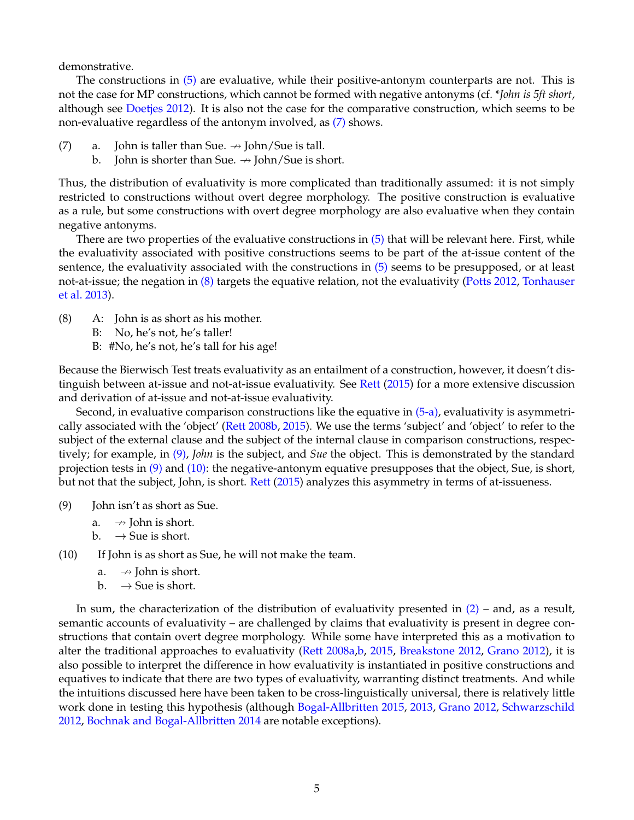demonstrative.

The constructions in [\(5\)](#page-3-4) are evaluative, while their positive-antonym counterparts are not. This is not the case for MP constructions, which cannot be formed with negative antonyms (cf. \**John is 5ft short*, although see [Doetjes](#page-33-12) [2012\)](#page-33-12). It is also not the case for the comparative construction, which seems to be non-evaluative regardless of the antonym involved, as [\(7\)](#page-4-0) shows.

- <span id="page-4-0"></span>(7) a. John is taller than Sue.  $\rightarrow$  John/Sue is tall.
	- b. John is shorter than Sue.  $\rightarrow$  John/Sue is short.

Thus, the distribution of evaluativity is more complicated than traditionally assumed: it is not simply restricted to constructions without overt degree morphology. The positive construction is evaluative as a rule, but some constructions with overt degree morphology are also evaluative when they contain negative antonyms.

There are two properties of the evaluative constructions in [\(5\)](#page-3-4) that will be relevant here. First, while the evaluativity associated with positive constructions seems to be part of the at-issue content of the sentence, the evaluativity associated with the constructions in [\(5\)](#page-3-4) seems to be presupposed, or at least not-at-issue; the negation in [\(8\)](#page-4-1) targets the equative relation, not the evaluativity [\(Potts](#page-34-12) [2012,](#page-34-12) [Tonhauser](#page-35-1) [et al.](#page-35-1) [2013\)](#page-35-1).

- <span id="page-4-1"></span>(8) A: John is as short as his mother.
	- B: No, he's not, he's taller!
	- B: #No, he's not, he's tall for his age!

Because the Bierwisch Test treats evaluativity as an entailment of a construction, however, it doesn't distinguish between at-issue and not-at-issue evaluativity. See [Rett](#page-34-4) [\(2015\)](#page-34-4) for a more extensive discussion and derivation of at-issue and not-at-issue evaluativity.

Second, in evaluative comparison constructions like the equative in [\(5-a\),](#page-3-7) evaluativity is asymmetrically associated with the 'object' [\(Rett](#page-34-3) [2008b,](#page-34-3) [2015\)](#page-34-4). We use the terms 'subject' and 'object' to refer to the subject of the external clause and the subject of the internal clause in comparison constructions, respectively; for example, in [\(9\),](#page-4-2) *John* is the subject, and *Sue* the object. This is demonstrated by the standard projection tests in  $(9)$  and  $(10)$ : the negative-antonym equative presupposes that the object, Sue, is short, but not that the subject, John, is short. [Rett](#page-34-4) [\(2015\)](#page-34-4) analyzes this asymmetry in terms of at-issueness.

- <span id="page-4-2"></span>(9) John isn't as short as Sue.
	- a.  $\rightarrow$  John is short.
	- b.  $\rightarrow$  Sue is short.
- <span id="page-4-3"></span>(10) If John is as short as Sue, he will not make the team.
	- a.  $\rightarrow$  John is short.
	- b.  $\rightarrow$  Sue is short.

In sum, the characterization of the distribution of evaluativity presented in  $(2)$  – and, as a result, semantic accounts of evaluativity – are challenged by claims that evaluativity is present in degree constructions that contain overt degree morphology. While some have interpreted this as a motivation to alter the traditional approaches to evaluativity [\(Rett](#page-34-1) [2008a](#page-34-1)[,b,](#page-34-3) [2015,](#page-34-4) [Breakstone](#page-32-7) [2012,](#page-32-7) [Grano](#page-33-13) [2012\)](#page-33-13), it is also possible to interpret the difference in how evaluativity is instantiated in positive constructions and equatives to indicate that there are two types of evaluativity, warranting distinct treatments. And while the intuitions discussed here have been taken to be cross-linguistically universal, there is relatively little work done in testing this hypothesis (although [Bogal-Allbritten](#page-32-11) [2015,](#page-32-11) [2013,](#page-32-12) [Grano](#page-33-13) [2012,](#page-33-13) [Schwarzschild](#page-34-13) [2012,](#page-34-13) [Bochnak and Bogal-Allbritten](#page-32-13) [2014](#page-32-13) are notable exceptions).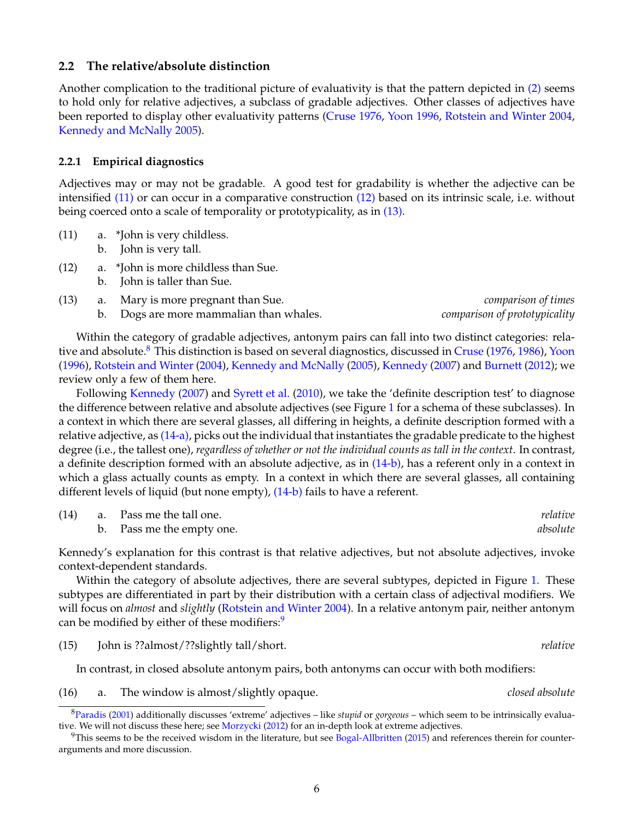# <span id="page-5-0"></span>**2.2 The relative/absolute distinction**

Another complication to the traditional picture of evaluativity is that the pattern depicted in [\(2\)](#page-1-5) seems to hold only for relative adjectives, a subclass of gradable adjectives. Other classes of adjectives have been reported to display other evaluativity patterns [\(Cruse](#page-32-14) [1976,](#page-32-14) [Yoon](#page-35-2) [1996,](#page-35-2) [Rotstein and Winter](#page-34-2) [2004,](#page-34-2) [Kennedy and McNally](#page-33-1) [2005\)](#page-33-1).

### **2.2.1 Empirical diagnostics**

Adjectives may or may not be gradable. A good test for gradability is whether the adjective can be intensified [\(11\)](#page-5-1) or can occur in a comparative construction [\(12\)](#page-5-2) based on its intrinsic scale, i.e. without being coerced onto a scale of temporality or prototypicality, as in [\(13\).](#page-5-3)

- <span id="page-5-1"></span>(11) a. \*John is very childless. b. John is very tall.
- <span id="page-5-2"></span>(12) a. \*John is more childless than Sue.
	- b. John is taller than Sue.
- <span id="page-5-3"></span>(13) a. Mary is more pregnant than Sue. *comparison of times* b. Dogs are more mammalian than whales. *comparison of prototypicality*

Within the category of gradable adjectives, antonym pairs can fall into two distinct categories: rela-tive and absolute.<sup>[8](#page-5-4)</sup> This distinction is based on several diagnostics, discussed in [Cruse](#page-32-14) [\(1976,](#page-32-14) [1986\)](#page-32-10), [Yoon](#page-35-2) [\(1996\)](#page-35-2), [Rotstein and Winter](#page-34-2) [\(2004\)](#page-34-2), [Kennedy and McNally](#page-33-1) [\(2005\)](#page-33-1), [Kennedy](#page-33-14) [\(2007\)](#page-33-14) and [Burnett](#page-32-5) [\(2012\)](#page-32-5); we review only a few of them here.

Following [Kennedy](#page-33-14) [\(2007\)](#page-33-14) and [Syrett et al.](#page-34-14) [\(2010\)](#page-34-14), we take the 'definite description test' to diagnose the difference between relative and absolute adjectives (see Figure [1](#page-6-0) for a schema of these subclasses). In a context in which there are several glasses, all differing in heights, a definite description formed with a relative adjective, as [\(14-a\),](#page-5-5) picks out the individual that instantiates the gradable predicate to the highest degree (i.e., the tallest one), *regardless of whether or not the individual counts as tall in the context*. In contrast, a definite description formed with an absolute adjective, as in [\(14-b\),](#page-5-6) has a referent only in a context in which a glass actually counts as empty. In a context in which there are several glasses, all containing different levels of liquid (but none empty),  $(14-b)$  fails to have a referent.

<span id="page-5-6"></span><span id="page-5-5"></span>

| (14) | a. Pass me the tall one. | relative |
|------|--------------------------|----------|
|      |                          |          |

b. Pass me the empty one. *absolute*

Kennedy's explanation for this contrast is that relative adjectives, but not absolute adjectives, invoke context-dependent standards.

Within the category of absolute adjectives, there are several subtypes, depicted in Figure [1.](#page-6-0) These subtypes are differentiated in part by their distribution with a certain class of adjectival modifiers. We will focus on *almost* and *slightly* [\(Rotstein and Winter](#page-34-2) [2004\)](#page-34-2). In a relative antonym pair, neither antonym can be modified by either of these modifiers:<sup>[9](#page-5-7)</sup>

<span id="page-5-9"></span>(15) John is ??almost/??slightly tall/short. *relative*

In contrast, in closed absolute antonym pairs, both antonyms can occur with both modifiers:

<span id="page-5-8"></span>(16) a. The window is almost/slightly opaque. *closed absolute*

6

<span id="page-5-4"></span><sup>8</sup>[Paradis](#page-34-15) [\(2001\)](#page-34-15) additionally discusses 'extreme' adjectives – like *stupid* or *gorgeous* – which seem to be intrinsically evaluative. We will not discuss these here; see [Morzycki](#page-34-16) [\(2012\)](#page-34-16) for an in-depth look at extreme adjectives.

<span id="page-5-7"></span> $9$ This seems to be the received wisdom in the literature, but see [Bogal-Allbritten](#page-32-11) [\(2015\)](#page-32-11) and references therein for counterarguments and more discussion.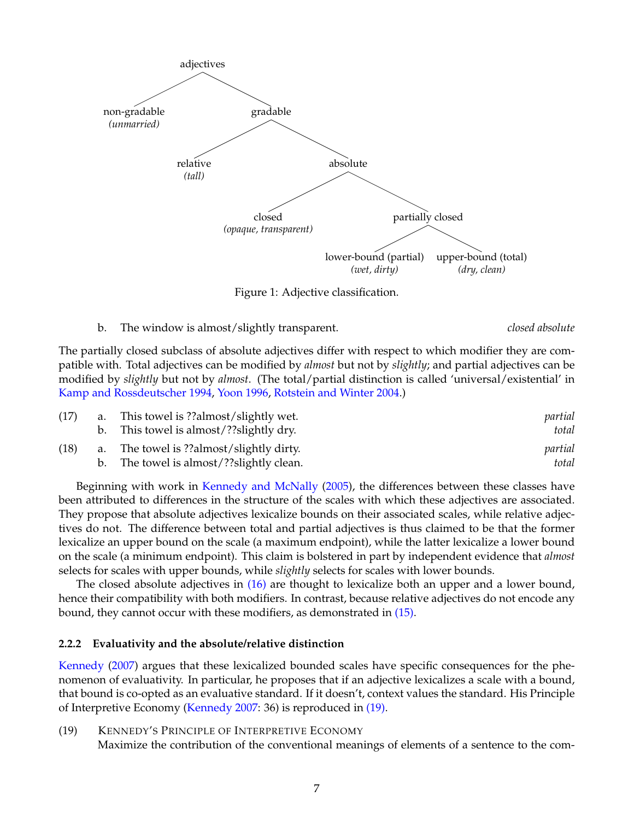

<span id="page-6-0"></span>Figure 1: Adjective classification.

b. The window is almost/slightly transparent. *closed absolute*

The partially closed subclass of absolute adjectives differ with respect to which modifier they are compatible with. Total adjectives can be modified by *almost* but not by *slightly*; and partial adjectives can be modified by *slightly* but not by *almost*. (The total/partial distinction is called 'universal/existential' in

[Kamp and Rossdeutscher](#page-33-15) [1994,](#page-33-15) [Yoon](#page-35-2) [1996,](#page-35-2) [Rotstein and Winter](#page-34-2) [2004.](#page-34-2))

| (17) | a. | This towel is ??almost/slightly wet.     | partial |
|------|----|------------------------------------------|---------|
|      |    | b. This towel is almost/?? slightly dry. | total   |
| (18) | a. | The towel is ??almost/slightly dirty.    | partial |
|      |    | b. The towel is almost/??slightly clean. | total   |

Beginning with work in [Kennedy and McNally](#page-33-1) [\(2005\)](#page-33-1), the differences between these classes have been attributed to differences in the structure of the scales with which these adjectives are associated. They propose that absolute adjectives lexicalize bounds on their associated scales, while relative adjectives do not. The difference between total and partial adjectives is thus claimed to be that the former lexicalize an upper bound on the scale (a maximum endpoint), while the latter lexicalize a lower bound on the scale (a minimum endpoint). This claim is bolstered in part by independent evidence that *almost* selects for scales with upper bounds, while *slightly* selects for scales with lower bounds.

The closed absolute adjectives in [\(16\)](#page-5-8) are thought to lexicalize both an upper and a lower bound, hence their compatibility with both modifiers. In contrast, because relative adjectives do not encode any bound, they cannot occur with these modifiers, as demonstrated in [\(15\).](#page-5-9)

#### <span id="page-6-2"></span>**2.2.2 Evaluativity and the absolute/relative distinction**

[Kennedy](#page-33-14) [\(2007\)](#page-33-14) argues that these lexicalized bounded scales have specific consequences for the phenomenon of evaluativity. In particular, he proposes that if an adjective lexicalizes a scale with a bound, that bound is co-opted as an evaluative standard. If it doesn't, context values the standard. His Principle of Interpretive Economy [\(Kennedy](#page-33-14) [2007:](#page-33-14) 36) is reproduced in [\(19\).](#page-6-1)

#### <span id="page-6-1"></span>(19) KENNEDY'S PRINCIPLE OF INTERPRETIVE ECONOMY

Maximize the contribution of the conventional meanings of elements of a sentence to the com-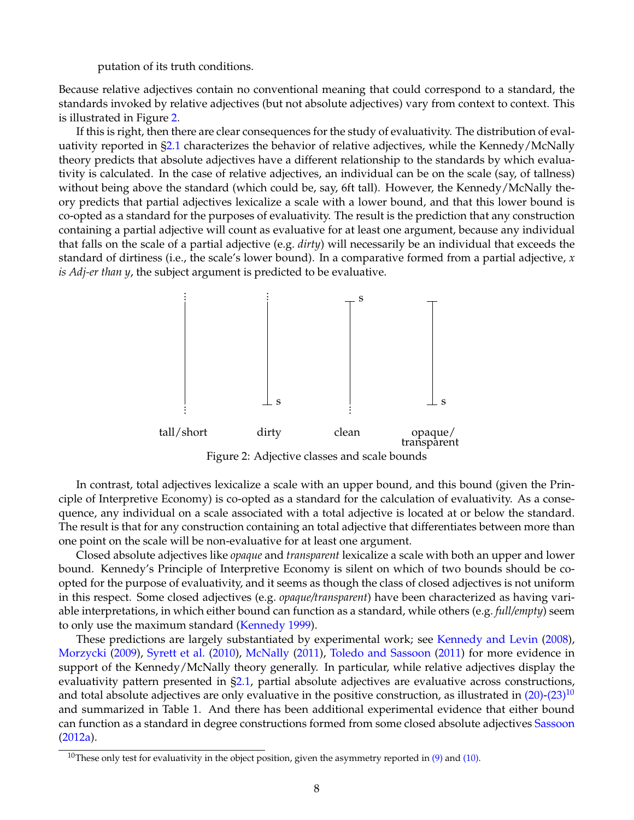putation of its truth conditions.

Because relative adjectives contain no conventional meaning that could correspond to a standard, the standards invoked by relative adjectives (but not absolute adjectives) vary from context to context. This is illustrated in Figure [2.](#page-7-0)

If this is right, then there are clear consequences for the study of evaluativity. The distribution of evaluativity reported in [§2.1](#page-2-10) characterizes the behavior of relative adjectives, while the Kennedy/McNally theory predicts that absolute adjectives have a different relationship to the standards by which evaluativity is calculated. In the case of relative adjectives, an individual can be on the scale (say, of tallness) without being above the standard (which could be, say, 6ft tall). However, the Kennedy/McNally theory predicts that partial adjectives lexicalize a scale with a lower bound, and that this lower bound is co-opted as a standard for the purposes of evaluativity. The result is the prediction that any construction containing a partial adjective will count as evaluative for at least one argument, because any individual that falls on the scale of a partial adjective (e.g. *dirty*) will necessarily be an individual that exceeds the standard of dirtiness (i.e., the scale's lower bound). In a comparative formed from a partial adjective, *x is Adj-er than y*, the subject argument is predicted to be evaluative.



Figure 2: Adjective classes and scale bounds

<span id="page-7-0"></span>In contrast, total adjectives lexicalize a scale with an upper bound, and this bound (given the Principle of Interpretive Economy) is co-opted as a standard for the calculation of evaluativity. As a consequence, any individual on a scale associated with a total adjective is located at or below the standard. The result is that for any construction containing an total adjective that differentiates between more than one point on the scale will be non-evaluative for at least one argument.

Closed absolute adjectives like *opaque* and *transparent* lexicalize a scale with both an upper and lower bound. Kennedy's Principle of Interpretive Economy is silent on which of two bounds should be coopted for the purpose of evaluativity, and it seems as though the class of closed adjectives is not uniform in this respect. Some closed adjectives (e.g. *opaque/transparent*) have been characterized as having variable interpretations, in which either bound can function as a standard, while others (e.g. *full/empty*) seem to only use the maximum standard [\(Kennedy](#page-33-8) [1999\)](#page-33-8).

These predictions are largely substantiated by experimental work; see [Kennedy and Levin](#page-33-16) [\(2008\)](#page-33-16), [Morzycki](#page-34-17) [\(2009\)](#page-34-17), [Syrett et al.](#page-34-14) [\(2010\)](#page-34-14), [McNally](#page-33-17) [\(2011\)](#page-33-17), [Toledo and Sassoon](#page-34-18) [\(2011\)](#page-34-18) for more evidence in support of the Kennedy/McNally theory generally. In particular, while relative adjectives display the evaluativity pattern presented in [§2.1,](#page-2-10) partial absolute adjectives are evaluative across constructions, and total absolute adjectives are only evaluative in the positive construction, as illustrated in  $(20)$ - $(23)$ <sup>[10](#page-7-1)</sup> and summarized in Table 1. And there has been additional experimental evidence that either bound can function as a standard in degree constructions formed from some closed absolute adjectives [Sassoon](#page-34-19) [\(2012a\)](#page-34-19).

<span id="page-7-1"></span><sup>&</sup>lt;sup>10</sup>These only test for evaluativity in the object position, given the asymmetry reported in  $(9)$  and  $(10)$ .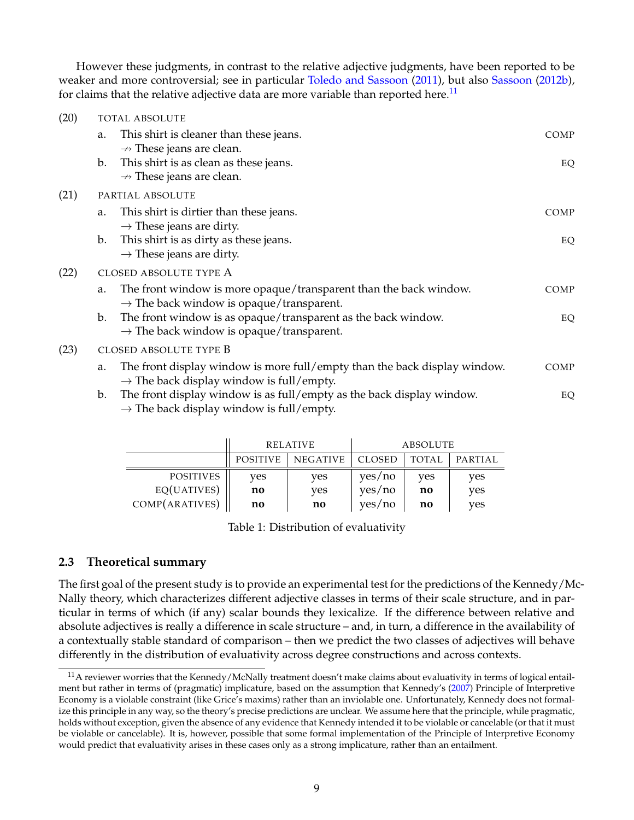However these judgments, in contrast to the relative adjective judgments, have been reported to be weaker and more controversial; see in particular [Toledo and Sassoon](#page-34-18) [\(2011\)](#page-34-18), but also [Sassoon](#page-34-20) [\(2012b\)](#page-34-20), for claims that the relative adjective data are more variable than reported here.<sup>[11](#page-8-2)</sup>

<span id="page-8-0"></span>

| (20) |    | TOTAL ABSOLUTE                                                                                                                    |      |
|------|----|-----------------------------------------------------------------------------------------------------------------------------------|------|
|      | a. | This shirt is cleaner than these jeans.<br>$\rightarrow$ These jeans are clean.                                                   | COMP |
|      | b. | This shirt is as clean as these jeans.<br>$\rightarrow$ These jeans are clean.                                                    | EQ   |
| (21) |    | PARTIAL ABSOLUTE                                                                                                                  |      |
|      | a. | This shirt is dirtier than these jeans.<br>$\rightarrow$ These jeans are dirty.                                                   | COMP |
|      | b. | This shirt is as dirty as these jeans.<br>$\rightarrow$ These jeans are dirty.                                                    | EQ.  |
| (22) |    | CLOSED ABSOLUTE TYPE A                                                                                                            |      |
|      | a. | The front window is more opaque/transparent than the back window.<br>$\rightarrow$ The back window is opaque/transparent.         | COMP |
|      | b. | The front window is as opaque/transparent as the back window.<br>$\rightarrow$ The back window is opaque/transparent.             | EQ   |
| (23) |    | CLOSED ABSOLUTE TYPE B                                                                                                            |      |
|      | a. | The front display window is more full/empty than the back display window.<br>$\rightarrow$ The back display window is full/empty. | COMP |
|      | b. | The front display window is as full/empty as the back display window.<br>$\rightarrow$ The back display window is full/empty.     | EQ   |

<span id="page-8-1"></span>

|                  | <b>RELATIVE</b>             |     |        | ABSOLUTE |         |  |
|------------------|-----------------------------|-----|--------|----------|---------|--|
|                  | NEGATIVE<br><b>POSITIVE</b> |     | CLOSED | TOTAL    | PARTIAL |  |
| <b>POSITIVES</b> | yes                         | yes | yes/no | ves      | yes     |  |
| EQ(UATIVES)      | no                          | yes | yes/no | no       | yes     |  |
| COMP(ARATIVES)   | no                          | no  | yes/no | no       | yes     |  |

<span id="page-8-3"></span>Table 1: Distribution of evaluativity

### **2.3 Theoretical summary**

The first goal of the present study is to provide an experimental test for the predictions of the Kennedy/Mc-Nally theory, which characterizes different adjective classes in terms of their scale structure, and in particular in terms of which (if any) scalar bounds they lexicalize. If the difference between relative and absolute adjectives is really a difference in scale structure – and, in turn, a difference in the availability of a contextually stable standard of comparison – then we predict the two classes of adjectives will behave differently in the distribution of evaluativity across degree constructions and across contexts.

<span id="page-8-2"></span> $11A$  reviewer worries that the Kennedy/McNally treatment doesn't make claims about evaluativity in terms of logical entailment but rather in terms of (pragmatic) implicature, based on the assumption that Kennedy's [\(2007\)](#page-33-14) Principle of Interpretive Economy is a violable constraint (like Grice's maxims) rather than an inviolable one. Unfortunately, Kennedy does not formalize this principle in any way, so the theory's precise predictions are unclear. We assume here that the principle, while pragmatic, holds without exception, given the absence of any evidence that Kennedy intended it to be violable or cancelable (or that it must be violable or cancelable). It is, however, possible that some formal implementation of the Principle of Interpretive Economy would predict that evaluativity arises in these cases only as a strong implicature, rather than an entailment.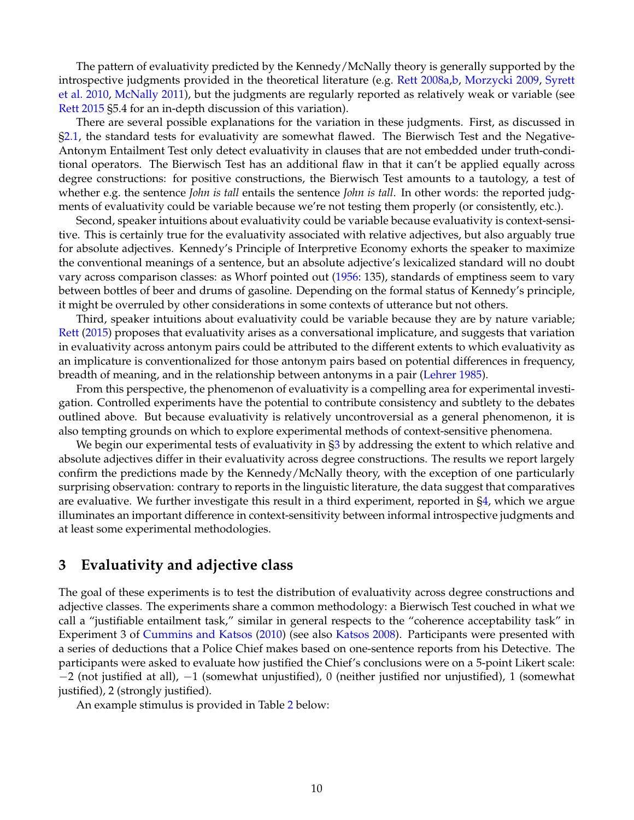The pattern of evaluativity predicted by the Kennedy/McNally theory is generally supported by the introspective judgments provided in the theoretical literature (e.g. [Rett](#page-34-1) [2008a,](#page-34-1)[b,](#page-34-3) [Morzycki](#page-34-17) [2009,](#page-34-17) [Syrett](#page-34-14) [et al.](#page-34-14) [2010,](#page-34-14) [McNally](#page-33-17) [2011\)](#page-33-17), but the judgments are regularly reported as relatively weak or variable (see [Rett](#page-34-4) [2015](#page-34-4) §5.4 for an in-depth discussion of this variation).

There are several possible explanations for the variation in these judgments. First, as discussed in [§2.1,](#page-2-10) the standard tests for evaluativity are somewhat flawed. The Bierwisch Test and the Negative-Antonym Entailment Test only detect evaluativity in clauses that are not embedded under truth-conditional operators. The Bierwisch Test has an additional flaw in that it can't be applied equally across degree constructions: for positive constructions, the Bierwisch Test amounts to a tautology, a test of whether e.g. the sentence *John is tall* entails the sentence *John is tall*. In other words: the reported judgments of evaluativity could be variable because we're not testing them properly (or consistently, etc.).

Second, speaker intuitions about evaluativity could be variable because evaluativity is context-sensitive. This is certainly true for the evaluativity associated with relative adjectives, but also arguably true for absolute adjectives. Kennedy's Principle of Interpretive Economy exhorts the speaker to maximize the conventional meanings of a sentence, but an absolute adjective's lexicalized standard will no doubt vary across comparison classes: as Whorf pointed out [\(1956:](#page-35-3) 135), standards of emptiness seem to vary between bottles of beer and drums of gasoline. Depending on the formal status of Kennedy's principle, it might be overruled by other considerations in some contexts of utterance but not others.

Third, speaker intuitions about evaluativity could be variable because they are by nature variable; [Rett](#page-34-4) [\(2015\)](#page-34-4) proposes that evaluativity arises as a conversational implicature, and suggests that variation in evaluativity across antonym pairs could be attributed to the different extents to which evaluativity as an implicature is conventionalized for those antonym pairs based on potential differences in frequency, breadth of meaning, and in the relationship between antonyms in a pair [\(Lehrer](#page-33-11) [1985\)](#page-33-11).

From this perspective, the phenomenon of evaluativity is a compelling area for experimental investigation. Controlled experiments have the potential to contribute consistency and subtlety to the debates outlined above. But because evaluativity is relatively uncontroversial as a general phenomenon, it is also tempting grounds on which to explore experimental methods of context-sensitive phenomena.

We begin our experimental tests of evaluativity in [§3](#page-9-0) by addressing the extent to which relative and absolute adjectives differ in their evaluativity across degree constructions. The results we report largely confirm the predictions made by the Kennedy/McNally theory, with the exception of one particularly surprising observation: contrary to reports in the linguistic literature, the data suggest that comparatives are evaluative. We further investigate this result in a third experiment, reported in  $\S4$ , which we argue illuminates an important difference in context-sensitivity between informal introspective judgments and at least some experimental methodologies.

# <span id="page-9-0"></span>**3 Evaluativity and adjective class**

The goal of these experiments is to test the distribution of evaluativity across degree constructions and adjective classes. The experiments share a common methodology: a Bierwisch Test couched in what we call a "justifiable entailment task," similar in general respects to the "coherence acceptability task" in Experiment 3 of [Cummins and Katsos](#page-32-15) [\(2010\)](#page-32-15) (see also [Katsos](#page-33-18) [2008\)](#page-33-18). Participants were presented with a series of deductions that a Police Chief makes based on one-sentence reports from his Detective. The participants were asked to evaluate how justified the Chief's conclusions were on a 5-point Likert scale: −2 (not justified at all), −1 (somewhat unjustified), 0 (neither justified nor unjustified), 1 (somewhat justified), 2 (strongly justified).

An example stimulus is provided in Table [2](#page-10-0) below: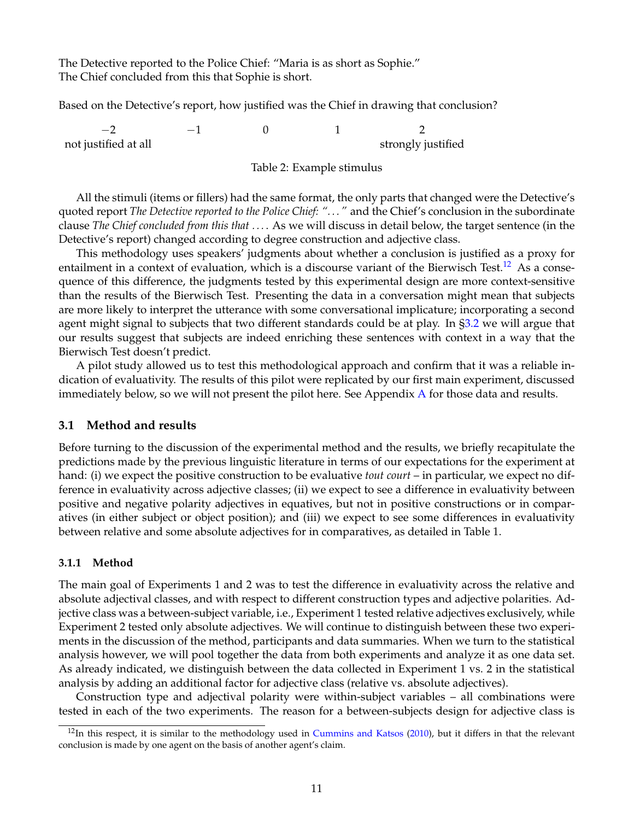The Detective reported to the Police Chief: "Maria is as short as Sophie." The Chief concluded from this that Sophie is short.

Based on the Detective's report, how justified was the Chief in drawing that conclusion?

 $-2$   $-1$  0 1 2 not justified at all strongly justified

#### <span id="page-10-0"></span>Table 2: Example stimulus

All the stimuli (items or fillers) had the same format, the only parts that changed were the Detective's quoted report *The Detective reported to the Police Chief: ". . . "* and the Chief's conclusion in the subordinate clause *The Chief concluded from this that . . .* . As we will discuss in detail below, the target sentence (in the Detective's report) changed according to degree construction and adjective class.

This methodology uses speakers' judgments about whether a conclusion is justified as a proxy for entailment in a context of evaluation, which is a discourse variant of the Bierwisch Test.<sup>[12](#page-10-1)</sup> As a consequence of this difference, the judgments tested by this experimental design are more context-sensitive than the results of the Bierwisch Test. Presenting the data in a conversation might mean that subjects are more likely to interpret the utterance with some conversational implicature; incorporating a second agent might signal to subjects that two different standards could be at play. In [§3.2](#page-18-0) we will argue that our results suggest that subjects are indeed enriching these sentences with context in a way that the Bierwisch Test doesn't predict.

A pilot study allowed us to test this methodological approach and confirm that it was a reliable indication of evaluativity. The results of this pilot were replicated by our first main experiment, discussed immediately below, so we will not present the pilot here. See Appendix [A](#page-35-4) for those data and results.

#### **3.1 Method and results**

Before turning to the discussion of the experimental method and the results, we briefly recapitulate the predictions made by the previous linguistic literature in terms of our expectations for the experiment at hand: (i) we expect the positive construction to be evaluative *tout court* – in particular, we expect no difference in evaluativity across adjective classes; (ii) we expect to see a difference in evaluativity between positive and negative polarity adjectives in equatives, but not in positive constructions or in comparatives (in either subject or object position); and (iii) we expect to see some differences in evaluativity between relative and some absolute adjectives for in comparatives, as detailed in Table 1.

### **3.1.1 Method**

The main goal of Experiments 1 and 2 was to test the difference in evaluativity across the relative and absolute adjectival classes, and with respect to different construction types and adjective polarities. Adjective class was a between-subject variable, i.e., Experiment 1 tested relative adjectives exclusively, while Experiment 2 tested only absolute adjectives. We will continue to distinguish between these two experiments in the discussion of the method, participants and data summaries. When we turn to the statistical analysis however, we will pool together the data from both experiments and analyze it as one data set. As already indicated, we distinguish between the data collected in Experiment 1 vs. 2 in the statistical analysis by adding an additional factor for adjective class (relative vs. absolute adjectives).

Construction type and adjectival polarity were within-subject variables – all combinations were tested in each of the two experiments. The reason for a between-subjects design for adjective class is

<span id="page-10-1"></span> $12$ In this respect, it is similar to the methodology used in [Cummins and Katsos](#page-32-15) [\(2010\)](#page-32-15), but it differs in that the relevant conclusion is made by one agent on the basis of another agent's claim.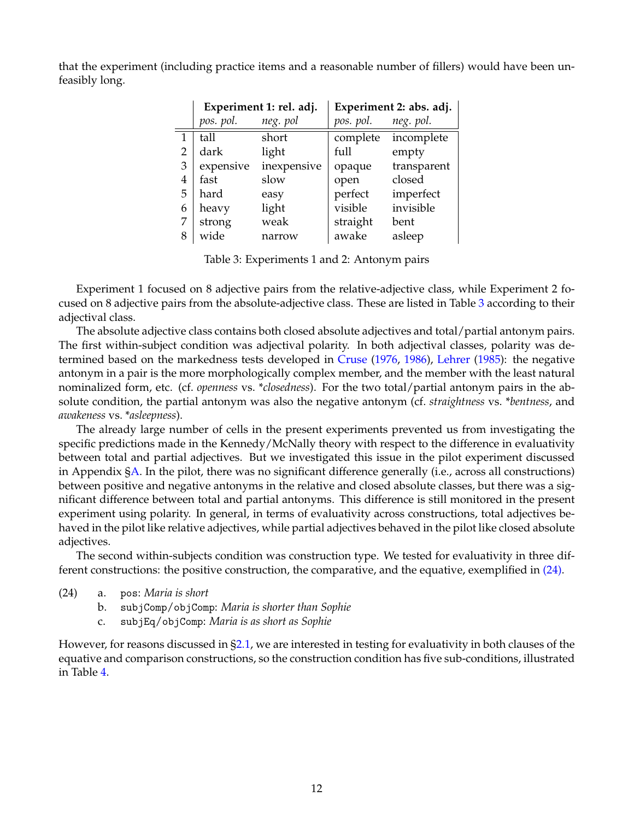that the experiment (including practice items and a reasonable number of fillers) would have been unfeasibly long.

|                |           | Experiment 1: rel. adj. |           | Experiment 2: abs. adj. |  |  |
|----------------|-----------|-------------------------|-----------|-------------------------|--|--|
|                | pos. pol. | neg. pol                | pos. pol. | neg. pol.               |  |  |
| 1              | tall      | short                   | complete  | incomplete              |  |  |
| $\overline{2}$ | dark      | light                   | full      | empty                   |  |  |
| 3              | expensive | inexpensive             | opaque    | transparent             |  |  |
| 4              | fast      | slow                    | open      | closed                  |  |  |
| 5              | hard      | easy                    | perfect   | imperfect               |  |  |
| 6              | heavy     | light                   | visible   | invisible               |  |  |
| 7              | strong    | weak                    | straight  | bent                    |  |  |
| 8              | wide      | narrow                  | awake     | asleep                  |  |  |

Table 3: Experiments 1 and 2: Antonym pairs

<span id="page-11-0"></span>Experiment 1 focused on 8 adjective pairs from the relative-adjective class, while Experiment 2 focused on 8 adjective pairs from the absolute-adjective class. These are listed in Table [3](#page-11-0) according to their adjectival class.

The absolute adjective class contains both closed absolute adjectives and total/partial antonym pairs. The first within-subject condition was adjectival polarity. In both adjectival classes, polarity was determined based on the markedness tests developed in [Cruse](#page-32-14) [\(1976,](#page-32-14) [1986\)](#page-32-10), [Lehrer](#page-33-11) [\(1985\)](#page-33-11): the negative antonym in a pair is the more morphologically complex member, and the member with the least natural nominalized form, etc. (cf. *openness* vs. \**closedness*). For the two total/partial antonym pairs in the absolute condition, the partial antonym was also the negative antonym (cf. *straightness* vs. \**bentness*, and *awakeness* vs. \**asleepness*).

The already large number of cells in the present experiments prevented us from investigating the specific predictions made in the Kennedy/McNally theory with respect to the difference in evaluativity between total and partial adjectives. But we investigated this issue in the pilot experiment discussed in Appendix [§A.](#page-35-4) In the pilot, there was no significant difference generally (i.e., across all constructions) between positive and negative antonyms in the relative and closed absolute classes, but there was a significant difference between total and partial antonyms. This difference is still monitored in the present experiment using polarity. In general, in terms of evaluativity across constructions, total adjectives behaved in the pilot like relative adjectives, while partial adjectives behaved in the pilot like closed absolute adjectives.

The second within-subjects condition was construction type. We tested for evaluativity in three different constructions: the positive construction, the comparative, and the equative, exemplified in [\(24\).](#page-11-1)

- <span id="page-11-1"></span>(24) a. pos: *Maria is short*
	- b. subjComp/objComp: *Maria is shorter than Sophie*
	- c. subjEq/objComp: *Maria is as short as Sophie*

However, for reasons discussed in [§2.1,](#page-2-10) we are interested in testing for evaluativity in both clauses of the equative and comparison constructions, so the construction condition has five sub-conditions, illustrated in Table [4.](#page-12-0)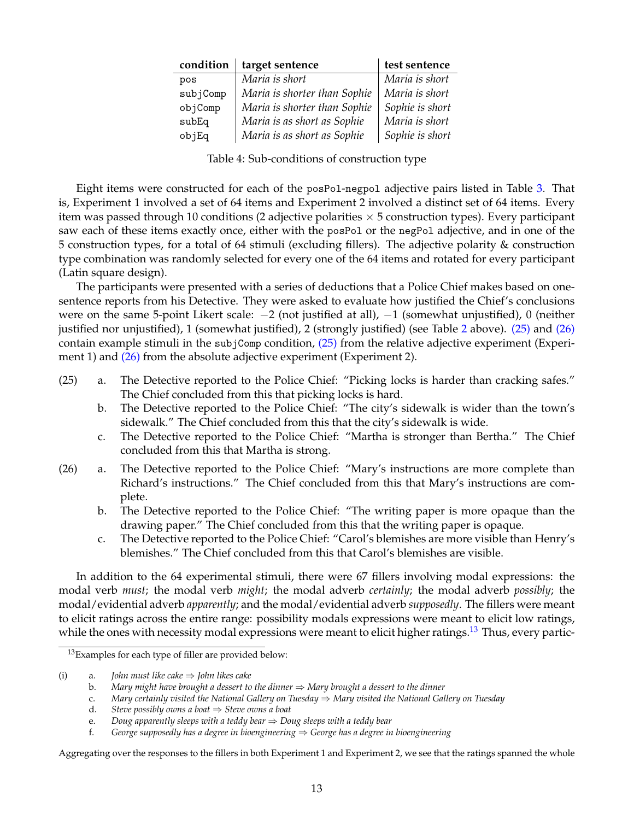| condition | target sentence              | test sentence   |
|-----------|------------------------------|-----------------|
| pos       | Maria is short               | Maria is short  |
| subjComp  | Maria is shorter than Sophie | Maria is short  |
| objComp   | Maria is shorter than Sophie | Sophie is short |
| subEq     | Maria is as short as Sophie  | Maria is short  |
| objEq     | Maria is as short as Sophie  | Sophie is short |

<span id="page-12-0"></span>Table 4: Sub-conditions of construction type

Eight items were constructed for each of the posPol-negpol adjective pairs listed in Table [3.](#page-11-0) That is, Experiment 1 involved a set of 64 items and Experiment 2 involved a distinct set of 64 items. Every item was passed through 10 conditions (2 adjective polarities  $\times$  5 construction types). Every participant saw each of these items exactly once, either with the posPol or the negPol adjective, and in one of the 5 construction types, for a total of 64 stimuli (excluding fillers). The adjective polarity & construction type combination was randomly selected for every one of the 64 items and rotated for every participant (Latin square design).

The participants were presented with a series of deductions that a Police Chief makes based on onesentence reports from his Detective. They were asked to evaluate how justified the Chief's conclusions were on the same 5-point Likert scale:  $-2$  (not justified at all),  $-1$  (somewhat unjustified), 0 (neither justified nor unjustified), 1 (somewhat justified), 2 (strongly justified) (see Table [2](#page-10-0) above). [\(25\)](#page-12-1) and [\(26\)](#page-12-2) contain example stimuli in the subjComp condition, [\(25\)](#page-12-1) from the relative adjective experiment (Experi-ment 1) and [\(26\)](#page-12-2) from the absolute adjective experiment (Experiment 2).

- <span id="page-12-1"></span>(25) a. The Detective reported to the Police Chief: "Picking locks is harder than cracking safes." The Chief concluded from this that picking locks is hard.
	- b. The Detective reported to the Police Chief: "The city's sidewalk is wider than the town's sidewalk." The Chief concluded from this that the city's sidewalk is wide.
	- c. The Detective reported to the Police Chief: "Martha is stronger than Bertha." The Chief concluded from this that Martha is strong.
- <span id="page-12-2"></span>(26) a. The Detective reported to the Police Chief: "Mary's instructions are more complete than Richard's instructions." The Chief concluded from this that Mary's instructions are complete.
	- b. The Detective reported to the Police Chief: "The writing paper is more opaque than the drawing paper." The Chief concluded from this that the writing paper is opaque.
	- c. The Detective reported to the Police Chief: "Carol's blemishes are more visible than Henry's blemishes." The Chief concluded from this that Carol's blemishes are visible.

In addition to the 64 experimental stimuli, there were 67 fillers involving modal expressions: the modal verb *must*; the modal verb *might*; the modal adverb *certainly*; the modal adverb *possibly*; the modal/evidential adverb *apparently*; and the modal/evidential adverb *supposedly*. The fillers were meant to elicit ratings across the entire range: possibility modals expressions were meant to elicit low ratings, while the ones with necessity modal expressions were meant to elicit higher ratings.<sup>[13](#page-12-3)</sup> Thus, every partic-

Aggregating over the responses to the fillers in both Experiment 1 and Experiment 2, we see that the ratings spanned the whole

<span id="page-12-3"></span><sup>13</sup>Examples for each type of filler are provided below:

<sup>(</sup>i) a. *John must like cake* ⇒ *John likes cake*

b. *Mary might have brought a dessert to the dinner* ⇒ *Mary brought a dessert to the dinner*

c. *Mary certainly visited the National Gallery on Tuesday* ⇒ *Mary visited the National Gallery on Tuesday*

d. *Steve possibly owns a boat* ⇒ *Steve owns a boat*

e. *Doug apparently sleeps with a teddy bear* ⇒ *Doug sleeps with a teddy bear*

f. *George supposedly has a degree in bioengineering* ⇒ *George has a degree in bioengineering*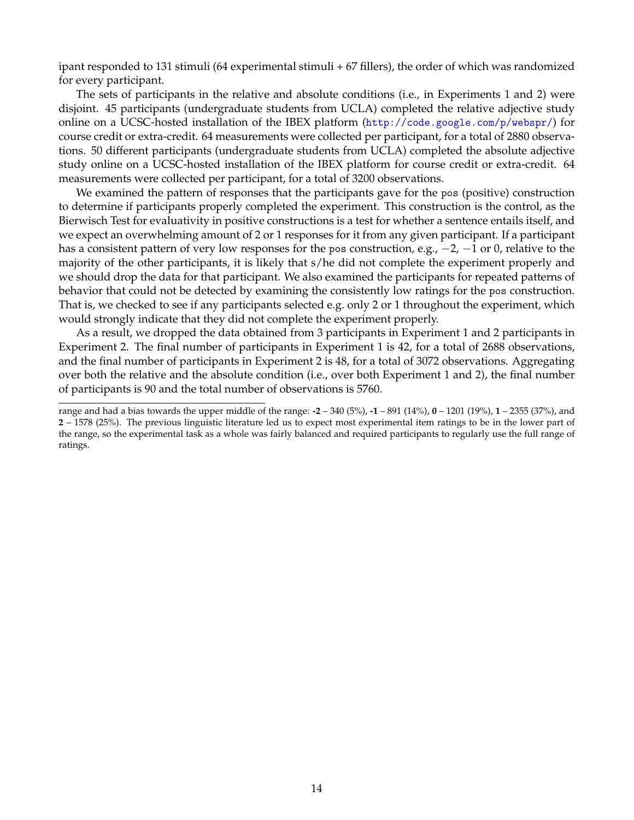ipant responded to 131 stimuli (64 experimental stimuli + 67 fillers), the order of which was randomized for every participant.

The sets of participants in the relative and absolute conditions (i.e., in Experiments 1 and 2) were disjoint. 45 participants (undergraduate students from UCLA) completed the relative adjective study online on a UCSC-hosted installation of the IBEX platform (<http://code.google.com/p/webspr/>) for course credit or extra-credit. 64 measurements were collected per participant, for a total of 2880 observations. 50 different participants (undergraduate students from UCLA) completed the absolute adjective study online on a UCSC-hosted installation of the IBEX platform for course credit or extra-credit. 64 measurements were collected per participant, for a total of 3200 observations.

We examined the pattern of responses that the participants gave for the pos (positive) construction to determine if participants properly completed the experiment. This construction is the control, as the Bierwisch Test for evaluativity in positive constructions is a test for whether a sentence entails itself, and we expect an overwhelming amount of 2 or 1 responses for it from any given participant. If a participant has a consistent pattern of very low responses for the pos construction, e.g.,  $-2$ ,  $-1$  or 0, relative to the majority of the other participants, it is likely that s/he did not complete the experiment properly and we should drop the data for that participant. We also examined the participants for repeated patterns of behavior that could not be detected by examining the consistently low ratings for the pos construction. That is, we checked to see if any participants selected e.g. only 2 or 1 throughout the experiment, which would strongly indicate that they did not complete the experiment properly.

As a result, we dropped the data obtained from 3 participants in Experiment 1 and 2 participants in Experiment 2. The final number of participants in Experiment 1 is 42, for a total of 2688 observations, and the final number of participants in Experiment 2 is 48, for a total of 3072 observations. Aggregating over both the relative and the absolute condition (i.e., over both Experiment 1 and 2), the final number of participants is 90 and the total number of observations is 5760.

range and had a bias towards the upper middle of the range: **-2** – 340 (5%), **-1** – 891 (14%), **0** – 1201 (19%), **1** – 2355 (37%), and **2** – 1578 (25%). The previous linguistic literature led us to expect most experimental item ratings to be in the lower part of the range, so the experimental task as a whole was fairly balanced and required participants to regularly use the full range of ratings.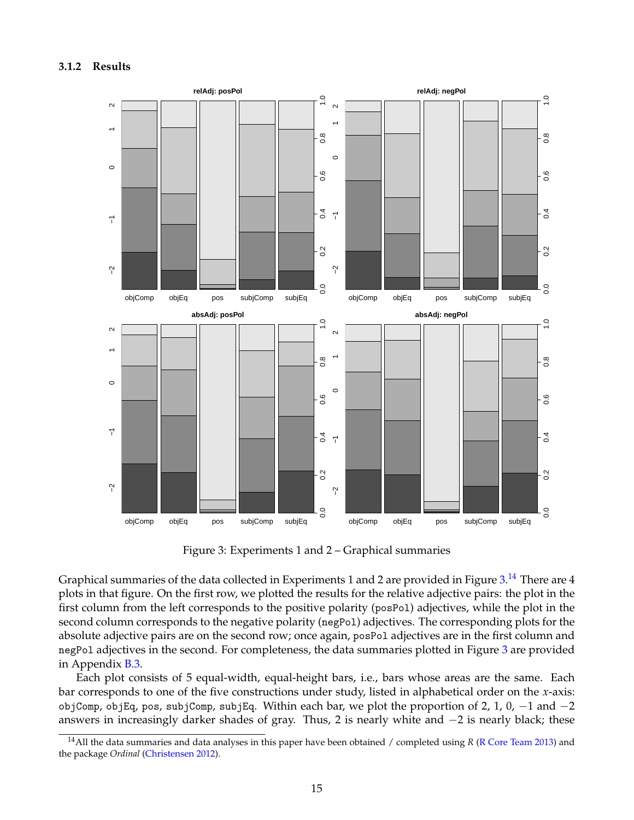#### <span id="page-14-2"></span>**3.1.2 Results**



Figure 3: Experiments 1 and 2 – Graphical summaries

<span id="page-14-0"></span>Graphical summaries of the data collected in Experiments 1 and 2 are provided in Figure [3.](#page-14-0) $^{14}$  $^{14}$  $^{14}$  There are 4 plots in that figure. On the first row, we plotted the results for the relative adjective pairs: the plot in the first column from the left corresponds to the positive polarity (posPol) adjectives, while the plot in the second column corresponds to the negative polarity (negPol) adjectives. The corresponding plots for the absolute adjective pairs are on the second row; once again, posPol adjectives are in the first column and negPol adjectives in the second. For completeness, the data summaries plotted in Figure [3](#page-14-0) are provided in Appendix [B.3.](#page-45-0)

Each plot consists of 5 equal-width, equal-height bars, i.e., bars whose areas are the same. Each bar corresponds to one of the five constructions under study, listed in alphabetical order on the *x*-axis: objComp, objEq, pos, subjComp, subjEq. Within each bar, we plot the proportion of 2, 1, 0, −1 and −2 answers in increasingly darker shades of gray. Thus, 2 is nearly white and −2 is nearly black; these

<span id="page-14-1"></span><sup>&</sup>lt;sup>14</sup> All the data summaries and data analyses in this paper have been obtained / completed using *R* (*R* Core Team [2013\)](#page-34-21) and the package *Ordinal* [\(Christensen](#page-32-16) [2012\)](#page-32-16).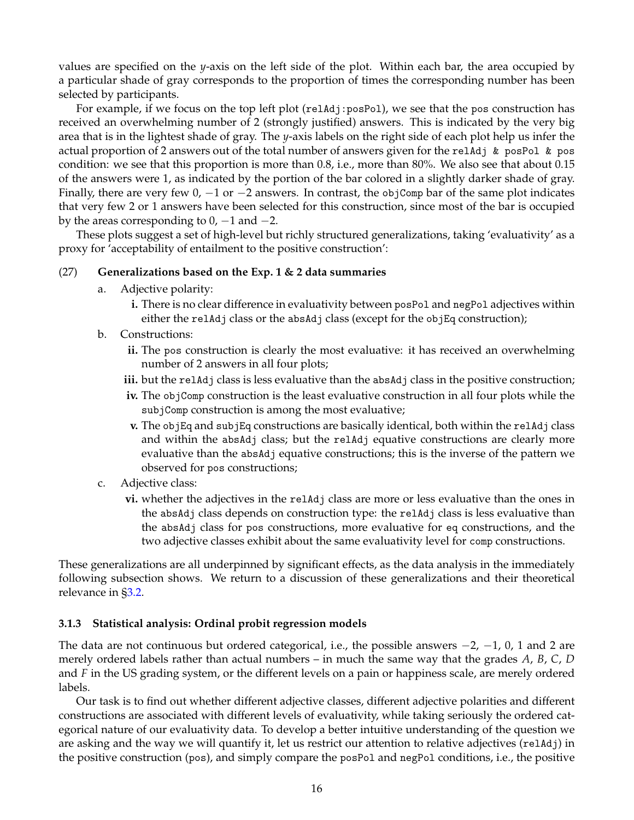values are specified on the *y*-axis on the left side of the plot. Within each bar, the area occupied by a particular shade of gray corresponds to the proportion of times the corresponding number has been selected by participants.

For example, if we focus on the top left plot (relAdj:posPol), we see that the pos construction has received an overwhelming number of 2 (strongly justified) answers. This is indicated by the very big area that is in the lightest shade of gray. The *y*-axis labels on the right side of each plot help us infer the actual proportion of 2 answers out of the total number of answers given for the relAdj & posPol & pos condition: we see that this proportion is more than 0.8, i.e., more than 80%. We also see that about 0.15 of the answers were 1, as indicated by the portion of the bar colored in a slightly darker shade of gray. Finally, there are very few 0,  $-1$  or  $-2$  answers. In contrast, the objComp bar of the same plot indicates that very few 2 or 1 answers have been selected for this construction, since most of the bar is occupied by the areas corresponding to  $0$ ,  $-1$  and  $-2$ .

These plots suggest a set of high-level but richly structured generalizations, taking 'evaluativity' as a proxy for 'acceptability of entailment to the positive construction':

#### <span id="page-15-0"></span>(27) **Generalizations based on the Exp. 1 & 2 data summaries**

- a. Adjective polarity:
	- **i.** There is no clear difference in evaluativity between posPol and negPol adjectives within either the relAdj class or the absAdj class (except for the objEq construction);
- b. Constructions:
	- **ii.** The pos construction is clearly the most evaluative: it has received an overwhelming number of 2 answers in all four plots;
	- **iii.** but the relAdj class is less evaluative than the absAdj class in the positive construction;
	- **iv.** The objComp construction is the least evaluative construction in all four plots while the subjComp construction is among the most evaluative;
	- **v.** The objEq and subjEq constructions are basically identical, both within the relAdj class and within the absAdj class; but the relAdj equative constructions are clearly more evaluative than the absAdj equative constructions; this is the inverse of the pattern we observed for pos constructions;
- c. Adjective class:
	- **vi.** whether the adjectives in the relAdj class are more or less evaluative than the ones in the absAdj class depends on construction type: the relAdj class is less evaluative than the absAdj class for pos constructions, more evaluative for eq constructions, and the two adjective classes exhibit about the same evaluativity level for comp constructions.

These generalizations are all underpinned by significant effects, as the data analysis in the immediately following subsection shows. We return to a discussion of these generalizations and their theoretical relevance in [§3.2.](#page-18-0)

#### **3.1.3 Statistical analysis: Ordinal probit regression models**

The data are not continuous but ordered categorical, i.e., the possible answers  $-2$ ,  $-1$ , 0, 1 and 2 are merely ordered labels rather than actual numbers – in much the same way that the grades *A*, *B*, *C*, *D* and *F* in the US grading system, or the different levels on a pain or happiness scale, are merely ordered labels.

Our task is to find out whether different adjective classes, different adjective polarities and different constructions are associated with different levels of evaluativity, while taking seriously the ordered categorical nature of our evaluativity data. To develop a better intuitive understanding of the question we are asking and the way we will quantify it, let us restrict our attention to relative adjectives (relAdj) in the positive construction (pos), and simply compare the posPol and negPol conditions, i.e., the positive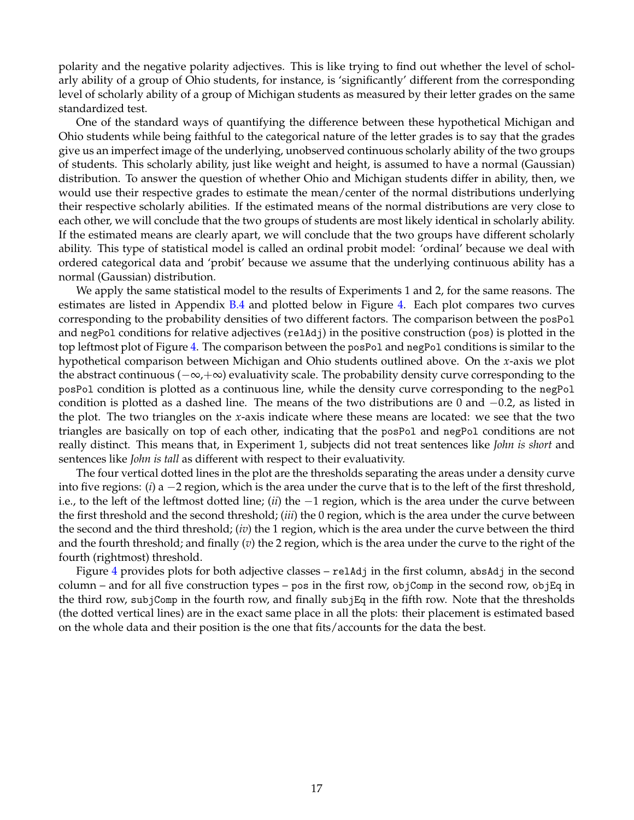polarity and the negative polarity adjectives. This is like trying to find out whether the level of scholarly ability of a group of Ohio students, for instance, is 'significantly' different from the corresponding level of scholarly ability of a group of Michigan students as measured by their letter grades on the same standardized test.

One of the standard ways of quantifying the difference between these hypothetical Michigan and Ohio students while being faithful to the categorical nature of the letter grades is to say that the grades give us an imperfect image of the underlying, unobserved continuous scholarly ability of the two groups of students. This scholarly ability, just like weight and height, is assumed to have a normal (Gaussian) distribution. To answer the question of whether Ohio and Michigan students differ in ability, then, we would use their respective grades to estimate the mean/center of the normal distributions underlying their respective scholarly abilities. If the estimated means of the normal distributions are very close to each other, we will conclude that the two groups of students are most likely identical in scholarly ability. If the estimated means are clearly apart, we will conclude that the two groups have different scholarly ability. This type of statistical model is called an ordinal probit model: 'ordinal' because we deal with ordered categorical data and 'probit' because we assume that the underlying continuous ability has a normal (Gaussian) distribution.

We apply the same statistical model to the results of Experiments 1 and 2, for the same reasons. The estimates are listed in Appendix [B.4](#page-45-1) and plotted below in Figure [4.](#page-17-0) Each plot compares two curves corresponding to the probability densities of two different factors. The comparison between the posPol and negPol conditions for relative adjectives (relAdj) in the positive construction (pos) is plotted in the top leftmost plot of Figure [4.](#page-17-0) The comparison between the posPol and negPol conditions is similar to the hypothetical comparison between Michigan and Ohio students outlined above. On the *x*-axis we plot the abstract continuous (−∞,+∞) evaluativity scale. The probability density curve corresponding to the posPol condition is plotted as a continuous line, while the density curve corresponding to the negPol condition is plotted as a dashed line. The means of the two distributions are 0 and −0.2, as listed in the plot. The two triangles on the *x*-axis indicate where these means are located: we see that the two triangles are basically on top of each other, indicating that the posPol and negPol conditions are not really distinct. This means that, in Experiment 1, subjects did not treat sentences like *John is short* and sentences like *John is tall* as different with respect to their evaluativity.

The four vertical dotted lines in the plot are the thresholds separating the areas under a density curve into five regions: (*i*) a −2 region, which is the area under the curve that is to the left of the first threshold, i.e., to the left of the leftmost dotted line; (*ii*) the −1 region, which is the area under the curve between the first threshold and the second threshold; (*iii*) the 0 region, which is the area under the curve between the second and the third threshold; (*iv*) the 1 region, which is the area under the curve between the third and the fourth threshold; and finally (*v*) the 2 region, which is the area under the curve to the right of the fourth (rightmost) threshold.

Figure [4](#page-17-0) provides plots for both adjective classes – relAdj in the first column, absAdj in the second column – and for all five construction types – pos in the first row, objComp in the second row, objEq in the third row, subjComp in the fourth row, and finally subjEq in the fifth row. Note that the thresholds (the dotted vertical lines) are in the exact same place in all the plots: their placement is estimated based on the whole data and their position is the one that fits/accounts for the data the best.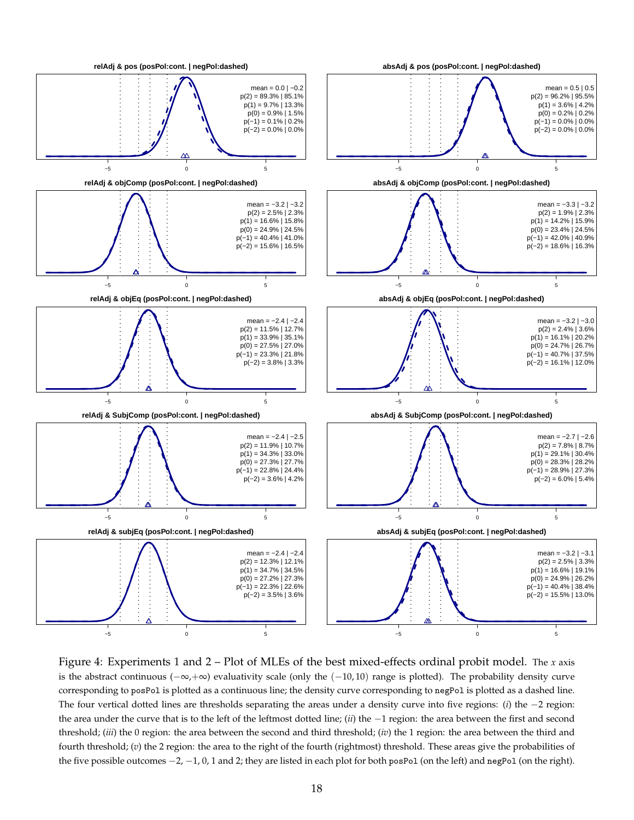![](_page_17_Figure_0.jpeg)

<span id="page-17-0"></span>Figure 4: Experiments 1 and 2 – Plot of MLEs of the best mixed-effects ordinal probit model. The *x* axis is the abstract continuous ( $-\infty, +\infty$ ) evaluativity scale (only the ( $-10, 10$ ) range is plotted). The probability density curve corresponding to posPol is plotted as a continuous line; the density curve corresponding to negPol is plotted as a dashed line. The four vertical dotted lines are thresholds separating the areas under a density curve into five regions: (*i*) the −2 region: the area under the curve that is to the left of the leftmost dotted line; (*ii*) the −1 region: the area between the first and second threshold; (*iii*) the 0 region: the area between the second and third threshold; (*iv*) the 1 region: the area between the third and fourth threshold; (*v*) the 2 region: the area to the right of the fourth (rightmost) threshold. These areas give the probabilities of the five possible outcomes −2, −1, 0, 1 and 2; they are listed in each plot for both posPol (on the left) and negPol (on the right).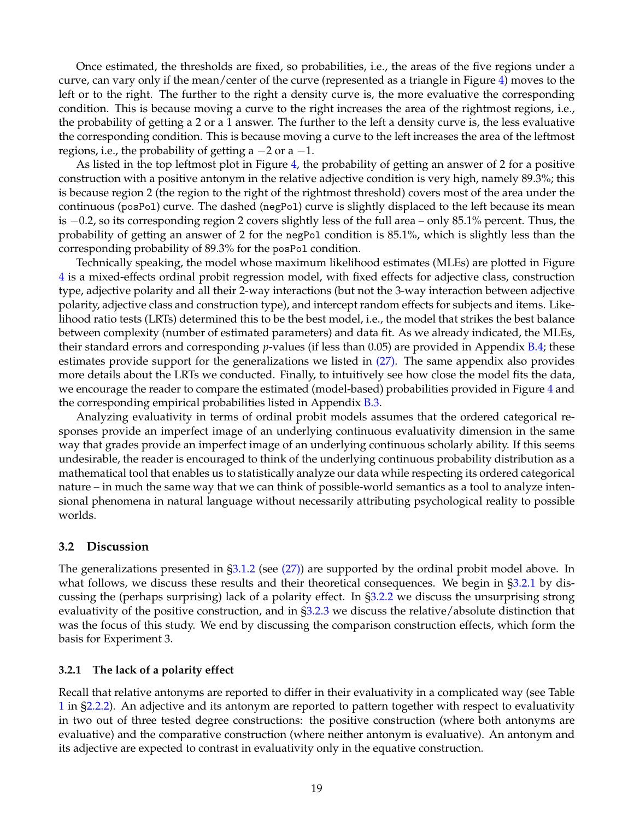Once estimated, the thresholds are fixed, so probabilities, i.e., the areas of the five regions under a curve, can vary only if the mean/center of the curve (represented as a triangle in Figure [4\)](#page-17-0) moves to the left or to the right. The further to the right a density curve is, the more evaluative the corresponding condition. This is because moving a curve to the right increases the area of the rightmost regions, i.e., the probability of getting a 2 or a 1 answer. The further to the left a density curve is, the less evaluative the corresponding condition. This is because moving a curve to the left increases the area of the leftmost regions, i.e., the probability of getting a  $-2$  or a  $-1$ .

As listed in the top leftmost plot in Figure [4,](#page-17-0) the probability of getting an answer of 2 for a positive construction with a positive antonym in the relative adjective condition is very high, namely 89.3%; this is because region 2 (the region to the right of the rightmost threshold) covers most of the area under the continuous (posPol) curve. The dashed (negPol) curve is slightly displaced to the left because its mean is −0.2, so its corresponding region 2 covers slightly less of the full area – only 85.1% percent. Thus, the probability of getting an answer of 2 for the negPol condition is 85.1%, which is slightly less than the corresponding probability of 89.3% for the posPol condition.

Technically speaking, the model whose maximum likelihood estimates (MLEs) are plotted in Figure [4](#page-17-0) is a mixed-effects ordinal probit regression model, with fixed effects for adjective class, construction type, adjective polarity and all their 2-way interactions (but not the 3-way interaction between adjective polarity, adjective class and construction type), and intercept random effects for subjects and items. Likelihood ratio tests (LRTs) determined this to be the best model, i.e., the model that strikes the best balance between complexity (number of estimated parameters) and data fit. As we already indicated, the MLEs, their standard errors and corresponding *p*-values (if less than 0.05) are provided in Appendix [B.4;](#page-45-1) these estimates provide support for the generalizations we listed in [\(27\).](#page-15-0) The same appendix also provides more details about the LRTs we conducted. Finally, to intuitively see how close the model fits the data, we encourage the reader to compare the estimated (model-based) probabilities provided in Figure [4](#page-17-0) and the corresponding empirical probabilities listed in Appendix [B.3.](#page-45-0)

Analyzing evaluativity in terms of ordinal probit models assumes that the ordered categorical responses provide an imperfect image of an underlying continuous evaluativity dimension in the same way that grades provide an imperfect image of an underlying continuous scholarly ability. If this seems undesirable, the reader is encouraged to think of the underlying continuous probability distribution as a mathematical tool that enables us to statistically analyze our data while respecting its ordered categorical nature – in much the same way that we can think of possible-world semantics as a tool to analyze intensional phenomena in natural language without necessarily attributing psychological reality to possible worlds.

#### <span id="page-18-0"></span>**3.2 Discussion**

The generalizations presented in [§3.1.2](#page-14-2) (see [\(27\)\)](#page-15-0) are supported by the ordinal probit model above. In what follows, we discuss these results and their theoretical consequences. We begin in [§3.2.1](#page-18-1) by discussing the (perhaps surprising) lack of a polarity effect. In [§3.2.2](#page-19-0) we discuss the unsurprising strong evaluativity of the positive construction, and in [§3.2.3](#page-20-0) we discuss the relative/absolute distinction that was the focus of this study. We end by discussing the comparison construction effects, which form the basis for Experiment 3.

#### <span id="page-18-1"></span>**3.2.1 The lack of a polarity effect**

Recall that relative antonyms are reported to differ in their evaluativity in a complicated way (see Table [1](#page-8-3) in [§2.2.2\)](#page-6-2). An adjective and its antonym are reported to pattern together with respect to evaluativity in two out of three tested degree constructions: the positive construction (where both antonyms are evaluative) and the comparative construction (where neither antonym is evaluative). An antonym and its adjective are expected to contrast in evaluativity only in the equative construction.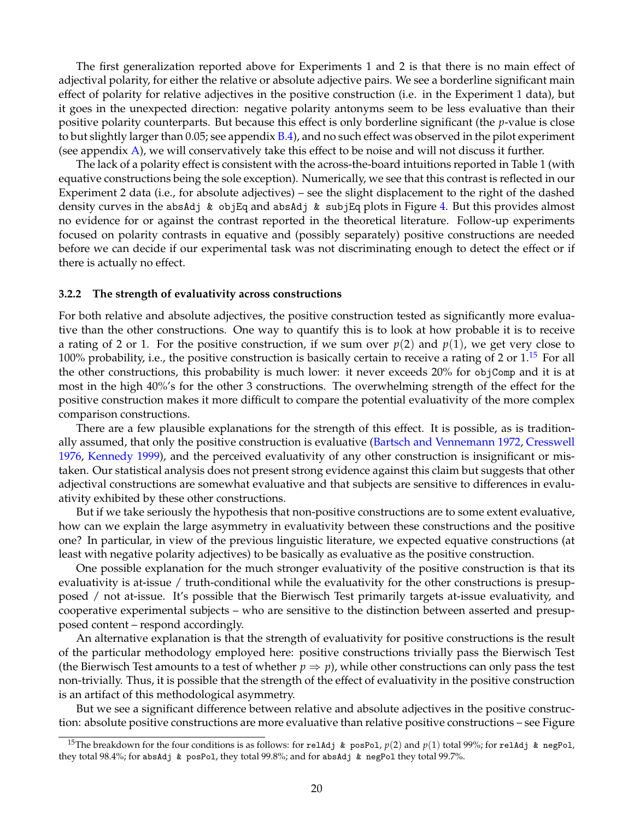The first generalization reported above for Experiments 1 and 2 is that there is no main effect of adjectival polarity, for either the relative or absolute adjective pairs. We see a borderline significant main effect of polarity for relative adjectives in the positive construction (i.e. in the Experiment 1 data), but it goes in the unexpected direction: negative polarity antonyms seem to be less evaluative than their positive polarity counterparts. But because this effect is only borderline significant (the *p*-value is close to but slightly larger than  $0.05$ ; see appendix  $B.4$ ), and no such effect was observed in the pilot experiment (see appendix [A\)](#page-35-4), we will conservatively take this effect to be noise and will not discuss it further.

The lack of a polarity effect is consistent with the across-the-board intuitions reported in Table 1 (with equative constructions being the sole exception). Numerically, we see that this contrast is reflected in our Experiment 2 data (i.e., for absolute adjectives) – see the slight displacement to the right of the dashed density curves in the absAdj & objEq and absAdj & subjEq plots in Figure [4.](#page-17-0) But this provides almost no evidence for or against the contrast reported in the theoretical literature. Follow-up experiments focused on polarity contrasts in equative and (possibly separately) positive constructions are needed before we can decide if our experimental task was not discriminating enough to detect the effect or if there is actually no effect.

#### <span id="page-19-0"></span>**3.2.2 The strength of evaluativity across constructions**

For both relative and absolute adjectives, the positive construction tested as significantly more evaluative than the other constructions. One way to quantify this is to look at how probable it is to receive a rating of 2 or 1. For the positive construction, if we sum over  $p(2)$  and  $p(1)$ , we get very close to 100% probability, i.e., the positive construction is basically certain to receive a rating of 2 or  $1^{15}$  $1^{15}$  $1^{15}$  For all the other constructions, this probability is much lower: it never exceeds 20% for objComp and it is at most in the high 40%'s for the other 3 constructions. The overwhelming strength of the effect for the positive construction makes it more difficult to compare the potential evaluativity of the more complex comparison constructions.

There are a few plausible explanations for the strength of this effect. It is possible, as is traditionally assumed, that only the positive construction is evaluative [\(Bartsch and Vennemann](#page-32-1) [1972,](#page-32-1) [Cresswell](#page-32-2) [1976,](#page-32-2) [Kennedy](#page-33-8) [1999\)](#page-33-8), and the perceived evaluativity of any other construction is insignificant or mistaken. Our statistical analysis does not present strong evidence against this claim but suggests that other adjectival constructions are somewhat evaluative and that subjects are sensitive to differences in evaluativity exhibited by these other constructions.

But if we take seriously the hypothesis that non-positive constructions are to some extent evaluative, how can we explain the large asymmetry in evaluativity between these constructions and the positive one? In particular, in view of the previous linguistic literature, we expected equative constructions (at least with negative polarity adjectives) to be basically as evaluative as the positive construction.

One possible explanation for the much stronger evaluativity of the positive construction is that its evaluativity is at-issue / truth-conditional while the evaluativity for the other constructions is presupposed / not at-issue. It's possible that the Bierwisch Test primarily targets at-issue evaluativity, and cooperative experimental subjects – who are sensitive to the distinction between asserted and presupposed content – respond accordingly.

An alternative explanation is that the strength of evaluativity for positive constructions is the result of the particular methodology employed here: positive constructions trivially pass the Bierwisch Test (the Bierwisch Test amounts to a test of whether  $p \Rightarrow p$ ), while other constructions can only pass the test non-trivially. Thus, it is possible that the strength of the effect of evaluativity in the positive construction is an artifact of this methodological asymmetry.

But we see a significant difference between relative and absolute adjectives in the positive construction: absolute positive constructions are more evaluative than relative positive constructions – see Figure

<span id="page-19-1"></span><sup>&</sup>lt;sup>15</sup>The breakdown for the four conditions is as follows: for relAdj & posPol,  $p(2)$  and  $p(1)$  total 99%; for relAdj & negPol, they total 98.4%; for absAdj & posPol, they total 99.8%; and for absAdj & negPol they total 99.7%.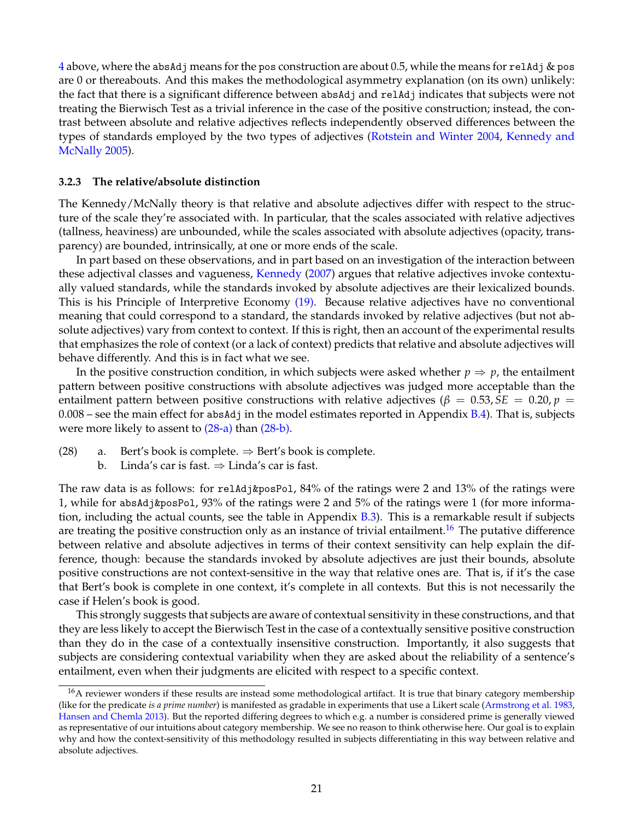[4](#page-17-0) above, where the absAdj means for the pos construction are about 0.5, while the means for relAdj & pos are 0 or thereabouts. And this makes the methodological asymmetry explanation (on its own) unlikely: the fact that there is a significant difference between absAdj and relAdj indicates that subjects were not treating the Bierwisch Test as a trivial inference in the case of the positive construction; instead, the contrast between absolute and relative adjectives reflects independently observed differences between the types of standards employed by the two types of adjectives [\(Rotstein and Winter](#page-34-2) [2004,](#page-34-2) [Kennedy and](#page-33-1) [McNally](#page-33-1) [2005\)](#page-33-1).

#### <span id="page-20-0"></span>**3.2.3 The relative/absolute distinction**

The Kennedy/McNally theory is that relative and absolute adjectives differ with respect to the structure of the scale they're associated with. In particular, that the scales associated with relative adjectives (tallness, heaviness) are unbounded, while the scales associated with absolute adjectives (opacity, transparency) are bounded, intrinsically, at one or more ends of the scale.

In part based on these observations, and in part based on an investigation of the interaction between these adjectival classes and vagueness, [Kennedy](#page-33-14) [\(2007\)](#page-33-14) argues that relative adjectives invoke contextually valued standards, while the standards invoked by absolute adjectives are their lexicalized bounds. This is his Principle of Interpretive Economy [\(19\).](#page-6-1) Because relative adjectives have no conventional meaning that could correspond to a standard, the standards invoked by relative adjectives (but not absolute adjectives) vary from context to context. If this is right, then an account of the experimental results that emphasizes the role of context (or a lack of context) predicts that relative and absolute adjectives will behave differently. And this is in fact what we see.

In the positive construction condition, in which subjects were asked whether  $p \Rightarrow p$ , the entailment pattern between positive constructions with absolute adjectives was judged more acceptable than the entailment pattern between positive constructions with relative adjectives ( $\beta = 0.53$ ,  $SE = 0.20$ ,  $p =$  $0.008$  – see the main effect for absAdj in the model estimates reported in Appendix [B.4\)](#page-45-1). That is, subjects were more likely to assent to [\(28-a\)](#page-20-1) than [\(28-b\).](#page-20-2)

- <span id="page-20-2"></span><span id="page-20-1"></span>(28) a. Bert's book is complete.  $\Rightarrow$  Bert's book is complete.
	- b. Linda's car is fast.  $\Rightarrow$  Linda's car is fast.

The raw data is as follows: for relAdj&posPol, 84% of the ratings were 2 and 13% of the ratings were 1, while for absAdj&posPol, 93% of the ratings were 2 and 5% of the ratings were 1 (for more information, including the actual counts, see the table in Appendix  $B.3$ ). This is a remarkable result if subjects are treating the positive construction only as an instance of trivial entailment.<sup>[16](#page-20-3)</sup> The putative difference between relative and absolute adjectives in terms of their context sensitivity can help explain the difference, though: because the standards invoked by absolute adjectives are just their bounds, absolute positive constructions are not context-sensitive in the way that relative ones are. That is, if it's the case that Bert's book is complete in one context, it's complete in all contexts. But this is not necessarily the case if Helen's book is good.

This strongly suggests that subjects are aware of contextual sensitivity in these constructions, and that they are less likely to accept the Bierwisch Test in the case of a contextually sensitive positive construction than they do in the case of a contextually insensitive construction. Importantly, it also suggests that subjects are considering contextual variability when they are asked about the reliability of a sentence's entailment, even when their judgments are elicited with respect to a specific context.

<span id="page-20-3"></span><sup>&</sup>lt;sup>16</sup>A reviewer wonders if these results are instead some methodological artifact. It is true that binary category membership (like for the predicate *is a prime number*) is manifested as gradable in experiments that use a Likert scale [\(Armstrong et al.](#page-32-17) [1983,](#page-32-17) [Hansen and Chemla](#page-33-19) [2013\)](#page-33-19). But the reported differing degrees to which e.g. a number is considered prime is generally viewed as representative of our intuitions about category membership. We see no reason to think otherwise here. Our goal is to explain why and how the context-sensitivity of this methodology resulted in subjects differentiating in this way between relative and absolute adjectives.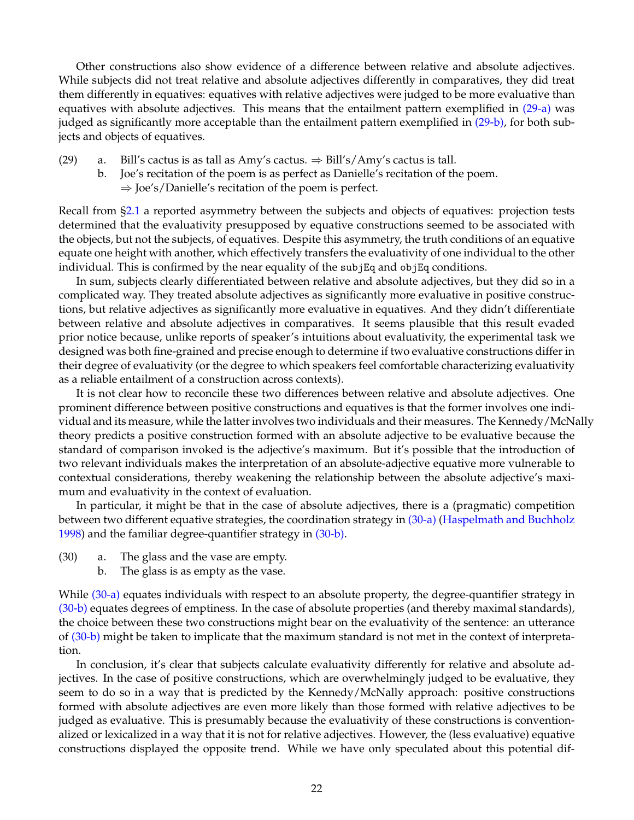Other constructions also show evidence of a difference between relative and absolute adjectives. While subjects did not treat relative and absolute adjectives differently in comparatives, they did treat them differently in equatives: equatives with relative adjectives were judged to be more evaluative than equatives with absolute adjectives. This means that the entailment pattern exemplified in [\(29-a\)](#page-21-0) was judged as significantly more acceptable than the entailment pattern exemplified in [\(29-b\),](#page-21-1) for both subjects and objects of equatives.

- <span id="page-21-1"></span><span id="page-21-0"></span>(29) a. Bill's cactus is as tall as Amy's cactus.  $\Rightarrow$  Bill's/Amy's cactus is tall.
	- b. Joe's recitation of the poem is as perfect as Danielle's recitation of the poem.  $\Rightarrow$  Joe's/Danielle's recitation of the poem is perfect.

Recall from [§2.1](#page-2-10) a reported asymmetry between the subjects and objects of equatives: projection tests determined that the evaluativity presupposed by equative constructions seemed to be associated with the objects, but not the subjects, of equatives. Despite this asymmetry, the truth conditions of an equative equate one height with another, which effectively transfers the evaluativity of one individual to the other individual. This is confirmed by the near equality of the subjEq and objEq conditions.

In sum, subjects clearly differentiated between relative and absolute adjectives, but they did so in a complicated way. They treated absolute adjectives as significantly more evaluative in positive constructions, but relative adjectives as significantly more evaluative in equatives. And they didn't differentiate between relative and absolute adjectives in comparatives. It seems plausible that this result evaded prior notice because, unlike reports of speaker's intuitions about evaluativity, the experimental task we designed was both fine-grained and precise enough to determine if two evaluative constructions differ in their degree of evaluativity (or the degree to which speakers feel comfortable characterizing evaluativity as a reliable entailment of a construction across contexts).

It is not clear how to reconcile these two differences between relative and absolute adjectives. One prominent difference between positive constructions and equatives is that the former involves one individual and its measure, while the latter involves two individuals and their measures. The Kennedy/McNally theory predicts a positive construction formed with an absolute adjective to be evaluative because the standard of comparison invoked is the adjective's maximum. But it's possible that the introduction of two relevant individuals makes the interpretation of an absolute-adjective equative more vulnerable to contextual considerations, thereby weakening the relationship between the absolute adjective's maximum and evaluativity in the context of evaluation.

In particular, it might be that in the case of absolute adjectives, there is a (pragmatic) competition between two different equative strategies, the coordination strategy in [\(30-a\)](#page-21-2) [\(Haspelmath and Buchholz](#page-33-20) [1998\)](#page-33-20) and the familiar degree-quantifier strategy in [\(30-b\).](#page-21-3)

- <span id="page-21-3"></span><span id="page-21-2"></span>(30) a. The glass and the vase are empty.
	- b. The glass is as empty as the vase.

While [\(30-a\)](#page-21-2) equates individuals with respect to an absolute property, the degree-quantifier strategy in [\(30-b\)](#page-21-3) equates degrees of emptiness. In the case of absolute properties (and thereby maximal standards), the choice between these two constructions might bear on the evaluativity of the sentence: an utterance of [\(30-b\)](#page-21-3) might be taken to implicate that the maximum standard is not met in the context of interpretation.

In conclusion, it's clear that subjects calculate evaluativity differently for relative and absolute adjectives. In the case of positive constructions, which are overwhelmingly judged to be evaluative, they seem to do so in a way that is predicted by the Kennedy/McNally approach: positive constructions formed with absolute adjectives are even more likely than those formed with relative adjectives to be judged as evaluative. This is presumably because the evaluativity of these constructions is conventionalized or lexicalized in a way that it is not for relative adjectives. However, the (less evaluative) equative constructions displayed the opposite trend. While we have only speculated about this potential dif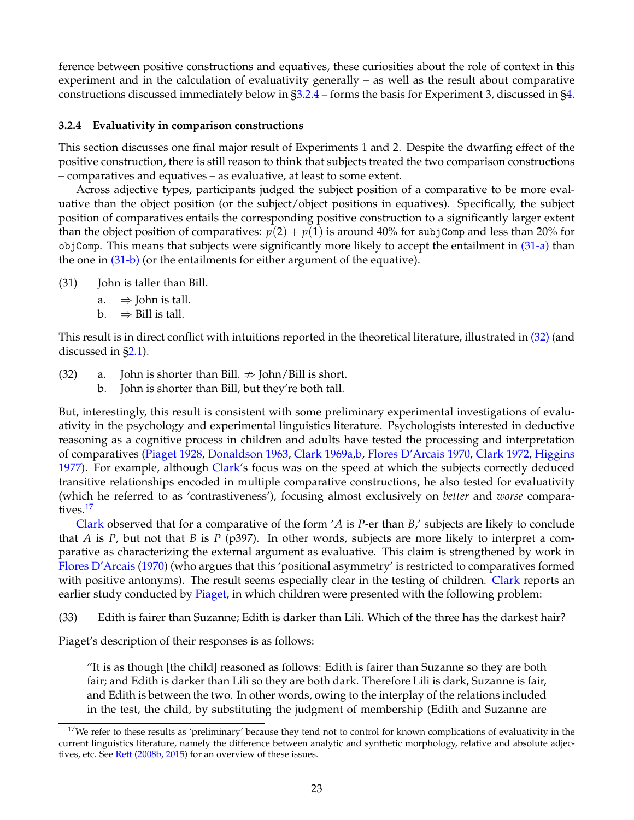ference between positive constructions and equatives, these curiosities about the role of context in this experiment and in the calculation of evaluativity generally – as well as the result about comparative constructions discussed immediately below in [§3.2.4](#page-22-0) – forms the basis for Experiment 3, discussed in [§4.](#page-26-0)

### <span id="page-22-0"></span>**3.2.4 Evaluativity in comparison constructions**

This section discusses one final major result of Experiments 1 and 2. Despite the dwarfing effect of the positive construction, there is still reason to think that subjects treated the two comparison constructions – comparatives and equatives – as evaluative, at least to some extent.

Across adjective types, participants judged the subject position of a comparative to be more evaluative than the object position (or the subject/object positions in equatives). Specifically, the subject position of comparatives entails the corresponding positive construction to a significantly larger extent than the object position of comparatives:  $p(2) + p(1)$  is around 40% for subjComp and less than 20% for  $objComp.$  This means that subjects were significantly more likely to accept the entailment in  $(31-a)$  than the one in [\(31-b\)](#page-22-2) (or the entailments for either argument of the equative).

<span id="page-22-5"></span><span id="page-22-1"></span>(31) John is taller than Bill.

- a.  $\Rightarrow$  John is tall.
- b.  $\Rightarrow$  Bill is tall.

<span id="page-22-2"></span>This result is in direct conflict with intuitions reported in the theoretical literature, illustrated in [\(32\)](#page-22-3) (and discussed in [§2.1\)](#page-2-10).

<span id="page-22-3"></span>(32) a. John is shorter than Bill.  $\Rightarrow$  John/Bill is short.

b. John is shorter than Bill, but they're both tall.

But, interestingly, this result is consistent with some preliminary experimental investigations of evaluativity in the psychology and experimental linguistics literature. Psychologists interested in deductive reasoning as a cognitive process in children and adults have tested the processing and interpretation of comparatives [\(Piaget](#page-34-22) [1928,](#page-34-22) [Donaldson](#page-33-21) [1963,](#page-33-21) [Clark](#page-32-18) [1969a,](#page-32-18)[b,](#page-32-19) [Flores D'Arcais](#page-33-22) [1970,](#page-33-22) [Clark](#page-32-20) [1972,](#page-32-20) [Higgins](#page-33-23) [1977\)](#page-33-23). For example, although [Clark'](#page-32-18)s focus was on the speed at which the subjects correctly deduced transitive relationships encoded in multiple comparative constructions, he also tested for evaluativity (which he referred to as 'contrastiveness'), focusing almost exclusively on *better* and *worse* compara-tives.<sup>[17](#page-22-4)</sup>

[Clark](#page-32-18) observed that for a comparative of the form '*A* is *P*-er than *B*,' subjects are likely to conclude that *A* is *P*, but not that *B* is *P* (p397). In other words, subjects are more likely to interpret a comparative as characterizing the external argument as evaluative. This claim is strengthened by work in [Flores D'Arcais](#page-33-22) [\(1970\)](#page-33-22) (who argues that this 'positional asymmetry' is restricted to comparatives formed with positive antonyms). The result seems especially clear in the testing of children. [Clark](#page-32-18) reports an earlier study conducted by [Piaget,](#page-34-22) in which children were presented with the following problem:

(33) Edith is fairer than Suzanne; Edith is darker than Lili. Which of the three has the darkest hair?

Piaget's description of their responses is as follows:

"It is as though [the child] reasoned as follows: Edith is fairer than Suzanne so they are both fair; and Edith is darker than Lili so they are both dark. Therefore Lili is dark, Suzanne is fair, and Edith is between the two. In other words, owing to the interplay of the relations included in the test, the child, by substituting the judgment of membership (Edith and Suzanne are

<span id="page-22-4"></span> $17$ We refer to these results as 'preliminary' because they tend not to control for known complications of evaluativity in the current linguistics literature, namely the difference between analytic and synthetic morphology, relative and absolute adjectives, etc. See [Rett](#page-34-3) [\(2008b,](#page-34-3) [2015\)](#page-34-4) for an overview of these issues.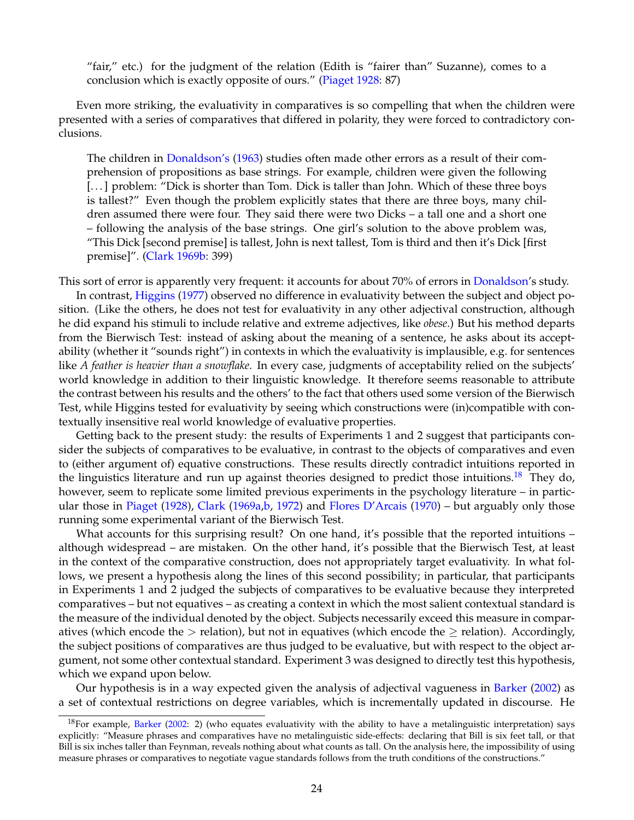"fair," etc.) for the judgment of the relation (Edith is "fairer than" Suzanne), comes to a conclusion which is exactly opposite of ours." [\(Piaget](#page-34-22) [1928:](#page-34-22) 87)

Even more striking, the evaluativity in comparatives is so compelling that when the children were presented with a series of comparatives that differed in polarity, they were forced to contradictory conclusions.

The children in [Donaldson's](#page-33-21) [\(1963\)](#page-33-21) studies often made other errors as a result of their comprehension of propositions as base strings. For example, children were given the following [. . . ] problem: "Dick is shorter than Tom. Dick is taller than John. Which of these three boys is tallest?" Even though the problem explicitly states that there are three boys, many children assumed there were four. They said there were two Dicks – a tall one and a short one – following the analysis of the base strings. One girl's solution to the above problem was, "This Dick [second premise] is tallest, John is next tallest, Tom is third and then it's Dick [first premise]". [\(Clark](#page-32-19) [1969b:](#page-32-19) 399)

This sort of error is apparently very frequent: it accounts for about 70% of errors in [Donaldson'](#page-33-21)s study.

In contrast, [Higgins](#page-33-23) [\(1977\)](#page-33-23) observed no difference in evaluativity between the subject and object position. (Like the others, he does not test for evaluativity in any other adjectival construction, although he did expand his stimuli to include relative and extreme adjectives, like *obese*.) But his method departs from the Bierwisch Test: instead of asking about the meaning of a sentence, he asks about its acceptability (whether it "sounds right") in contexts in which the evaluativity is implausible, e.g. for sentences like *A feather is heavier than a snowflake*. In every case, judgments of acceptability relied on the subjects' world knowledge in addition to their linguistic knowledge. It therefore seems reasonable to attribute the contrast between his results and the others' to the fact that others used some version of the Bierwisch Test, while Higgins tested for evaluativity by seeing which constructions were (in)compatible with contextually insensitive real world knowledge of evaluative properties.

Getting back to the present study: the results of Experiments 1 and 2 suggest that participants consider the subjects of comparatives to be evaluative, in contrast to the objects of comparatives and even to (either argument of) equative constructions. These results directly contradict intuitions reported in the linguistics literature and run up against theories designed to predict those intuitions.<sup>[18](#page-23-0)</sup> They do, however, seem to replicate some limited previous experiments in the psychology literature – in particular those in [Piaget](#page-34-22) [\(1928\)](#page-34-22), [Clark](#page-32-18) [\(1969a](#page-32-18)[,b,](#page-32-19) [1972\)](#page-32-20) and [Flores D'Arcais](#page-33-22) [\(1970\)](#page-33-22) – but arguably only those running some experimental variant of the Bierwisch Test.

What accounts for this surprising result? On one hand, it's possible that the reported intuitions – although widespread – are mistaken. On the other hand, it's possible that the Bierwisch Test, at least in the context of the comparative construction, does not appropriately target evaluativity. In what follows, we present a hypothesis along the lines of this second possibility; in particular, that participants in Experiments 1 and 2 judged the subjects of comparatives to be evaluative because they interpreted comparatives – but not equatives – as creating a context in which the most salient contextual standard is the measure of the individual denoted by the object. Subjects necessarily exceed this measure in comparatives (which encode the  $>$  relation), but not in equatives (which encode the  $\geq$  relation). Accordingly, the subject positions of comparatives are thus judged to be evaluative, but with respect to the object argument, not some other contextual standard. Experiment 3 was designed to directly test this hypothesis, which we expand upon below.

Our hypothesis is in a way expected given the analysis of adjectival vagueness in [Barker](#page-32-3) [\(2002\)](#page-32-3) as a set of contextual restrictions on degree variables, which is incrementally updated in discourse. He

<span id="page-23-0"></span> $18$ For example, [Barker](#page-32-3) [\(2002:](#page-32-3) 2) (who equates evaluativity with the ability to have a metalinguistic interpretation) says explicitly: "Measure phrases and comparatives have no metalinguistic side-effects: declaring that Bill is six feet tall, or that Bill is six inches taller than Feynman, reveals nothing about what counts as tall. On the analysis here, the impossibility of using measure phrases or comparatives to negotiate vague standards follows from the truth conditions of the constructions."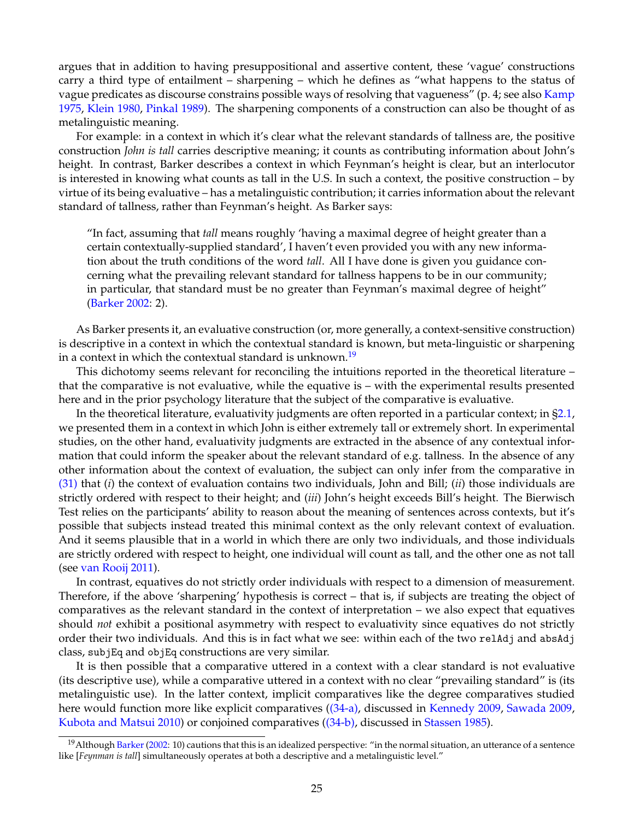argues that in addition to having presuppositional and assertive content, these 'vague' constructions carry a third type of entailment – sharpening – which he defines as "what happens to the status of vague predicates as discourse constrains possible ways of resolving that vagueness" (p. 4; see also [Kamp](#page-33-2) [1975,](#page-33-2) [Klein](#page-33-0) [1980,](#page-33-0) [Pinkal](#page-34-23) [1989\)](#page-34-23). The sharpening components of a construction can also be thought of as metalinguistic meaning.

For example: in a context in which it's clear what the relevant standards of tallness are, the positive construction *John is tall* carries descriptive meaning; it counts as contributing information about John's height. In contrast, Barker describes a context in which Feynman's height is clear, but an interlocutor is interested in knowing what counts as tall in the U.S. In such a context, the positive construction – by virtue of its being evaluative – has a metalinguistic contribution; it carries information about the relevant standard of tallness, rather than Feynman's height. As Barker says:

"In fact, assuming that *tall* means roughly 'having a maximal degree of height greater than a certain contextually-supplied standard', I haven't even provided you with any new information about the truth conditions of the word *tall*. All I have done is given you guidance concerning what the prevailing relevant standard for tallness happens to be in our community; in particular, that standard must be no greater than Feynman's maximal degree of height" [\(Barker](#page-32-3) [2002:](#page-32-3) 2).

As Barker presents it, an evaluative construction (or, more generally, a context-sensitive construction) is descriptive in a context in which the contextual standard is known, but meta-linguistic or sharpening in a context in which the contextual standard is unknown.<sup>[19](#page-24-0)</sup>

This dichotomy seems relevant for reconciling the intuitions reported in the theoretical literature – that the comparative is not evaluative, while the equative is – with the experimental results presented here and in the prior psychology literature that the subject of the comparative is evaluative.

In the theoretical literature, evaluativity judgments are often reported in a particular context; in [§2.1,](#page-2-10) we presented them in a context in which John is either extremely tall or extremely short. In experimental studies, on the other hand, evaluativity judgments are extracted in the absence of any contextual information that could inform the speaker about the relevant standard of e.g. tallness. In the absence of any other information about the context of evaluation, the subject can only infer from the comparative in [\(31\)](#page-22-5) that (*i*) the context of evaluation contains two individuals, John and Bill; (*ii*) those individuals are strictly ordered with respect to their height; and (*iii*) John's height exceeds Bill's height. The Bierwisch Test relies on the participants' ability to reason about the meaning of sentences across contexts, but it's possible that subjects instead treated this minimal context as the only relevant context of evaluation. And it seems plausible that in a world in which there are only two individuals, and those individuals are strictly ordered with respect to height, one individual will count as tall, and the other one as not tall (see [van Rooij](#page-34-24) [2011\)](#page-34-24).

In contrast, equatives do not strictly order individuals with respect to a dimension of measurement. Therefore, if the above 'sharpening' hypothesis is correct – that is, if subjects are treating the object of comparatives as the relevant standard in the context of interpretation – we also expect that equatives should *not* exhibit a positional asymmetry with respect to evaluativity since equatives do not strictly order their two individuals. And this is in fact what we see: within each of the two relAdj and absAdj class, subjEq and objEq constructions are very similar.

It is then possible that a comparative uttered in a context with a clear standard is not evaluative (its descriptive use), while a comparative uttered in a context with no clear "prevailing standard" is (its metalinguistic use). In the latter context, implicit comparatives like the degree comparatives studied here would function more like explicit comparatives [\(\(34-a\),](#page-25-0) discussed in [Kennedy](#page-33-24) [2009,](#page-33-24) [Sawada](#page-34-25) [2009,](#page-34-25) [Kubota and Matsui](#page-33-25) [2010\)](#page-33-25) or conjoined comparatives [\(\(34-b\),](#page-25-1) discussed in [Stassen](#page-34-26) [1985\)](#page-34-26).

<span id="page-24-0"></span> $19$ Although [Barker](#page-32-3) [\(2002:](#page-32-3) 10) cautions that this is an idealized perspective: "in the normal situation, an utterance of a sentence like [*Feynman is tall*] simultaneously operates at both a descriptive and a metalinguistic level."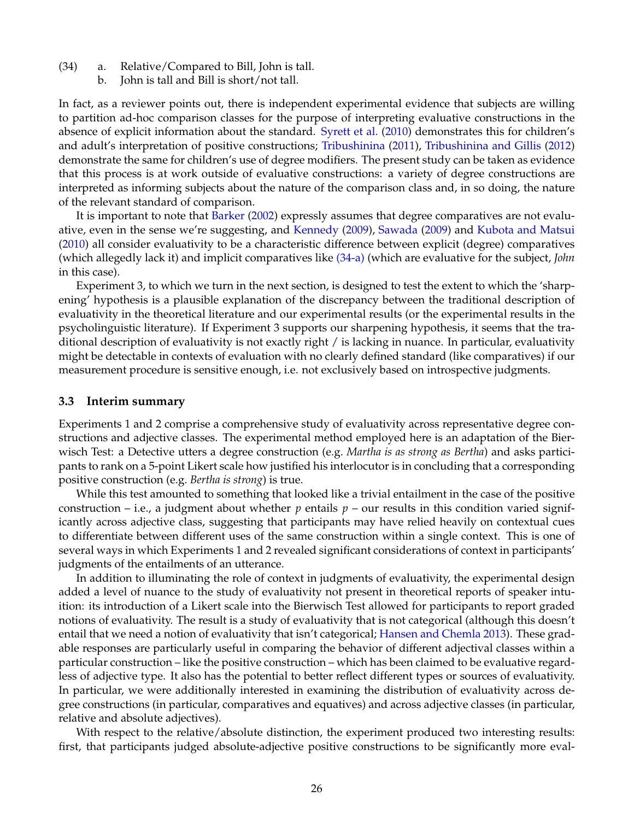- <span id="page-25-1"></span><span id="page-25-0"></span>(34) a. Relative/Compared to Bill, John is tall.
	- b. John is tall and Bill is short/not tall.

In fact, as a reviewer points out, there is independent experimental evidence that subjects are willing to partition ad-hoc comparison classes for the purpose of interpreting evaluative constructions in the absence of explicit information about the standard. [Syrett et al.](#page-34-14) [\(2010\)](#page-34-14) demonstrates this for children's and adult's interpretation of positive constructions; [Tribushinina](#page-35-5) [\(2011\)](#page-35-5), [Tribushinina and Gillis](#page-35-6) [\(2012\)](#page-35-6) demonstrate the same for children's use of degree modifiers. The present study can be taken as evidence that this process is at work outside of evaluative constructions: a variety of degree constructions are interpreted as informing subjects about the nature of the comparison class and, in so doing, the nature of the relevant standard of comparison.

It is important to note that [Barker](#page-32-3) [\(2002\)](#page-32-3) expressly assumes that degree comparatives are not evaluative, even in the sense we're suggesting, and [Kennedy](#page-33-24) [\(2009\)](#page-33-24), [Sawada](#page-34-25) [\(2009\)](#page-34-25) and [Kubota and Matsui](#page-33-25) [\(2010\)](#page-33-25) all consider evaluativity to be a characteristic difference between explicit (degree) comparatives (which allegedly lack it) and implicit comparatives like [\(34-a\)](#page-25-0) (which are evaluative for the subject, *John* in this case).

Experiment 3, to which we turn in the next section, is designed to test the extent to which the 'sharpening' hypothesis is a plausible explanation of the discrepancy between the traditional description of evaluativity in the theoretical literature and our experimental results (or the experimental results in the psycholinguistic literature). If Experiment 3 supports our sharpening hypothesis, it seems that the traditional description of evaluativity is not exactly right / is lacking in nuance. In particular, evaluativity might be detectable in contexts of evaluation with no clearly defined standard (like comparatives) if our measurement procedure is sensitive enough, i.e. not exclusively based on introspective judgments.

#### **3.3 Interim summary**

Experiments 1 and 2 comprise a comprehensive study of evaluativity across representative degree constructions and adjective classes. The experimental method employed here is an adaptation of the Bierwisch Test: a Detective utters a degree construction (e.g. *Martha is as strong as Bertha*) and asks participants to rank on a 5-point Likert scale how justified his interlocutor is in concluding that a corresponding positive construction (e.g. *Bertha is strong*) is true.

While this test amounted to something that looked like a trivial entailment in the case of the positive construction – i.e., a judgment about whether  $p$  entails  $p$  – our results in this condition varied significantly across adjective class, suggesting that participants may have relied heavily on contextual cues to differentiate between different uses of the same construction within a single context. This is one of several ways in which Experiments 1 and 2 revealed significant considerations of context in participants' judgments of the entailments of an utterance.

In addition to illuminating the role of context in judgments of evaluativity, the experimental design added a level of nuance to the study of evaluativity not present in theoretical reports of speaker intuition: its introduction of a Likert scale into the Bierwisch Test allowed for participants to report graded notions of evaluativity. The result is a study of evaluativity that is not categorical (although this doesn't entail that we need a notion of evaluativity that isn't categorical; [Hansen and Chemla](#page-33-19) [2013\)](#page-33-19). These gradable responses are particularly useful in comparing the behavior of different adjectival classes within a particular construction – like the positive construction – which has been claimed to be evaluative regardless of adjective type. It also has the potential to better reflect different types or sources of evaluativity. In particular, we were additionally interested in examining the distribution of evaluativity across degree constructions (in particular, comparatives and equatives) and across adjective classes (in particular, relative and absolute adjectives).

With respect to the relative/absolute distinction, the experiment produced two interesting results: first, that participants judged absolute-adjective positive constructions to be significantly more eval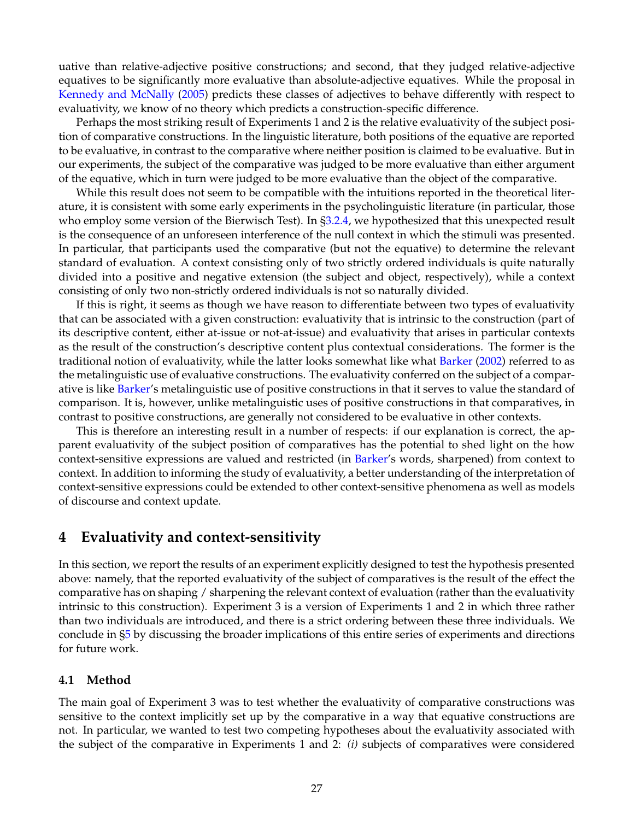uative than relative-adjective positive constructions; and second, that they judged relative-adjective equatives to be significantly more evaluative than absolute-adjective equatives. While the proposal in [Kennedy and McNally](#page-33-1) [\(2005\)](#page-33-1) predicts these classes of adjectives to behave differently with respect to evaluativity, we know of no theory which predicts a construction-specific difference.

Perhaps the most striking result of Experiments 1 and 2 is the relative evaluativity of the subject position of comparative constructions. In the linguistic literature, both positions of the equative are reported to be evaluative, in contrast to the comparative where neither position is claimed to be evaluative. But in our experiments, the subject of the comparative was judged to be more evaluative than either argument of the equative, which in turn were judged to be more evaluative than the object of the comparative.

While this result does not seem to be compatible with the intuitions reported in the theoretical literature, it is consistent with some early experiments in the psycholinguistic literature (in particular, those who employ some version of the Bierwisch Test). In [§3.2.4,](#page-22-0) we hypothesized that this unexpected result is the consequence of an unforeseen interference of the null context in which the stimuli was presented. In particular, that participants used the comparative (but not the equative) to determine the relevant standard of evaluation. A context consisting only of two strictly ordered individuals is quite naturally divided into a positive and negative extension (the subject and object, respectively), while a context consisting of only two non-strictly ordered individuals is not so naturally divided.

If this is right, it seems as though we have reason to differentiate between two types of evaluativity that can be associated with a given construction: evaluativity that is intrinsic to the construction (part of its descriptive content, either at-issue or not-at-issue) and evaluativity that arises in particular contexts as the result of the construction's descriptive content plus contextual considerations. The former is the traditional notion of evaluativity, while the latter looks somewhat like what [Barker](#page-32-3) [\(2002\)](#page-32-3) referred to as the metalinguistic use of evaluative constructions. The evaluativity conferred on the subject of a comparative is like [Barker'](#page-32-3)s metalinguistic use of positive constructions in that it serves to value the standard of comparison. It is, however, unlike metalinguistic uses of positive constructions in that comparatives, in contrast to positive constructions, are generally not considered to be evaluative in other contexts.

This is therefore an interesting result in a number of respects: if our explanation is correct, the apparent evaluativity of the subject position of comparatives has the potential to shed light on the how context-sensitive expressions are valued and restricted (in [Barker'](#page-32-3)s words, sharpened) from context to context. In addition to informing the study of evaluativity, a better understanding of the interpretation of context-sensitive expressions could be extended to other context-sensitive phenomena as well as models of discourse and context update.

# <span id="page-26-0"></span>**4 Evaluativity and context-sensitivity**

In this section, we report the results of an experiment explicitly designed to test the hypothesis presented above: namely, that the reported evaluativity of the subject of comparatives is the result of the effect the comparative has on shaping / sharpening the relevant context of evaluation (rather than the evaluativity intrinsic to this construction). Experiment 3 is a version of Experiments 1 and 2 in which three rather than two individuals are introduced, and there is a strict ordering between these three individuals. We conclude in [§5](#page-29-0) by discussing the broader implications of this entire series of experiments and directions for future work.

#### **4.1 Method**

The main goal of Experiment 3 was to test whether the evaluativity of comparative constructions was sensitive to the context implicitly set up by the comparative in a way that equative constructions are not. In particular, we wanted to test two competing hypotheses about the evaluativity associated with the subject of the comparative in Experiments 1 and 2: *(i)* subjects of comparatives were considered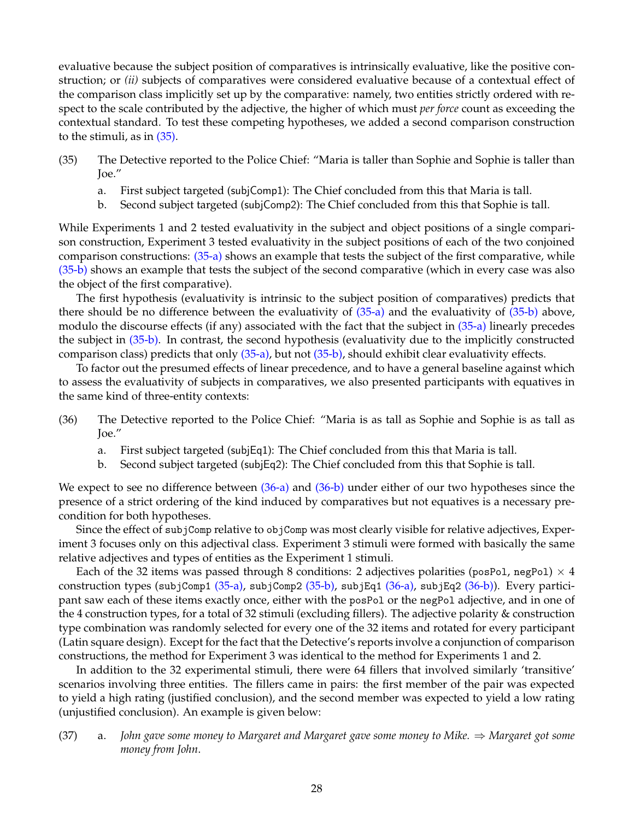evaluative because the subject position of comparatives is intrinsically evaluative, like the positive construction; or *(ii)* subjects of comparatives were considered evaluative because of a contextual effect of the comparison class implicitly set up by the comparative: namely, two entities strictly ordered with respect to the scale contributed by the adjective, the higher of which must *per force* count as exceeding the contextual standard. To test these competing hypotheses, we added a second comparison construction to the stimuli, as in [\(35\).](#page-27-0)

- <span id="page-27-1"></span><span id="page-27-0"></span>(35) The Detective reported to the Police Chief: "Maria is taller than Sophie and Sophie is taller than Joe."
	- a. First subject targeted (subjComp1): The Chief concluded from this that Maria is tall.
	- b. Second subject targeted (subjComp2): The Chief concluded from this that Sophie is tall.

<span id="page-27-2"></span>While Experiments 1 and 2 tested evaluativity in the subject and object positions of a single comparison construction, Experiment 3 tested evaluativity in the subject positions of each of the two conjoined comparison constructions: [\(35-a\)](#page-27-1) shows an example that tests the subject of the first comparative, while [\(35-b\)](#page-27-2) shows an example that tests the subject of the second comparative (which in every case was also the object of the first comparative).

The first hypothesis (evaluativity is intrinsic to the subject position of comparatives) predicts that there should be no difference between the evaluativity of [\(35-a\)](#page-27-1) and the evaluativity of [\(35-b\)](#page-27-2) above, modulo the discourse effects (if any) associated with the fact that the subject in [\(35-a\)](#page-27-1) linearly precedes the subject in [\(35-b\).](#page-27-2) In contrast, the second hypothesis (evaluativity due to the implicitly constructed comparison class) predicts that only [\(35-a\),](#page-27-1) but not [\(35-b\),](#page-27-2) should exhibit clear evaluativity effects.

To factor out the presumed effects of linear precedence, and to have a general baseline against which to assess the evaluativity of subjects in comparatives, we also presented participants with equatives in the same kind of three-entity contexts:

- <span id="page-27-5"></span><span id="page-27-3"></span>(36) The Detective reported to the Police Chief: "Maria is as tall as Sophie and Sophie is as tall as Joe."
	- a. First subject targeted (subjEq1): The Chief concluded from this that Maria is tall.
	- b. Second subject targeted (subjEq2): The Chief concluded from this that Sophie is tall.

<span id="page-27-4"></span>We expect to see no difference between [\(36-a\)](#page-27-3) and [\(36-b\)](#page-27-4) under either of our two hypotheses since the presence of a strict ordering of the kind induced by comparatives but not equatives is a necessary precondition for both hypotheses.

Since the effect of subjComp relative to objComp was most clearly visible for relative adjectives, Experiment 3 focuses only on this adjectival class. Experiment 3 stimuli were formed with basically the same relative adjectives and types of entities as the Experiment 1 stimuli.

Each of the 32 items was passed through 8 conditions: 2 adjectives polarities (posPo1, negPo1)  $\times$  4 construction types (subjComp1 [\(35-a\),](#page-27-1) subjComp2 [\(35-b\),](#page-27-2) subjEq1 [\(36-a\),](#page-27-3) subjEq2 [\(36-b\)\)](#page-27-4). Every participant saw each of these items exactly once, either with the posPol or the negPol adjective, and in one of the 4 construction types, for a total of 32 stimuli (excluding fillers). The adjective polarity & construction type combination was randomly selected for every one of the 32 items and rotated for every participant (Latin square design). Except for the fact that the Detective's reports involve a conjunction of comparison constructions, the method for Experiment 3 was identical to the method for Experiments 1 and 2.

In addition to the 32 experimental stimuli, there were 64 fillers that involved similarly 'transitive' scenarios involving three entities. The fillers came in pairs: the first member of the pair was expected to yield a high rating (justified conclusion), and the second member was expected to yield a low rating (unjustified conclusion). An example is given below:

(37) a. *John gave some money to Margaret and Margaret gave some money to Mike.* ⇒ *Margaret got some money from John*.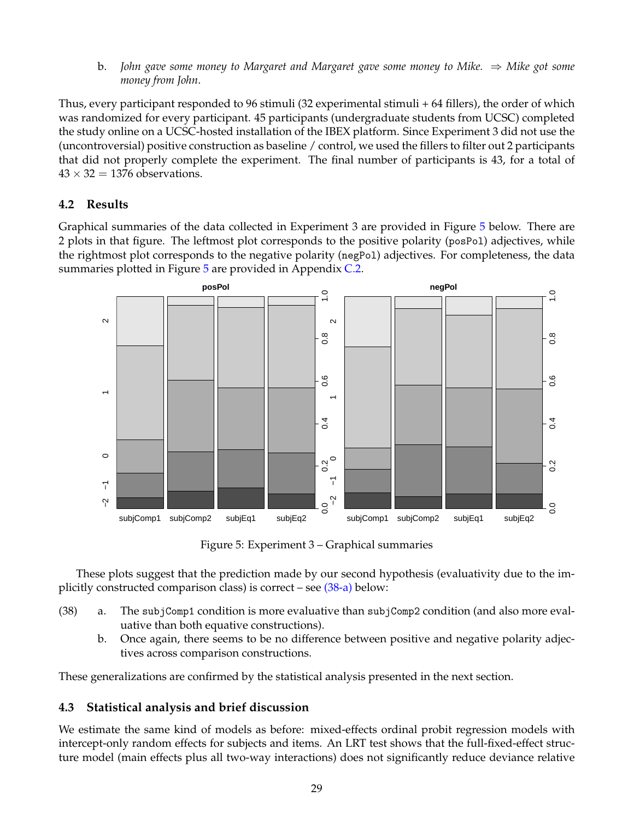b. *John gave some money to Margaret and Margaret gave some money to Mike.* ⇒ *Mike got some money from John*.

Thus, every participant responded to 96 stimuli (32 experimental stimuli + 64 fillers), the order of which was randomized for every participant. 45 participants (undergraduate students from UCSC) completed the study online on a UCSC-hosted installation of the IBEX platform. Since Experiment 3 did not use the (uncontroversial) positive construction as baseline / control, we used the fillers to filter out 2 participants that did not properly complete the experiment. The final number of participants is 43, for a total of  $43 \times 32 = 1376$  observations.

# **4.2 Results**

Graphical summaries of the data collected in Experiment 3 are provided in Figure [5](#page-28-0) below. There are 2 plots in that figure. The leftmost plot corresponds to the positive polarity (posPol) adjectives, while the rightmost plot corresponds to the negative polarity (negPol) adjectives. For completeness, the data summaries plotted in Figure [5](#page-28-0) are provided in Appendix [C.2.](#page-47-0)

![](_page_28_Figure_4.jpeg)

Figure 5: Experiment 3 – Graphical summaries

<span id="page-28-0"></span>These plots suggest that the prediction made by our second hypothesis (evaluativity due to the implicitly constructed comparison class) is correct – see  $(38-a)$  below:

- <span id="page-28-1"></span>(38) a. The subjComp1 condition is more evaluative than subjComp2 condition (and also more evaluative than both equative constructions).
	- b. Once again, there seems to be no difference between positive and negative polarity adjectives across comparison constructions.

These generalizations are confirmed by the statistical analysis presented in the next section.

# **4.3 Statistical analysis and brief discussion**

We estimate the same kind of models as before: mixed-effects ordinal probit regression models with intercept-only random effects for subjects and items. An LRT test shows that the full-fixed-effect structure model (main effects plus all two-way interactions) does not significantly reduce deviance relative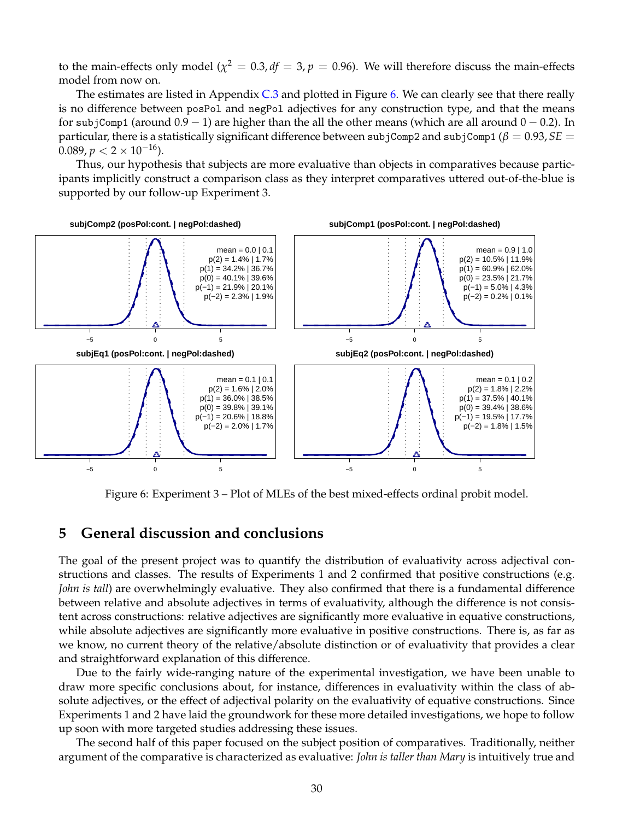to the main-effects only model ( $\chi^2 = 0.3$ ,  $df = 3$ ,  $p = 0.96$ ). We will therefore discuss the main-effects model from now on.

The estimates are listed in Appendix  $C_0$  and plotted in Figure [6.](#page-29-1) We can clearly see that there really is no difference between posPol and negPol adjectives for any construction type, and that the means for subjComp1 (around  $0.9 - 1$ ) are higher than the all the other means (which are all around  $0 - 0.2$ ). In particular, there is a statistically significant difference between subjComp2 and subjComp1 ( $\beta = 0.93$ ,  $SE =$ 0.089,  $p < 2 \times 10^{-16}$ ).

Thus, our hypothesis that subjects are more evaluative than objects in comparatives because participants implicitly construct a comparison class as they interpret comparatives uttered out-of-the-blue is supported by our follow-up Experiment 3.

![](_page_29_Figure_3.jpeg)

<span id="page-29-1"></span>Figure 6: Experiment 3 – Plot of MLEs of the best mixed-effects ordinal probit model.

### <span id="page-29-0"></span>**5 General discussion and conclusions**

The goal of the present project was to quantify the distribution of evaluativity across adjectival constructions and classes. The results of Experiments 1 and 2 confirmed that positive constructions (e.g. *John is tall*) are overwhelmingly evaluative. They also confirmed that there is a fundamental difference between relative and absolute adjectives in terms of evaluativity, although the difference is not consistent across constructions: relative adjectives are significantly more evaluative in equative constructions, while absolute adjectives are significantly more evaluative in positive constructions. There is, as far as we know, no current theory of the relative/absolute distinction or of evaluativity that provides a clear and straightforward explanation of this difference.

Due to the fairly wide-ranging nature of the experimental investigation, we have been unable to draw more specific conclusions about, for instance, differences in evaluativity within the class of absolute adjectives, or the effect of adjectival polarity on the evaluativity of equative constructions. Since Experiments 1 and 2 have laid the groundwork for these more detailed investigations, we hope to follow up soon with more targeted studies addressing these issues.

The second half of this paper focused on the subject position of comparatives. Traditionally, neither argument of the comparative is characterized as evaluative: *John is taller than Mary* is intuitively true and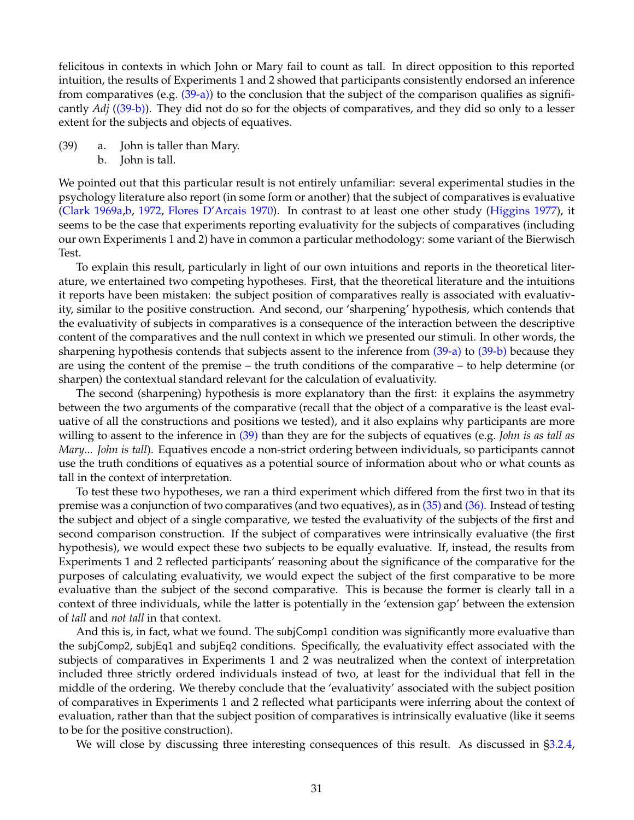felicitous in contexts in which John or Mary fail to count as tall. In direct opposition to this reported intuition, the results of Experiments 1 and 2 showed that participants consistently endorsed an inference from comparatives (e.g.  $(39-a)$ ) to the conclusion that the subject of the comparison qualifies as significantly *Adj* [\(\(39-b\)\)](#page-30-1). They did not do so for the objects of comparatives, and they did so only to a lesser extent for the subjects and objects of equatives.

<span id="page-30-2"></span><span id="page-30-1"></span><span id="page-30-0"></span>(39) a. John is taller than Mary.

b. John is tall.

We pointed out that this particular result is not entirely unfamiliar: several experimental studies in the psychology literature also report (in some form or another) that the subject of comparatives is evaluative [\(Clark](#page-32-18) [1969a](#page-32-18)[,b,](#page-32-19) [1972,](#page-32-20) [Flores D'Arcais](#page-33-22) [1970\)](#page-33-22). In contrast to at least one other study [\(Higgins](#page-33-23) [1977\)](#page-33-23), it seems to be the case that experiments reporting evaluativity for the subjects of comparatives (including our own Experiments 1 and 2) have in common a particular methodology: some variant of the Bierwisch Test.

To explain this result, particularly in light of our own intuitions and reports in the theoretical literature, we entertained two competing hypotheses. First, that the theoretical literature and the intuitions it reports have been mistaken: the subject position of comparatives really is associated with evaluativity, similar to the positive construction. And second, our 'sharpening' hypothesis, which contends that the evaluativity of subjects in comparatives is a consequence of the interaction between the descriptive content of the comparatives and the null context in which we presented our stimuli. In other words, the sharpening hypothesis contends that subjects assent to the inference from [\(39-a\)](#page-30-0) to [\(39-b\)](#page-30-1) because they are using the content of the premise – the truth conditions of the comparative – to help determine (or sharpen) the contextual standard relevant for the calculation of evaluativity.

The second (sharpening) hypothesis is more explanatory than the first: it explains the asymmetry between the two arguments of the comparative (recall that the object of a comparative is the least evaluative of all the constructions and positions we tested), and it also explains why participants are more willing to assent to the inference in [\(39\)](#page-30-2) than they are for the subjects of equatives (e.g. *John is as tall as Mary*... *John is tall*). Equatives encode a non-strict ordering between individuals, so participants cannot use the truth conditions of equatives as a potential source of information about who or what counts as tall in the context of interpretation.

To test these two hypotheses, we ran a third experiment which differed from the first two in that its premise was a conjunction of two comparatives (and two equatives), as in  $(35)$  and  $(36)$ . Instead of testing the subject and object of a single comparative, we tested the evaluativity of the subjects of the first and second comparison construction. If the subject of comparatives were intrinsically evaluative (the first hypothesis), we would expect these two subjects to be equally evaluative. If, instead, the results from Experiments 1 and 2 reflected participants' reasoning about the significance of the comparative for the purposes of calculating evaluativity, we would expect the subject of the first comparative to be more evaluative than the subject of the second comparative. This is because the former is clearly tall in a context of three individuals, while the latter is potentially in the 'extension gap' between the extension of *tall* and *not tall* in that context.

And this is, in fact, what we found. The subjComp1 condition was significantly more evaluative than the subjComp2, subjEq1 and subjEq2 conditions. Specifically, the evaluativity effect associated with the subjects of comparatives in Experiments 1 and 2 was neutralized when the context of interpretation included three strictly ordered individuals instead of two, at least for the individual that fell in the middle of the ordering. We thereby conclude that the 'evaluativity' associated with the subject position of comparatives in Experiments 1 and 2 reflected what participants were inferring about the context of evaluation, rather than that the subject position of comparatives is intrinsically evaluative (like it seems to be for the positive construction).

We will close by discussing three interesting consequences of this result. As discussed in [§3.2.4,](#page-22-0)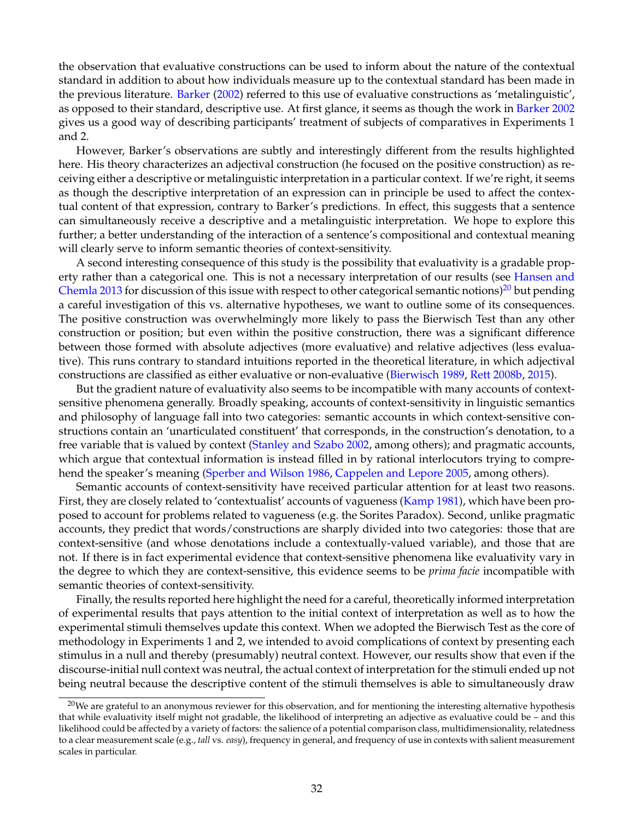the observation that evaluative constructions can be used to inform about the nature of the contextual standard in addition to about how individuals measure up to the contextual standard has been made in the previous literature. [Barker](#page-32-3) [\(2002\)](#page-32-3) referred to this use of evaluative constructions as 'metalinguistic', as opposed to their standard, descriptive use. At first glance, it seems as though the work in [Barker](#page-32-3) [2002](#page-32-3) gives us a good way of describing participants' treatment of subjects of comparatives in Experiments 1 and 2.

However, Barker's observations are subtly and interestingly different from the results highlighted here. His theory characterizes an adjectival construction (he focused on the positive construction) as receiving either a descriptive or metalinguistic interpretation in a particular context. If we're right, it seems as though the descriptive interpretation of an expression can in principle be used to affect the contextual content of that expression, contrary to Barker's predictions. In effect, this suggests that a sentence can simultaneously receive a descriptive and a metalinguistic interpretation. We hope to explore this further; a better understanding of the interaction of a sentence's compositional and contextual meaning will clearly serve to inform semantic theories of context-sensitivity.

A second interesting consequence of this study is the possibility that evaluativity is a gradable property rather than a categorical one. This is not a necessary interpretation of our results (see [Hansen and](#page-33-19) [Chemla](#page-33-19) [2013](#page-33-19) for discussion of this issue with respect to other categorical semantic notions)<sup>[20](#page-31-0)</sup> but pending a careful investigation of this vs. alternative hypotheses, we want to outline some of its consequences. The positive construction was overwhelmingly more likely to pass the Bierwisch Test than any other construction or position; but even within the positive construction, there was a significant difference between those formed with absolute adjectives (more evaluative) and relative adjectives (less evaluative). This runs contrary to standard intuitions reported in the theoretical literature, in which adjectival constructions are classified as either evaluative or non-evaluative [\(Bierwisch](#page-32-0) [1989,](#page-32-0) [Rett](#page-34-3) [2008b,](#page-34-3) [2015\)](#page-34-4).

But the gradient nature of evaluativity also seems to be incompatible with many accounts of contextsensitive phenomena generally. Broadly speaking, accounts of context-sensitivity in linguistic semantics and philosophy of language fall into two categories: semantic accounts in which context-sensitive constructions contain an 'unarticulated constituent' that corresponds, in the construction's denotation, to a free variable that is valued by context [\(Stanley and Szabo](#page-34-27) [2002,](#page-34-27) among others); and pragmatic accounts, which argue that contextual information is instead filled in by rational interlocutors trying to comprehend the speaker's meaning [\(Sperber and Wilson](#page-34-28) [1986,](#page-34-28) [Cappelen and Lepore](#page-32-21) [2005,](#page-32-21) among others).

Semantic accounts of context-sensitivity have received particular attention for at least two reasons. First, they are closely related to 'contextualist' accounts of vagueness [\(Kamp](#page-33-26) [1981\)](#page-33-26), which have been proposed to account for problems related to vagueness (e.g. the Sorites Paradox). Second, unlike pragmatic accounts, they predict that words/constructions are sharply divided into two categories: those that are context-sensitive (and whose denotations include a contextually-valued variable), and those that are not. If there is in fact experimental evidence that context-sensitive phenomena like evaluativity vary in the degree to which they are context-sensitive, this evidence seems to be *prima facie* incompatible with semantic theories of context-sensitivity.

Finally, the results reported here highlight the need for a careful, theoretically informed interpretation of experimental results that pays attention to the initial context of interpretation as well as to how the experimental stimuli themselves update this context. When we adopted the Bierwisch Test as the core of methodology in Experiments 1 and 2, we intended to avoid complications of context by presenting each stimulus in a null and thereby (presumably) neutral context. However, our results show that even if the discourse-initial null context was neutral, the actual context of interpretation for the stimuli ended up not being neutral because the descriptive content of the stimuli themselves is able to simultaneously draw

<span id="page-31-0"></span> $^{20}$ We are grateful to an anonymous reviewer for this observation, and for mentioning the interesting alternative hypothesis that while evaluativity itself might not gradable, the likelihood of interpreting an adjective as evaluative could be – and this likelihood could be affected by a variety of factors: the salience of a potential comparison class, multidimensionality, relatedness to a clear measurement scale (e.g., *tall* vs. *easy*), frequency in general, and frequency of use in contexts with salient measurement scales in particular.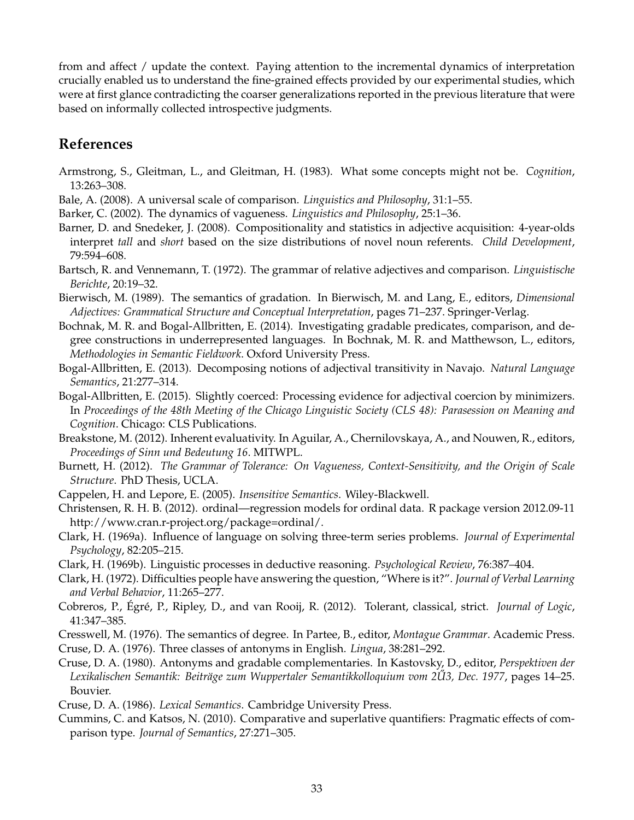from and affect / update the context. Paying attention to the incremental dynamics of interpretation crucially enabled us to understand the fine-grained effects provided by our experimental studies, which were at first glance contradicting the coarser generalizations reported in the previous literature that were based on informally collected introspective judgments.

# **References**

- <span id="page-32-17"></span>Armstrong, S., Gleitman, L., and Gleitman, H. (1983). What some concepts might not be. *Cognition*, 13:263–308.
- <span id="page-32-8"></span>Bale, A. (2008). A universal scale of comparison. *Linguistics and Philosophy*, 31:1–55.
- <span id="page-32-3"></span>Barker, C. (2002). The dynamics of vagueness. *Linguistics and Philosophy*, 25:1–36.
- <span id="page-32-4"></span>Barner, D. and Snedeker, J. (2008). Compositionality and statistics in adjective acquisition: 4-year-olds interpret *tall* and *short* based on the size distributions of novel noun referents. *Child Development*, 79:594–608.
- <span id="page-32-1"></span>Bartsch, R. and Vennemann, T. (1972). The grammar of relative adjectives and comparison. *Linguistische Berichte*, 20:19–32.
- <span id="page-32-0"></span>Bierwisch, M. (1989). The semantics of gradation. In Bierwisch, M. and Lang, E., editors, *Dimensional Adjectives: Grammatical Structure and Conceptual Interpretation*, pages 71–237. Springer-Verlag.
- <span id="page-32-13"></span>Bochnak, M. R. and Bogal-Allbritten, E. (2014). Investigating gradable predicates, comparison, and degree constructions in underrepresented languages. In Bochnak, M. R. and Matthewson, L., editors, *Methodologies in Semantic Fieldwork*. Oxford University Press.
- <span id="page-32-12"></span>Bogal-Allbritten, E. (2013). Decomposing notions of adjectival transitivity in Navajo. *Natural Language Semantics*, 21:277–314.
- <span id="page-32-11"></span>Bogal-Allbritten, E. (2015). Slightly coerced: Processing evidence for adjectival coercion by minimizers. In *Proceedings of the 48th Meeting of the Chicago Linguistic Society (CLS 48): Parasession on Meaning and Cognition*. Chicago: CLS Publications.
- <span id="page-32-7"></span>Breakstone, M. (2012). Inherent evaluativity. In Aguilar, A., Chernilovskaya, A., and Nouwen, R., editors, *Proceedings of Sinn und Bedeutung 16*. MITWPL.
- <span id="page-32-5"></span>Burnett, H. (2012). *The Grammar of Tolerance: On Vagueness, Context-Sensitivity, and the Origin of Scale Structure*. PhD Thesis, UCLA.
- <span id="page-32-21"></span>Cappelen, H. and Lepore, E. (2005). *Insensitive Semantics*. Wiley-Blackwell.
- <span id="page-32-16"></span>Christensen, R. H. B. (2012). ordinal—regression models for ordinal data. R package version 2012.09-11 http://www.cran.r-project.org/package=ordinal/.
- <span id="page-32-18"></span>Clark, H. (1969a). Influence of language on solving three-term series problems. *Journal of Experimental Psychology*, 82:205–215.
- <span id="page-32-19"></span>Clark, H. (1969b). Linguistic processes in deductive reasoning. *Psychological Review*, 76:387–404.
- <span id="page-32-20"></span>Clark, H. (1972). Difficulties people have answering the question, "Where is it?". *Journal of Verbal Learning and Verbal Behavior*, 11:265–277.
- <span id="page-32-6"></span>Cobreros, P., Égré, P., Ripley, D., and van Rooij, R. (2012). Tolerant, classical, strict. *Journal of Logic*, 41:347–385.
- <span id="page-32-2"></span>Cresswell, M. (1976). The semantics of degree. In Partee, B., editor, *Montague Grammar*. Academic Press.
- <span id="page-32-14"></span>Cruse, D. A. (1976). Three classes of antonyms in English. *Lingua*, 38:281–292.
- <span id="page-32-9"></span>Cruse, D. A. (1980). Antonyms and gradable complementaries. In Kastovsky, D., editor, *Perspektiven der Lexikalischen Semantik: Beiträge zum Wuppertaler Semantikkolloquium vom 2U3, Dec. 1977 ˝* , pages 14–25. Bouvier.
- <span id="page-32-10"></span>Cruse, D. A. (1986). *Lexical Semantics*. Cambridge University Press.
- <span id="page-32-15"></span>Cummins, C. and Katsos, N. (2010). Comparative and superlative quantifiers: Pragmatic effects of comparison type. *Journal of Semantics*, 27:271–305.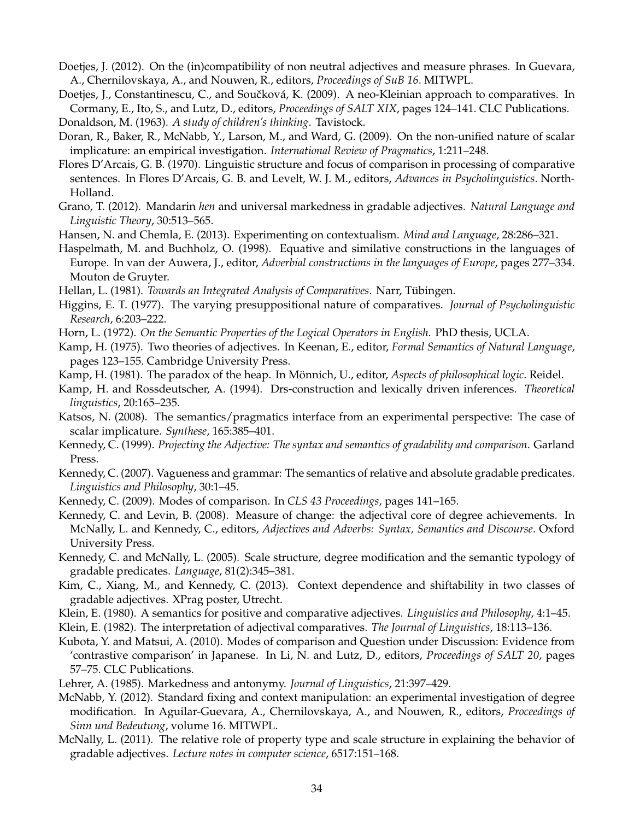- <span id="page-33-12"></span>Doetjes, J. (2012). On the (in)compatibility of non neutral adjectives and measure phrases. In Guevara, A., Chernilovskaya, A., and Nouwen, R., editors, *Proceedings of SuB 16*. MITWPL.
- <span id="page-33-7"></span>Doetjes, J., Constantinescu, C., and Součková, K. (2009). A neo-Kleinian approach to comparatives. In Cormany, E., Ito, S., and Lutz, D., editors, *Proceedings of SALT XIX*, pages 124–141. CLC Publications.
- <span id="page-33-21"></span>Donaldson, M. (1963). *A study of children's thinking*. Tavistock.
- <span id="page-33-4"></span>Doran, R., Baker, R., McNabb, Y., Larson, M., and Ward, G. (2009). On the non-unified nature of scalar implicature: an empirical investigation. *International Review of Pragmatics*, 1:211–248.
- <span id="page-33-22"></span>Flores D'Arcais, G. B. (1970). Linguistic structure and focus of comparison in processing of comparative sentences. In Flores D'Arcais, G. B. and Levelt, W. J. M., editors, *Advances in Psycholinguistics*. North-Holland.
- <span id="page-33-13"></span>Grano, T. (2012). Mandarin *hen* and universal markedness in gradable adjectives. *Natural Language and Linguistic Theory*, 30:513–565.

<span id="page-33-19"></span>Hansen, N. and Chemla, E. (2013). Experimenting on contextualism. *Mind and Language*, 28:286–321.

<span id="page-33-20"></span>Haspelmath, M. and Buchholz, O. (1998). Equative and similative constructions in the languages of Europe. In van der Auwera, J., editor, *Adverbial constructions in the languages of Europe*, pages 277–334. Mouton de Gruyter.

- <span id="page-33-9"></span>Hellan, L. (1981). *Towards an Integrated Analysis of Comparatives*. Narr, Tübingen.
- <span id="page-33-23"></span>Higgins, E. T. (1977). The varying presuppositional nature of comparatives. *Journal of Psycholinguistic Research*, 6:203–222.
- <span id="page-33-10"></span><span id="page-33-2"></span>Horn, L. (1972). *On the Semantic Properties of the Logical Operators in English*. PhD thesis, UCLA.
- Kamp, H. (1975). Two theories of adjectives. In Keenan, E., editor, *Formal Semantics of Natural Language*, pages 123–155. Cambridge University Press.
- <span id="page-33-26"></span>Kamp, H. (1981). The paradox of the heap. In Mönnich, U., editor, *Aspects of philosophical logic*. Reidel.
- <span id="page-33-15"></span>Kamp, H. and Rossdeutscher, A. (1994). Drs-construction and lexically driven inferences. *Theoretical linguistics*, 20:165–235.
- <span id="page-33-18"></span>Katsos, N. (2008). The semantics/pragmatics interface from an experimental perspective: The case of scalar implicature. *Synthese*, 165:385–401.
- <span id="page-33-8"></span>Kennedy, C. (1999). *Projecting the Adjective: The syntax and semantics of gradability and comparison*. Garland Press.
- <span id="page-33-14"></span>Kennedy, C. (2007). Vagueness and grammar: The semantics of relative and absolute gradable predicates. *Linguistics and Philosophy*, 30:1–45.
- <span id="page-33-24"></span>Kennedy, C. (2009). Modes of comparison. In *CLS 43 Proceedings*, pages 141–165.
- <span id="page-33-16"></span>Kennedy, C. and Levin, B. (2008). Measure of change: the adjectival core of degree achievements. In McNally, L. and Kennedy, C., editors, *Adjectives and Adverbs: Syntax, Semantics and Discourse*. Oxford University Press.
- <span id="page-33-1"></span>Kennedy, C. and McNally, L. (2005). Scale structure, degree modification and the semantic typology of gradable predicates. *Language*, 81(2):345–381.
- <span id="page-33-3"></span>Kim, C., Xiang, M., and Kennedy, C. (2013). Context dependence and shiftability in two classes of gradable adjectives. XPrag poster, Utrecht.
- <span id="page-33-0"></span>Klein, E. (1980). A semantics for positive and comparative adjectives. *Linguistics and Philosophy*, 4:1–45.
- <span id="page-33-6"></span>Klein, E. (1982). The interpretation of adjectival comparatives. *The Journal of Linguistics*, 18:113–136.
- <span id="page-33-25"></span>Kubota, Y. and Matsui, A. (2010). Modes of comparison and Question under Discussion: Evidence from 'contrastive comparison' in Japanese. In Li, N. and Lutz, D., editors, *Proceedings of SALT 20*, pages 57–75. CLC Publications.
- <span id="page-33-11"></span>Lehrer, A. (1985). Markedness and antonymy. *Journal of Linguistics*, 21:397–429.
- <span id="page-33-5"></span>McNabb, Y. (2012). Standard fixing and context manipulation: an experimental investigation of degree modification. In Aguilar-Guevara, A., Chernilovskaya, A., and Nouwen, R., editors, *Proceedings of Sinn und Bedeutung*, volume 16. MITWPL.
- <span id="page-33-17"></span>McNally, L. (2011). The relative role of property type and scale structure in explaining the behavior of gradable adjectives. *Lecture notes in computer science*, 6517:151–168.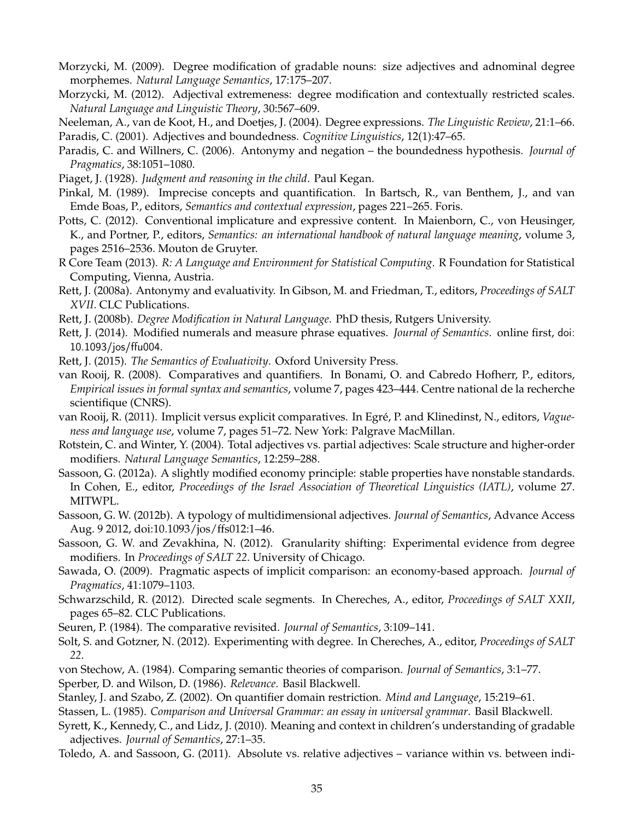- <span id="page-34-17"></span>Morzycki, M. (2009). Degree modification of gradable nouns: size adjectives and adnominal degree morphemes. *Natural Language Semantics*, 17:175–207.
- <span id="page-34-16"></span>Morzycki, M. (2012). Adjectival extremeness: degree modification and contextually restricted scales. *Natural Language and Linguistic Theory*, 30:567–609.

<span id="page-34-10"></span>Neeleman, A., van de Koot, H., and Doetjes, J. (2004). Degree expressions. *The Linguistic Review*, 21:1–66.

<span id="page-34-15"></span>Paradis, C. (2001). Adjectives and boundedness. *Cognitive Linguistics*, 12(1):47–65.

- <span id="page-34-7"></span>Paradis, C. and Willners, C. (2006). Antonymy and negation – the boundedness hypothesis. *Journal of Pragmatics*, 38:1051–1080.
- <span id="page-34-22"></span>Piaget, J. (1928). *Judgment and reasoning in the child*. Paul Kegan.
- <span id="page-34-23"></span>Pinkal, M. (1989). Imprecise concepts and quantification. In Bartsch, R., van Benthem, J., and van Emde Boas, P., editors, *Semantics and contextual expression*, pages 221–265. Foris.
- <span id="page-34-12"></span>Potts, C. (2012). Conventional implicature and expressive content. In Maienborn, C., von Heusinger, K., and Portner, P., editors, *Semantics: an international handbook of natural language meaning*, volume 3, pages 2516–2536. Mouton de Gruyter.
- <span id="page-34-21"></span>R Core Team (2013). *R: A Language and Environment for Statistical Computing*. R Foundation for Statistical Computing, Vienna, Austria.
- <span id="page-34-1"></span>Rett, J. (2008a). Antonymy and evaluativity. In Gibson, M. and Friedman, T., editors, *Proceedings of SALT XVII*. CLC Publications.
- <span id="page-34-3"></span>Rett, J. (2008b). *Degree Modification in Natural Language*. PhD thesis, Rutgers University.
- <span id="page-34-11"></span>Rett, J. (2014). Modified numerals and measure phrase equatives. *Journal of Semantics*. online first, doi: 10.1093/jos/ffu004.
- <span id="page-34-4"></span>Rett, J. (2015). *The Semantics of Evaluativity*. Oxford University Press.
- <span id="page-34-9"></span>van Rooij, R. (2008). Comparatives and quantifiers. In Bonami, O. and Cabredo Hofherr, P., editors, *Empirical issues in formal syntax and semantics*, volume 7, pages 423–444. Centre national de la recherche scientifique (CNRS).
- <span id="page-34-24"></span>van Rooij, R. (2011). Implicit versus explicit comparatives. In Egré, P. and Klinedinst, N., editors, *Vagueness and language use*, volume 7, pages 51–72. New York: Palgrave MacMillan.
- <span id="page-34-2"></span>Rotstein, C. and Winter, Y. (2004). Total adjectives vs. partial adjectives: Scale structure and higher-order modifiers. *Natural Language Semantics*, 12:259–288.
- <span id="page-34-19"></span>Sassoon, G. (2012a). A slightly modified economy principle: stable properties have nonstable standards. In Cohen, E., editor, *Proceedings of the Israel Association of Theoretical Linguistics (IATL)*, volume 27. MITWPL.
- <span id="page-34-20"></span>Sassoon, G. W. (2012b). A typology of multidimensional adjectives. *Journal of Semantics*, Advance Access Aug. 9 2012, doi:10.1093/jos/ffs012:1–46.
- <span id="page-34-6"></span>Sassoon, G. W. and Zevakhina, N. (2012). Granularity shifting: Experimental evidence from degree modifiers. In *Proceedings of SALT 22*. University of Chicago.
- <span id="page-34-25"></span>Sawada, O. (2009). Pragmatic aspects of implicit comparison: an economy-based approach. *Journal of Pragmatics*, 41:1079–1103.
- <span id="page-34-13"></span>Schwarzschild, R. (2012). Directed scale segments. In Chereches, A., editor, *Proceedings of SALT XXII*, pages 65–82. CLC Publications.
- <span id="page-34-5"></span>Seuren, P. (1984). The comparative revisited. *Journal of Semantics*, 3:109–141.
- <span id="page-34-8"></span>Solt, S. and Gotzner, N. (2012). Experimenting with degree. In Chereches, A., editor, *Proceedings of SALT 22*.
- <span id="page-34-0"></span>von Stechow, A. (1984). Comparing semantic theories of comparison. *Journal of Semantics*, 3:1–77.
- <span id="page-34-28"></span>Sperber, D. and Wilson, D. (1986). *Relevance*. Basil Blackwell.
- <span id="page-34-27"></span>Stanley, J. and Szabo, Z. (2002). On quantifier domain restriction. *Mind and Language*, 15:219–61.
- <span id="page-34-26"></span>Stassen, L. (1985). *Comparison and Universal Grammar: an essay in universal grammar*. Basil Blackwell.
- <span id="page-34-14"></span>Syrett, K., Kennedy, C., and Lidz, J. (2010). Meaning and context in children's understanding of gradable adjectives. *Journal of Semantics*, 27:1–35.
- <span id="page-34-18"></span>Toledo, A. and Sassoon, G. (2011). Absolute vs. relative adjectives – variance within vs. between indi-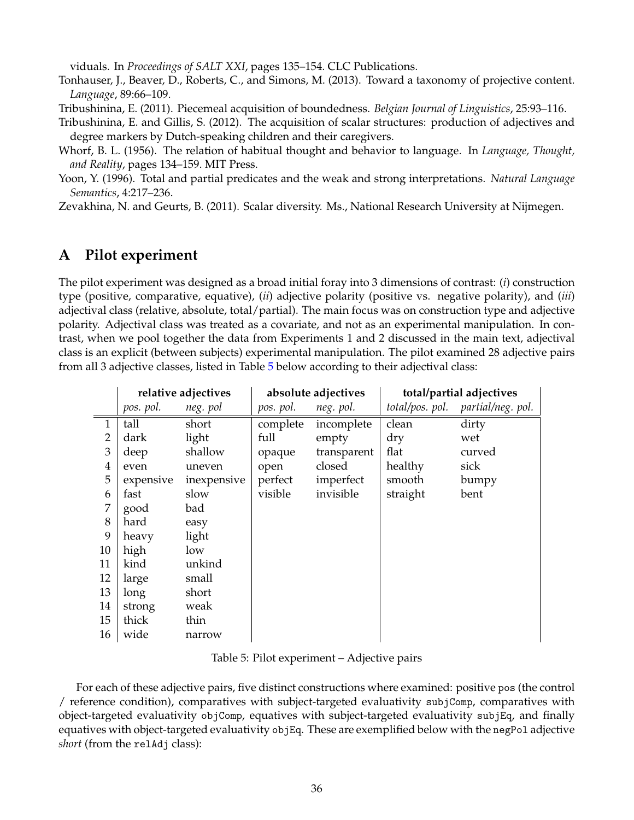viduals. In *Proceedings of SALT XXI*, pages 135–154. CLC Publications.

<span id="page-35-1"></span>Tonhauser, J., Beaver, D., Roberts, C., and Simons, M. (2013). Toward a taxonomy of projective content. *Language*, 89:66–109.

<span id="page-35-5"></span>Tribushinina, E. (2011). Piecemeal acquisition of boundedness. *Belgian Journal of Linguistics*, 25:93–116.

<span id="page-35-6"></span>Tribushinina, E. and Gillis, S. (2012). The acquisition of scalar structures: production of adjectives and degree markers by Dutch-speaking children and their caregivers.

- <span id="page-35-3"></span>Whorf, B. L. (1956). The relation of habitual thought and behavior to language. In *Language, Thought, and Reality*, pages 134–159. MIT Press.
- <span id="page-35-2"></span>Yoon, Y. (1996). Total and partial predicates and the weak and strong interpretations. *Natural Language Semantics*, 4:217–236.

<span id="page-35-0"></span>Zevakhina, N. and Geurts, B. (2011). Scalar diversity. Ms., National Research University at Nijmegen.

# <span id="page-35-4"></span>**A Pilot experiment**

The pilot experiment was designed as a broad initial foray into 3 dimensions of contrast: (*i*) construction type (positive, comparative, equative), (*ii*) adjective polarity (positive vs. negative polarity), and (*iii*) adjectival class (relative, absolute, total/partial). The main focus was on construction type and adjective polarity. Adjectival class was treated as a covariate, and not as an experimental manipulation. In contrast, when we pool together the data from Experiments 1 and 2 discussed in the main text, adjectival class is an explicit (between subjects) experimental manipulation. The pilot examined 28 adjective pairs from all 3 adjective classes, listed in Table [5](#page-35-7) below according to their adjectival class:

|                | relative adjectives |             |           | absolute adjectives | total/partial adjectives |                   |  |
|----------------|---------------------|-------------|-----------|---------------------|--------------------------|-------------------|--|
|                | pos. pol.           | neg. pol    | pos. pol. | neg. pol.           | total/pos. pol.          | partial/neg. pol. |  |
| $\mathbf{1}$   | tall                | short       | complete  | incomplete          | clean                    | dirty             |  |
| $\overline{2}$ | dark                | light       | full      | empty               | $\rm{dry}$               | wet               |  |
| 3              | deep                | shallow     | opaque    | transparent         | flat                     | curved            |  |
| $\overline{4}$ | even                | uneven      | open      | closed              | healthy                  | sick              |  |
| 5              | expensive           | inexpensive | perfect   | imperfect           | smooth                   | bumpy             |  |
| 6              | fast                | slow        | visible   | invisible           | straight                 | bent              |  |
| 7              | good                | bad         |           |                     |                          |                   |  |
| 8              | hard                | easy        |           |                     |                          |                   |  |
| 9              | heavy               | light       |           |                     |                          |                   |  |
| 10             | high                | low         |           |                     |                          |                   |  |
| 11             | kind                | unkind      |           |                     |                          |                   |  |
| 12             | large               | small       |           |                     |                          |                   |  |
| 13             | long                | short       |           |                     |                          |                   |  |
| 14             | strong              | weak        |           |                     |                          |                   |  |
| 15             | thick               | thin        |           |                     |                          |                   |  |
| 16             | wide                | narrow      |           |                     |                          |                   |  |

Table 5: Pilot experiment – Adjective pairs

<span id="page-35-7"></span>For each of these adjective pairs, five distinct constructions where examined: positive pos (the control / reference condition), comparatives with subject-targeted evaluativity subjComp, comparatives with object-targeted evaluativity objComp, equatives with subject-targeted evaluativity subjEq, and finally equatives with object-targeted evaluativity objEq. These are exemplified below with the negPol adjective *short* (from the relAdj class):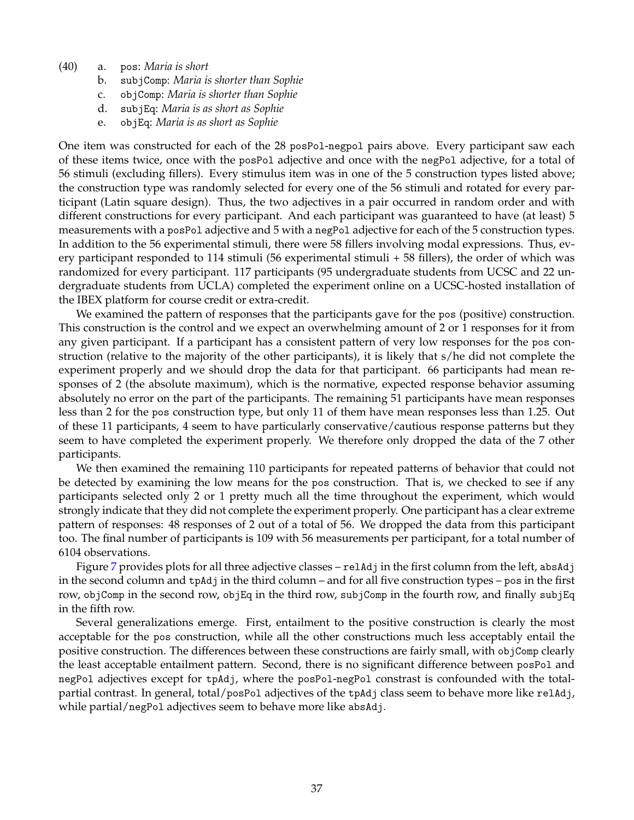- (40) a. pos: *Maria is short*
	- b. subjComp: *Maria is shorter than Sophie*
	- c. objComp: *Maria is shorter than Sophie*
	- d. subjEq: *Maria is as short as Sophie*
	- e. objEq: *Maria is as short as Sophie*

One item was constructed for each of the 28 posPol-negpol pairs above. Every participant saw each of these items twice, once with the posPol adjective and once with the negPol adjective, for a total of 56 stimuli (excluding fillers). Every stimulus item was in one of the 5 construction types listed above; the construction type was randomly selected for every one of the 56 stimuli and rotated for every participant (Latin square design). Thus, the two adjectives in a pair occurred in random order and with different constructions for every participant. And each participant was guaranteed to have (at least) 5 measurements with a posPol adjective and 5 with a negPol adjective for each of the 5 construction types. In addition to the 56 experimental stimuli, there were 58 fillers involving modal expressions. Thus, every participant responded to 114 stimuli (56 experimental stimuli + 58 fillers), the order of which was randomized for every participant. 117 participants (95 undergraduate students from UCSC and 22 undergraduate students from UCLA) completed the experiment online on a UCSC-hosted installation of the IBEX platform for course credit or extra-credit.

We examined the pattern of responses that the participants gave for the pos (positive) construction. This construction is the control and we expect an overwhelming amount of 2 or 1 responses for it from any given participant. If a participant has a consistent pattern of very low responses for the pos construction (relative to the majority of the other participants), it is likely that s/he did not complete the experiment properly and we should drop the data for that participant. 66 participants had mean responses of 2 (the absolute maximum), which is the normative, expected response behavior assuming absolutely no error on the part of the participants. The remaining 51 participants have mean responses less than 2 for the pos construction type, but only 11 of them have mean responses less than 1.25. Out of these 11 participants, 4 seem to have particularly conservative/cautious response patterns but they seem to have completed the experiment properly. We therefore only dropped the data of the 7 other participants.

We then examined the remaining 110 participants for repeated patterns of behavior that could not be detected by examining the low means for the pos construction. That is, we checked to see if any participants selected only 2 or 1 pretty much all the time throughout the experiment, which would strongly indicate that they did not complete the experiment properly. One participant has a clear extreme pattern of responses: 48 responses of 2 out of a total of 56. We dropped the data from this participant too. The final number of participants is 109 with 56 measurements per participant, for a total number of 6104 observations.

Figure [7](#page-37-0) provides plots for all three adjective classes – relAdj in the first column from the left, absAdj in the second column and tpAdj in the third column – and for all five construction types – pos in the first row, objComp in the second row, objEq in the third row, subjComp in the fourth row, and finally subjEq in the fifth row.

Several generalizations emerge. First, entailment to the positive construction is clearly the most acceptable for the pos construction, while all the other constructions much less acceptably entail the positive construction. The differences between these constructions are fairly small, with objComp clearly the least acceptable entailment pattern. Second, there is no significant difference between posPol and negPol adjectives except for tpAdj, where the posPol-negPol constrast is confounded with the totalpartial contrast. In general, total/posPol adjectives of the tpAdj class seem to behave more like relAdj, while partial/negPol adjectives seem to behave more like absAdj.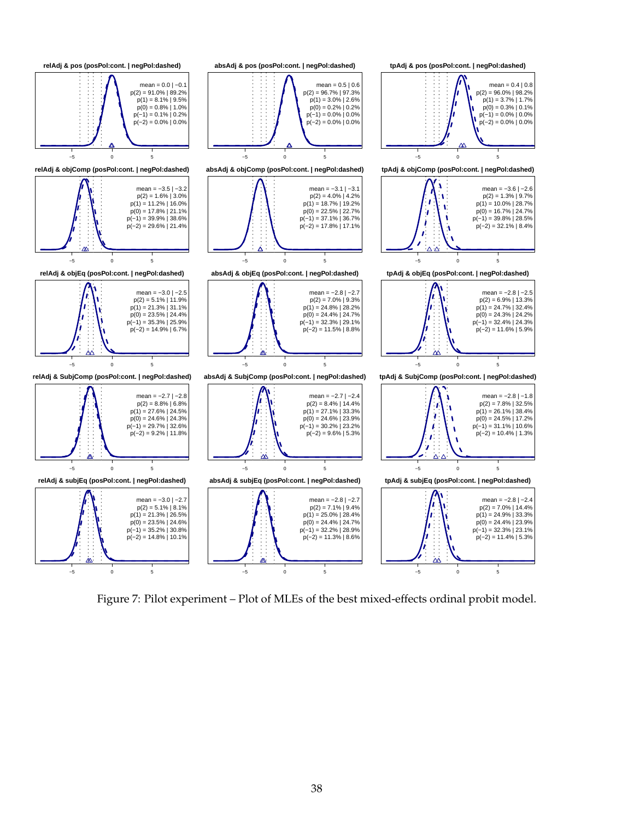![](_page_37_Figure_0.jpeg)

<span id="page-37-0"></span>Figure 7: Pilot experiment – Plot of MLEs of the best mixed-effects ordinal probit model.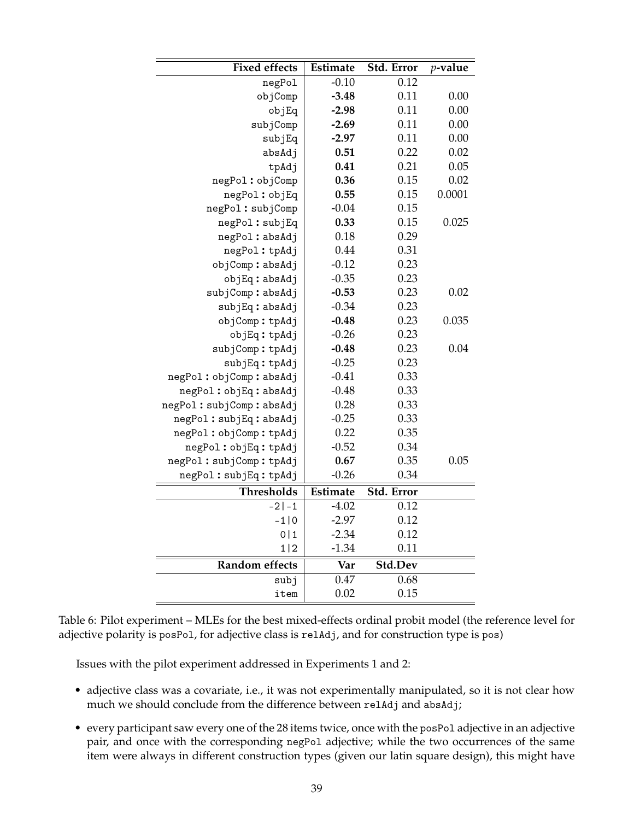| <b>Fixed effects</b>     | Estimate | Std. Error | $\bar{p}$ -value |
|--------------------------|----------|------------|------------------|
| negPol                   | $-0.10$  | 0.12       |                  |
| objComp                  | $-3.48$  | 0.11       | 0.00             |
| objEq                    | $-2.98$  | 0.11       | 0.00             |
| subjComp                 | $-2.69$  | 0.11       | 0.00             |
| subjEq                   | $-2.97$  | 0.11       | 0.00             |
| absAdj                   | 0.51     | 0.22       | 0.02             |
| tpAdj                    | 0.41     | 0.21       | 0.05             |
| negPol: objComp          | 0.36     | 0.15       | 0.02             |
| negPol: objEq            | 0.55     | 0.15       | 0.0001           |
| negPol: subjComp         | $-0.04$  | 0.15       |                  |
| negPol: subjEq           | 0.33     | 0.15       | 0.025            |
| negPol: absAdj           | 0.18     | 0.29       |                  |
| negPol: tpAdj            | 0.44     | 0.31       |                  |
| objComp: absAdj          | $-0.12$  | 0.23       |                  |
| objEq: absAdj            | $-0.35$  | 0.23       |                  |
| subjComp: absAdj         | $-0.53$  | 0.23       | 0.02             |
| subjEq:absAdj            | $-0.34$  | 0.23       |                  |
| objComp: tpAdj           | $-0.48$  | 0.23       | 0.035            |
| objEq:tpAdj              | $-0.26$  | 0.23       |                  |
| subjComp: tpAdj          | $-0.48$  | 0.23       | 0.04             |
| subjEq: tpAdj            | $-0.25$  | 0.23       |                  |
| negPol: objComp: absAdj  | $-0.41$  | 0.33       |                  |
| negPol: objEq: absAdj    | $-0.48$  | 0.33       |                  |
| negPol: subjComp: absAdj | 0.28     | 0.33       |                  |
| negPol: subjEq: absAdj   | $-0.25$  | 0.33       |                  |
| negPol: objComp: tpAdj   | 0.22     | 0.35       |                  |
| negPol: objEq: tpAdj     | $-0.52$  | 0.34       |                  |
| negPol: subjComp: tpAdj  | 0.67     | 0.35       | 0.05             |
| negPol: subjEq: tpAdj    | $-0.26$  | 0.34       |                  |
| Thresholds               | Estimate | Std. Error |                  |
| $-2 -1$                  | $-4.02$  | 0.12       |                  |
| $-1 0$                   | $-2.97$  | 0.12       |                  |
| 0 1                      | $-2.34$  | 0.12       |                  |
| 1 2                      | $-1.34$  | 0.11       |                  |
| <b>Random</b> effects    | Var      | Std.Dev    |                  |
| subj                     | 0.47     | 0.68       |                  |
| item                     | 0.02     | 0.15       |                  |

Table 6: Pilot experiment – MLEs for the best mixed-effects ordinal probit model (the reference level for adjective polarity is posPol, for adjective class is relAdj, and for construction type is pos)

Issues with the pilot experiment addressed in Experiments 1 and 2:

- adjective class was a covariate, i.e., it was not experimentally manipulated, so it is not clear how much we should conclude from the difference between relAdj and absAdj;
- every participant saw every one of the 28 items twice, once with the posPol adjective in an adjective pair, and once with the corresponding negPol adjective; while the two occurrences of the same item were always in different construction types (given our latin square design), this might have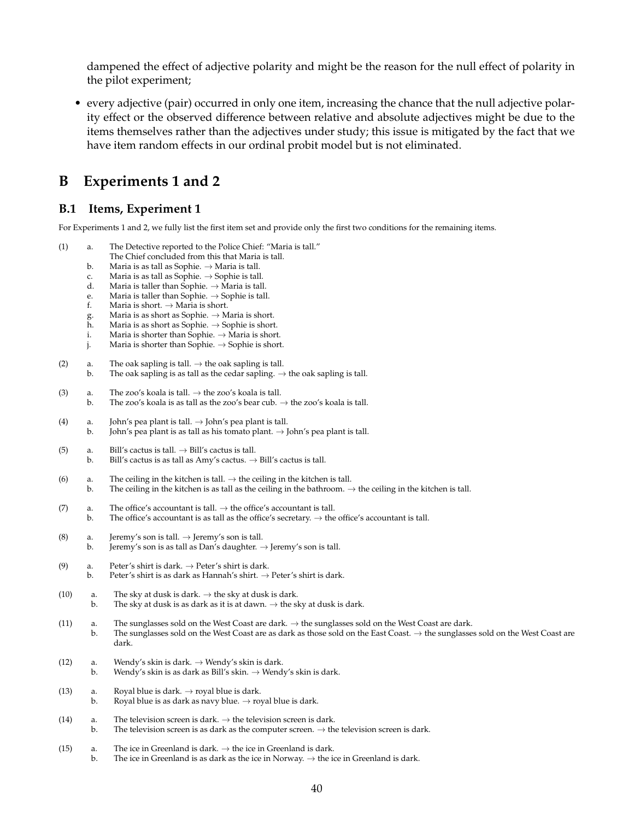dampened the effect of adjective polarity and might be the reason for the null effect of polarity in the pilot experiment;

• every adjective (pair) occurred in only one item, increasing the chance that the null adjective polarity effect or the observed difference between relative and absolute adjectives might be due to the items themselves rather than the adjectives under study; this issue is mitigated by the fact that we have item random effects in our ordinal probit model but is not eliminated.

# **B Experiments 1 and 2**

### **B.1 Items, Experiment 1**

For Experiments 1 and 2, we fully list the first item set and provide only the first two conditions for the remaining items.

- (1) a. The Detective reported to the Police Chief: "Maria is tall."
	- The Chief concluded from this that Maria is tall.
	- b. Maria is as tall as Sophie.  $\rightarrow$  Maria is tall.
	- c. Maria is as tall as Sophie.  $\rightarrow$  Sophie is tall.
	- d. Maria is taller than Sophie.  $\rightarrow$  Maria is tall.
	- e. Maria is taller than Sophie.  $\rightarrow$  Sophie is tall.
	- f. Maria is short.  $\rightarrow$  Maria is short.
	- g. Maria is as short as Sophie.  $\rightarrow$  Maria is short.<br>
	h. Maria is as short as Sophie.  $\rightarrow$  Sophie is short
	- Maria is as short as Sophie.  $\rightarrow$  Sophie is short.
	- i. Maria is shorter than Sophie.  $\rightarrow$  Maria is short.
	- j. Maria is shorter than Sophie.  $\rightarrow$  Sophie is short.
- (2) a. The oak sapling is tall.  $\rightarrow$  the oak sapling is tall.<br>b. The oak sapling is as tall as the cedar sapling.  $\rightarrow$ The oak sapling is as tall as the cedar sapling.  $\rightarrow$  the oak sapling is tall.
- (3) a. The zoo's koala is tall.  $\rightarrow$  the zoo's koala is tall.
- b. The zoo's koala is as tall as the zoo's bear cub.  $\rightarrow$  the zoo's koala is tall.
- (4) a. John's pea plant is tall.  $\rightarrow$  John's pea plant is tall. b. John's pea plant is as tall as his tomato plant.  $\rightarrow$  John's pea plant is tall.
- (5) a. Bill's cactus is tall.  $\rightarrow$  Bill's cactus is tall. b. Bill's cactus is as tall as Amy's cactus.  $\rightarrow$  Bill's cactus is tall.
- (6) a. The ceiling in the kitchen is tall.  $\rightarrow$  the ceiling in the kitchen is tall. b. The ceiling in the kitchen is as tall as the ceiling in the bathroom.  $\rightarrow$  the ceiling in the kitchen is tall.
- (7) a. The office's accountant is tall.  $\rightarrow$  the office's accountant is tall. b. The office's accountant is as tall as the office's secretary.  $\rightarrow$  the office's accountant is tall.
- (8) a. Jeremy's son is tall.  $\rightarrow$  Jeremy's son is tall. b. Jeremy's son is as tall as Dan's daughter.  $\rightarrow$  Jeremy's son is tall.
- (9) a. Peter's shirt is dark.  $\rightarrow$  Peter's shirt is dark. b. Peter's shirt is as dark as Hannah's shirt.  $\rightarrow$  Peter's shirt is dark.
- (10) a. The sky at dusk is dark.  $\rightarrow$  the sky at dusk is dark. b. The sky at dusk is as dark as it is at dawn.  $\rightarrow$  the sky at dusk is dark.
- (11) a. The sunglasses sold on the West Coast are dark.  $\rightarrow$  the sunglasses sold on the West Coast are dark. b. The sunglasses sold on the West Coast are as dark as those sold on the East Coast. → the sunglasses sold on the West Coast are dark.
- (12) a. Wendy's skin is dark.  $\rightarrow$  Wendy's skin is dark.
	- b. Wendy's skin is as dark as Bill's skin.  $\rightarrow$  Wendy's skin is dark.
- (13) a. Royal blue is dark.  $\rightarrow$  royal blue is dark. b. Royal blue is as dark as navy blue.  $\rightarrow$  royal blue is dark.
- (14) a. The television screen is dark.  $\rightarrow$  the television screen is dark. b. The television screen is as dark as the computer screen.  $\rightarrow$  the television screen is dark.
- (15) a. The ice in Greenland is dark.  $\rightarrow$  the ice in Greenland is dark.
	- b. The ice in Greenland is as dark as the ice in Norway.  $\rightarrow$  the ice in Greenland is dark.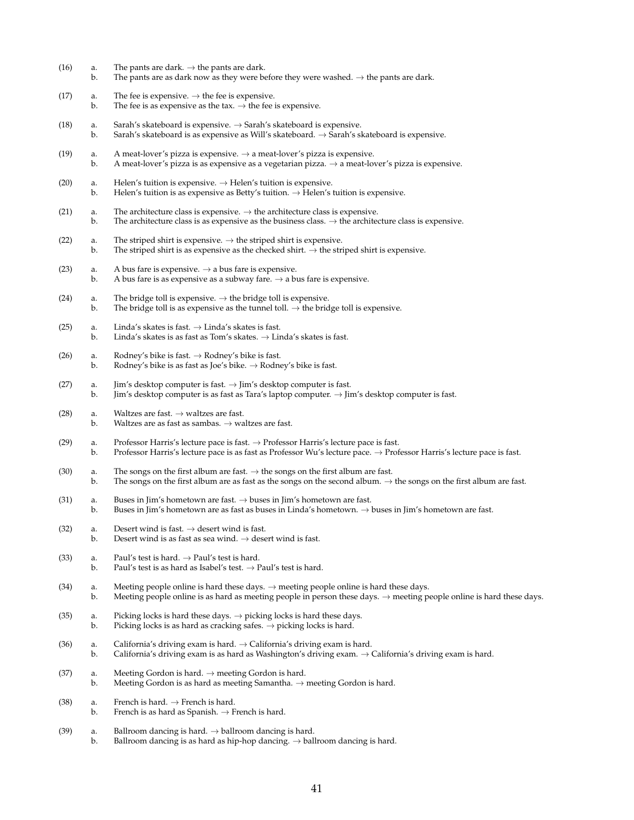(16) a. The pants are dark.  $\rightarrow$  the pants are dark. b. The pants are as dark now as they were before they were washed.  $\rightarrow$  the pants are dark. (17) a. The fee is expensive.  $\rightarrow$  the fee is expensive. b. The fee is as expensive as the tax.  $\rightarrow$  the fee is expensive. (18) a. Sarah's skateboard is expensive.  $\rightarrow$  Sarah's skateboard is expensive. b. Sarah's skateboard is as expensive as Will's skateboard.  $\rightarrow$  Sarah's skateboard is expensive. (19) a. A meat-lover's pizza is expensive.  $\rightarrow$  a meat-lover's pizza is expensive. b. A meat-lover's pizza is as expensive as a vegetarian pizza.  $\rightarrow$  a meat-lover's pizza is expensive. (20) a. Helen's tuition is expensive.  $\rightarrow$  Helen's tuition is expensive. b. Helen's tuition is as expensive as Betty's tuition.  $\rightarrow$  Helen's tuition is expensive. (21) a. The architecture class is expensive.  $\rightarrow$  the architecture class is expensive.<br>b. The architecture class is as expensive as the business class.  $\rightarrow$  the architecture The architecture class is as expensive as the business class.  $\rightarrow$  the architecture class is expensive. (22) a. The striped shirt is expensive.  $\rightarrow$  the striped shirt is expensive. b. The striped shirt is as expensive as the checked shirt.  $\rightarrow$  the striped shirt is expensive. (23) a. A bus fare is expensive.  $\rightarrow$  a bus fare is expensive.<br>b. A bus fare is as expensive as a subway fare.  $\rightarrow$  a bus A bus fare is as expensive as a subway fare.  $\rightarrow$  a bus fare is expensive. (24) a. The bridge toll is expensive.  $\rightarrow$  the bridge toll is expensive. b. The bridge toll is as expensive as the tunnel toll.  $\rightarrow$  the bridge toll is expensive. (25) a. Linda's skates is fast.  $\rightarrow$  Linda's skates is fast. b. Linda's skates is as fast as Tom's skates.  $\rightarrow$  Linda's skates is fast. (26) a. Rodney's bike is fast.  $\rightarrow$  Rodney's bike is fast. b. Rodney's bike is as fast as Joe's bike.  $\rightarrow$  Rodney's bike is fast. (27) a. Jim's desktop computer is fast.  $\rightarrow$  Jim's desktop computer is fast. b. Jim's desktop computer is as fast as Tara's laptop computer.  $\rightarrow$  Jim's desktop computer is fast. (28) a. Waltzes are fast.  $\rightarrow$  waltzes are fast. b. Waltzes are as fast as sambas.  $\rightarrow$  waltzes are fast. (29) a. Professor Harris's lecture pace is fast.  $\rightarrow$  Professor Harris's lecture pace is fast. b. Professor Harris's lecture pace is as fast as Professor Wu's lecture pace. → Professor Harris's lecture pace is fast. (30) a. The songs on the first album are fast.  $\rightarrow$  the songs on the first album are fast. b. The songs on the first album are as fast as the songs on the second album.  $\rightarrow$  the songs on the first album are fast. (31) a. Buses in Jim's hometown are fast.  $\rightarrow$  buses in Jim's hometown are fast. b. Buses in Jim's hometown are as fast as buses in Linda's hometown. → buses in Jim's hometown are fast. (32) a. Desert wind is fast.  $\rightarrow$  desert wind is fast. b. Desert wind is as fast as sea wind.  $\rightarrow$  desert wind is fast. (33) a. Paul's test is hard.  $\rightarrow$  Paul's test is hard. b. Paul's test is as hard as Isabel's test.  $\rightarrow$  Paul's test is hard. (34) a. Meeting people online is hard these days.  $\rightarrow$  meeting people online is hard these days. b. Meeting people online is as hard as meeting people in person these days.  $\rightarrow$  meeting people online is hard these days. (35) a. Picking locks is hard these days.  $\rightarrow$  picking locks is hard these days. b. Picking locks is as hard as cracking safes.  $\rightarrow$  picking locks is hard. (36) a. California's driving exam is hard.  $\rightarrow$  California's driving exam is hard. b. California's driving exam is as hard as Washington's driving exam. → California's driving exam is hard. (37) a. Meeting Gordon is hard.  $\rightarrow$  meeting Gordon is hard. b. Meeting Gordon is as hard as meeting Samantha.  $\rightarrow$  meeting Gordon is hard. (38) a. French is hard.  $\rightarrow$  French is hard. b. French is as hard as Spanish.  $\rightarrow$  French is hard. (39) a. Ballroom dancing is hard.  $\rightarrow$  ballroom dancing is hard. b. Ballroom dancing is as hard as hip-hop dancing.  $\rightarrow$  ballroom dancing is hard.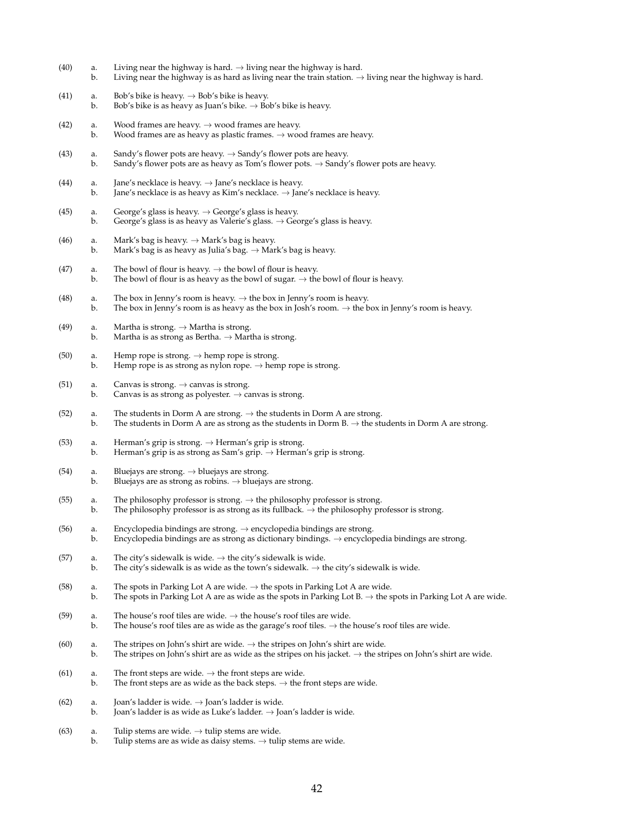| (40) | a.<br>b. | Living near the highway is hard. $\rightarrow$ living near the highway is hard.<br>Living near the highway is as hard as living near the train station. $\rightarrow$ living near the highway is hard.                 |
|------|----------|------------------------------------------------------------------------------------------------------------------------------------------------------------------------------------------------------------------------|
| (41) | a.<br>b. | Bob's bike is heavy. $\rightarrow$ Bob's bike is heavy.<br>Bob's bike is as heavy as Juan's bike. $\rightarrow$ Bob's bike is heavy.                                                                                   |
| (42) | a.<br>b. | Wood frames are heavy. $\rightarrow$ wood frames are heavy.<br>Wood frames are as heavy as plastic frames. $\rightarrow$ wood frames are heavy.                                                                        |
| (43) | a.<br>b. | Sandy's flower pots are heavy. $\rightarrow$ Sandy's flower pots are heavy.<br>Sandy's flower pots are as heavy as Tom's flower pots. $\rightarrow$ Sandy's flower pots are heavy.                                     |
| (44) | a.<br>b. | Jane's necklace is heavy. $\rightarrow$ Jane's necklace is heavy.<br>Jane's necklace is as heavy as Kim's necklace. $\rightarrow$ Jane's necklace is heavy.                                                            |
| (45) | a.<br>b. | George's glass is heavy. $\rightarrow$ George's glass is heavy.<br>George's glass is as heavy as Valerie's glass. $\rightarrow$ George's glass is heavy.                                                               |
| (46) | a.<br>b. | Mark's bag is heavy. $\rightarrow$ Mark's bag is heavy.<br>Mark's bag is as heavy as Julia's bag. $\rightarrow$ Mark's bag is heavy.                                                                                   |
| (47) | a.<br>b. | The bowl of flour is heavy. $\rightarrow$ the bowl of flour is heavy.<br>The bowl of flour is as heavy as the bowl of sugar. $\rightarrow$ the bowl of flour is heavy.                                                 |
| (48) | a.<br>b. | The box in Jenny's room is heavy. $\rightarrow$ the box in Jenny's room is heavy.<br>The box in Jenny's room is as heavy as the box in Josh's room. $\rightarrow$ the box in Jenny's room is heavy.                    |
| (49) | a.<br>b. | Martha is strong. $\rightarrow$ Martha is strong.<br>Martha is as strong as Bertha. $\rightarrow$ Martha is strong.                                                                                                    |
| (50) | a.<br>b. | Hemp rope is strong. $\rightarrow$ hemp rope is strong.<br>Hemp rope is as strong as nylon rope. $\rightarrow$ hemp rope is strong.                                                                                    |
| (51) | a.<br>b. | Canvas is strong. $\rightarrow$ canvas is strong.<br>Canvas is as strong as polyester. $\rightarrow$ canvas is strong.                                                                                                 |
| (52) | a.<br>b. | The students in Dorm A are strong. $\rightarrow$ the students in Dorm A are strong.<br>The students in Dorm A are as strong as the students in Dorm B. $\rightarrow$ the students in Dorm A are strong.                |
| (53) | a.<br>b. | Herman's grip is strong. $\rightarrow$ Herman's grip is strong.<br>Herman's grip is as strong as Sam's grip. $\rightarrow$ Herman's grip is strong.                                                                    |
| (54) | a.<br>b. | Bluejays are strong. $\rightarrow$ bluejays are strong.<br>Bluejays are as strong as robins. $\rightarrow$ bluejays are strong.                                                                                        |
| (55) | a.<br>b. | The philosophy professor is strong. $\rightarrow$ the philosophy professor is strong.<br>The philosophy professor is as strong as its fullback. $\rightarrow$ the philosophy professor is strong.                      |
| (56) | a.<br>b. | Encyclopedia bindings are strong. $\rightarrow$ encyclopedia bindings are strong.<br>Encyclopedia bindings are as strong as dictionary bindings. $\rightarrow$ encyclopedia bindings are strong.                       |
| (57) | a.<br>b. | The city's sidewalk is wide. $\rightarrow$ the city's sidewalk is wide.<br>The city's sidewalk is as wide as the town's sidewalk. $\rightarrow$ the city's sidewalk is wide.                                           |
| (58) | a.<br>b. | The spots in Parking Lot A are wide. $\rightarrow$ the spots in Parking Lot A are wide.<br>The spots in Parking Lot A are as wide as the spots in Parking Lot B. $\rightarrow$ the spots in Parking Lot A are wide.    |
| (59) | a.<br>b. | The house's roof tiles are wide. $\rightarrow$ the house's roof tiles are wide.<br>The house's roof tiles are as wide as the garage's roof tiles. $\rightarrow$ the house's roof tiles are wide.                       |
| (60) | a.<br>b. | The stripes on John's shirt are wide. $\rightarrow$ the stripes on John's shirt are wide.<br>The stripes on John's shirt are as wide as the stripes on his jacket. $\rightarrow$ the stripes on John's shirt are wide. |
| (61) | a.<br>b. | The front steps are wide. $\rightarrow$ the front steps are wide.<br>The front steps are as wide as the back steps. $\rightarrow$ the front steps are wide.                                                            |
| (62) | a.<br>b. | Joan's ladder is wide. $\rightarrow$ Joan's ladder is wide.<br>Joan's ladder is as wide as Luke's ladder. $\rightarrow$ Joan's ladder is wide.                                                                         |
| (63) | a.<br>b. | Tulip stems are wide. $\rightarrow$ tulip stems are wide.<br>Tulip stems are as wide as daisy stems. $\rightarrow$ tulip stems are wide.                                                                               |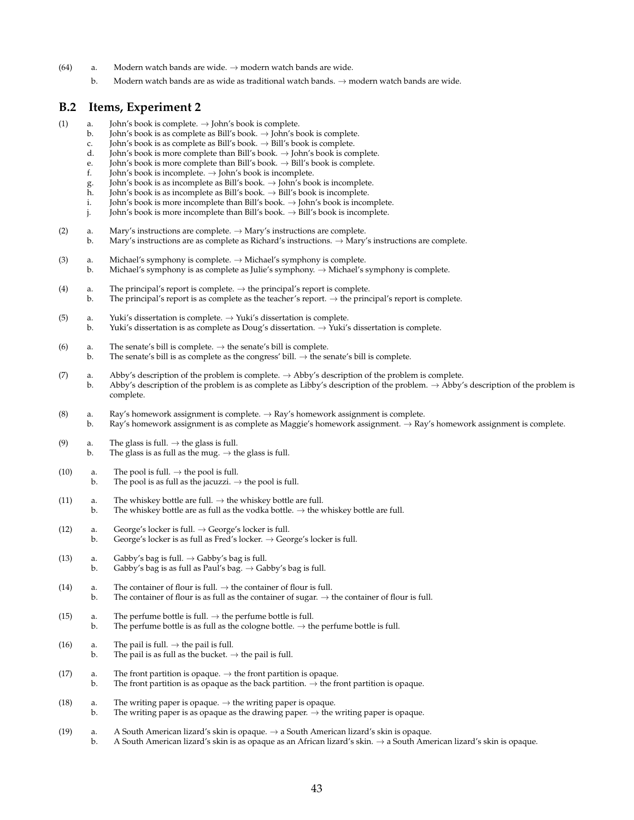- (64) a. Modern watch bands are wide.  $\rightarrow$  modern watch bands are wide.
	- b. Modern watch bands are as wide as traditional watch bands.  $\rightarrow$  modern watch bands are wide.

#### **B.2 Items, Experiment 2**

- (1) a. John's book is complete.  $\rightarrow$  John's book is complete.
	- b. John's book is as complete as Bill's book.  $\rightarrow$  John's book is complete.
	- c. John's book is as complete as Bill's book.  $\rightarrow$  Bill's book is complete.<br>d. John's book is more complete than Bill's book.  $\rightarrow$  John's book is con
	- John's book is more complete than Bill's book.  $\rightarrow$  John's book is complete.
	- e. John's book is more complete than Bill's book.  $\rightarrow$  Bill's book is complete.
	- f. John's book is incomplete.  $\rightarrow$  John's book is incomplete.
	- g. John's book is as incomplete as Bill's book.  $\rightarrow$  John's book is incomplete.<br>
	h. John's book is as incomplete as Bill's book.  $\rightarrow$  Bill's book is incomplete.
	- John's book is as incomplete as Bill's book.  $\rightarrow$  Bill's book is incomplete.
	- i. John's book is more incomplete than Bill's book.  $\rightarrow$  John's book is incomplete.
	- j. John's book is more incomplete than Bill's book.  $\rightarrow$  Bill's book is incomplete.
- (2) a. Mary's instructions are complete.  $\rightarrow$  Mary's instructions are complete.
	- b. Mary's instructions are as complete as Richard's instructions.  $\rightarrow$  Mary's instructions are complete.
- (3) a. Michael's symphony is complete.  $\rightarrow$  Michael's symphony is complete. b. Michael's symphony is as complete as Julie's symphony.  $\rightarrow$  Michael's symphony is complete.
- (4) a. The principal's report is complete.  $\rightarrow$  the principal's report is complete. b. The principal's report is as complete as the teacher's report.  $\rightarrow$  the principal's report is complete.
- (5) a. Yuki's dissertation is complete.  $\rightarrow$  Yuki's dissertation is complete. b. Yuki's dissertation is as complete as Doug's dissertation.  $\rightarrow$  Yuki's dissertation is complete.
- (6) a. The senate's bill is complete.  $\rightarrow$  the senate's bill is complete. b. The senate's bill is as complete as the congress' bill.  $\rightarrow$  the senate's bill is complete.
- (7) a. Abby's description of the problem is complete.  $\rightarrow$  Abby's description of the problem is complete.<br>b. Abby's description of the problem is as complete as Libby's description of the problem.  $\rightarrow$  Abby' Abby's description of the problem is as complete as Libby's description of the problem.  $\rightarrow$  Abby's description of the problem is complete.
- (8) a. Ray's homework assignment is complete.  $\rightarrow$  Ray's homework assignment is complete. b. Ray's homework assignment is as complete as Maggie's homework assignment.  $\rightarrow$  Ray's homework assignment is complete.
- (9) a. The glass is full.  $\rightarrow$  the glass is full. b. The glass is as full as the mug.  $\rightarrow$  the glass is full.
- (10) a. The pool is full.  $\rightarrow$  the pool is full. b. The pool is as full as the jacuzzi.  $\rightarrow$  the pool is full.
- (11) a. The whiskey bottle are full.  $\rightarrow$  the whiskey bottle are full. b. The whiskey bottle are as full as the vodka bottle.  $\rightarrow$  the whiskey bottle are full.
- (12) a. George's locker is full.  $\rightarrow$  George's locker is full. b. George's locker is as full as Fred's locker.  $\rightarrow$  George's locker is full.
- (13) a. Gabby's bag is full.  $\rightarrow$  Gabby's bag is full. b. Gabby's bag is as full as Paul's bag.  $\rightarrow$  Gabby's bag is full.
- (14) a. The container of flour is full.  $\rightarrow$  the container of flour is full. b. The container of flour is as full as the container of sugar.  $\rightarrow$  the container of flour is full.
- (15) a. The perfume bottle is full.  $\rightarrow$  the perfume bottle is full.<br>b. The perfume bottle is as full as the cologne bottle.  $\rightarrow$  th The perfume bottle is as full as the cologne bottle.  $\rightarrow$  the perfume bottle is full.
- (16) a. The pail is full.  $\rightarrow$  the pail is full.
	- b. The pail is as full as the bucket.  $\rightarrow$  the pail is full.
- (17) a. The front partition is opaque.  $\rightarrow$  the front partition is opaque. b. The front partition is as opaque as the back partition.  $\rightarrow$  the front partition is opaque.
- (18) a. The writing paper is opaque.  $\rightarrow$  the writing paper is opaque. b. The writing paper is as opaque as the drawing paper.  $\rightarrow$  the writing paper is opaque.
- (19) a. A South American lizard's skin is opaque.  $\rightarrow$  a South American lizard's skin is opaque. b. A South American lizard's skin is as opaque as an African lizard's skin.  $\rightarrow$  a South American lizard's skin is opaque.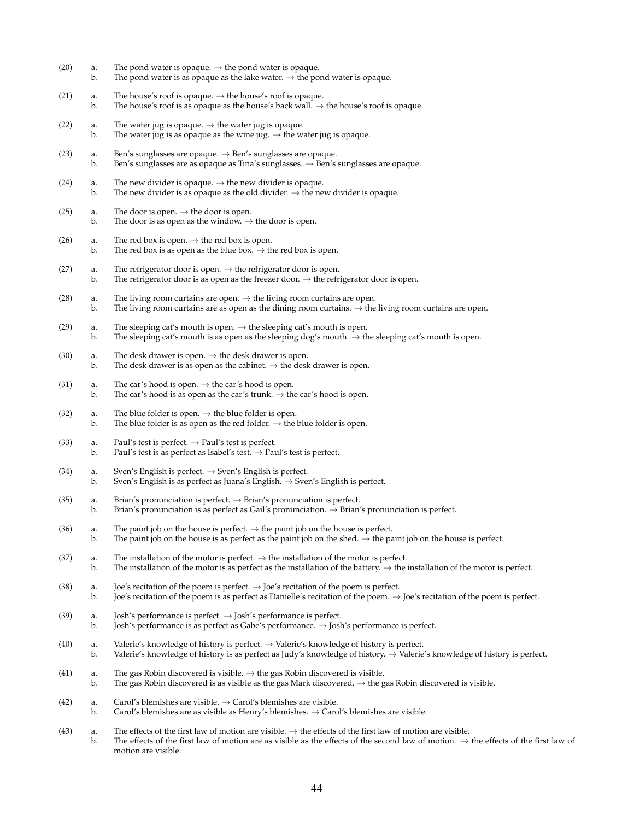| (20) | a.<br>b. | The pond water is opaque. $\rightarrow$ the pond water is opaque.<br>The pond water is as opaque as the lake water. $\rightarrow$ the pond water is opaque.                                                                                                     |
|------|----------|-----------------------------------------------------------------------------------------------------------------------------------------------------------------------------------------------------------------------------------------------------------------|
| (21) | a.<br>b. | The house's roof is opaque. $\rightarrow$ the house's roof is opaque.<br>The house's roof is as opaque as the house's back wall. $\rightarrow$ the house's roof is opaque.                                                                                      |
| (22) | a.<br>b. | The water jug is opaque. $\rightarrow$ the water jug is opaque.<br>The water jug is as opaque as the wine jug. $\rightarrow$ the water jug is opaque.                                                                                                           |
| (23) | a.<br>b. | Ben's sunglasses are opaque. $\rightarrow$ Ben's sunglasses are opaque.<br>Ben's sunglasses are as opaque as Tina's sunglasses. $\rightarrow$ Ben's sunglasses are opaque.                                                                                      |
| (24) | a.<br>b. | The new divider is opaque. $\rightarrow$ the new divider is opaque.<br>The new divider is as opaque as the old divider. $\rightarrow$ the new divider is opaque.                                                                                                |
| (25) | a.<br>b. | The door is open. $\rightarrow$ the door is open.<br>The door is as open as the window. $\rightarrow$ the door is open.                                                                                                                                         |
| (26) | a.<br>b. | The red box is open. $\rightarrow$ the red box is open.<br>The red box is as open as the blue box. $\rightarrow$ the red box is open.                                                                                                                           |
| (27) | a.<br>b. | The refrigerator door is open. $\rightarrow$ the refrigerator door is open.<br>The refrigerator door is as open as the freezer door. $\rightarrow$ the refrigerator door is open.                                                                               |
| (28) | a.<br>b. | The living room curtains are open. $\rightarrow$ the living room curtains are open.<br>The living room curtains are as open as the dining room curtains. $\rightarrow$ the living room curtains are open.                                                       |
| (29) | a.<br>b. | The sleeping cat's mouth is open. $\rightarrow$ the sleeping cat's mouth is open.<br>The sleeping cat's mouth is as open as the sleeping dog's mouth. $\rightarrow$ the sleeping cat's mouth is open.                                                           |
| (30) | a.<br>b. | The desk drawer is open. $\rightarrow$ the desk drawer is open.<br>The desk drawer is as open as the cabinet. $\rightarrow$ the desk drawer is open.                                                                                                            |
| (31) | a.<br>b. | The car's hood is open. $\rightarrow$ the car's hood is open.<br>The car's hood is as open as the car's trunk. $\rightarrow$ the car's hood is open.                                                                                                            |
| (32) | a.<br>b. | The blue folder is open. $\rightarrow$ the blue folder is open.<br>The blue folder is as open as the red folder. $\rightarrow$ the blue folder is open.                                                                                                         |
| (33) | a.<br>b. | Paul's test is perfect. $\rightarrow$ Paul's test is perfect.<br>Paul's test is as perfect as Isabel's test. $\rightarrow$ Paul's test is perfect.                                                                                                              |
| (34) | a.<br>b. | Sven's English is perfect. $\rightarrow$ Sven's English is perfect.<br>Sven's English is as perfect as Juana's English. $\rightarrow$ Sven's English is perfect.                                                                                                |
| (35) | a.<br>b. | Brian's pronunciation is perfect. $\rightarrow$ Brian's pronunciation is perfect.<br>Brian's pronunciation is as perfect as Gail's pronunciation. $\rightarrow$ Brian's pronunciation is perfect.                                                               |
| (36) | a.<br>b. | The paint job on the house is perfect. $\rightarrow$ the paint job on the house is perfect.<br>The paint job on the house is as perfect as the paint job on the shed. $\rightarrow$ the paint job on the house is perfect.                                      |
| (37) | a.<br>b. | The installation of the motor is perfect. $\rightarrow$ the installation of the motor is perfect.<br>The installation of the motor is as perfect as the installation of the battery. $\rightarrow$ the installation of the motor is perfect.                    |
| (38) | a.<br>b. | Joe's recitation of the poem is perfect. $\rightarrow$ Joe's recitation of the poem is perfect.<br>Joe's recitation of the poem is as perfect as Danielle's recitation of the poem. $\rightarrow$ Joe's recitation of the poem is perfect.                      |
| (39) | a.<br>b. | Josh's performance is perfect. $\rightarrow$ Josh's performance is perfect.<br>Josh's performance is as perfect as Gabe's performance. $\rightarrow$ Josh's performance is perfect.                                                                             |
| (40) | a.<br>b. | Valerie's knowledge of history is perfect. $\rightarrow$ Valerie's knowledge of history is perfect.<br>Valerie's knowledge of history is as perfect as Judy's knowledge of history. $\rightarrow$ Valerie's knowledge of history is perfect.                    |
| (41) | a.<br>b. | The gas Robin discovered is visible. $\rightarrow$ the gas Robin discovered is visible.<br>The gas Robin discovered is as visible as the gas Mark discovered. $\rightarrow$ the gas Robin discovered is visible.                                                |
| (42) | a.<br>b. | Carol's blemishes are visible. $\rightarrow$ Carol's blemishes are visible.<br>Carol's blemishes are as visible as Henry's blemishes. $\rightarrow$ Carol's blemishes are visible.                                                                              |
| (43) | a.<br>h  | The effects of the first law of motion are visible. $\rightarrow$ the effects of the first law of motion are visible.<br>The effects of the first law of motion are as visible as the effects of the second law of motion $\rightarrow$ the effects of the firs |

b. The effects of the first law of motion are as visible as the effects of the second law of motion.  $\rightarrow$  the effects of the first law of motion are visible.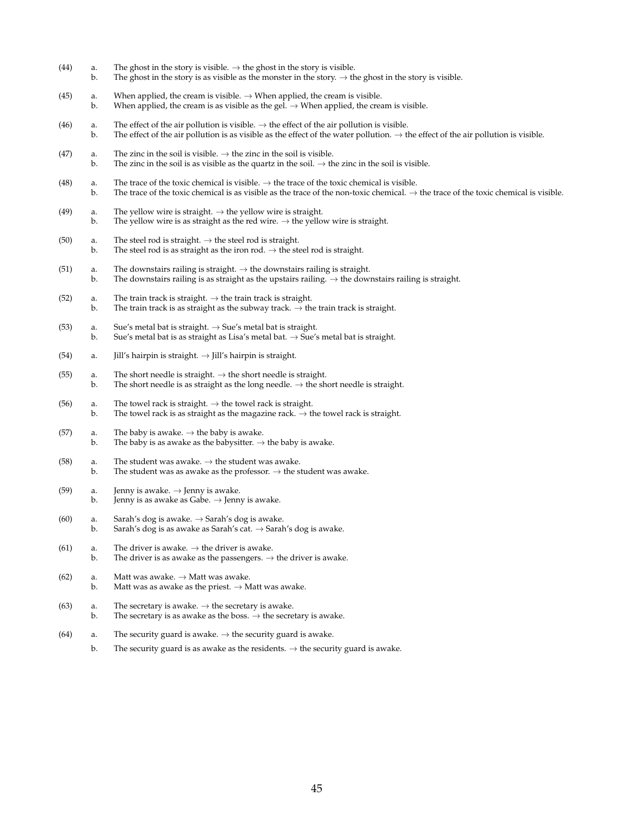- (44) a. The ghost in the story is visible.  $\rightarrow$  the ghost in the story is visible. b. The ghost in the story is as visible as the monster in the story.  $\rightarrow$  the ghost in the story is visible.
- (45) a. When applied, the cream is visible.  $\rightarrow$  When applied, the cream is visible. b. When applied, the cream is as visible as the gel.  $\rightarrow$  When applied, the cream is visible.
- (46) a. The effect of the air pollution is visible.  $\rightarrow$  the effect of the air pollution is visible. b. The effect of the air pollution is as visible as the effect of the water pollution.  $\rightarrow$  the effect of the air pollution is visible.
- (47) a. The zinc in the soil is visible.  $\rightarrow$  the zinc in the soil is visible. b. The zinc in the soil is as visible as the quartz in the soil.  $\rightarrow$  the zinc in the soil is visible.
- (48) a. The trace of the toxic chemical is visible.  $\rightarrow$  the trace of the toxic chemical is visible. b. The trace of the toxic chemical is as visible as the trace of the non-toxic chemical.  $\rightarrow$  the trace of the toxic chemical is visible.
- (49) a. The yellow wire is straight.  $\rightarrow$  the yellow wire is straight.<br>b. The yellow wire is as straight as the red wire.  $\rightarrow$  the yellow The yellow wire is as straight as the red wire.  $\rightarrow$  the yellow wire is straight.
- (50) a. The steel rod is straight.  $\rightarrow$  the steel rod is straight. b. The steel rod is as straight as the iron rod.  $\rightarrow$  the steel rod is straight.
- (51) a. The downstairs railing is straight.  $\rightarrow$  the downstairs railing is straight.<br>b. The downstairs railing is as straight as the upstairs railing.  $\rightarrow$  the down The downstairs railing is as straight as the upstairs railing.  $\rightarrow$  the downstairs railing is straight.
- (52) a. The train track is straight.  $\rightarrow$  the train track is straight. b. The train track is as straight as the subway track.  $\rightarrow$  the train track is straight.
- (53) a. Sue's metal bat is straight.  $\rightarrow$  Sue's metal bat is straight. b. Sue's metal bat is as straight as Lisa's metal bat.  $\rightarrow$  Sue's metal bat is straight.
- (54) a. Jill's hairpin is straight.  $\rightarrow$  Jill's hairpin is straight.
- (55) a. The short needle is straight.  $\rightarrow$  the short needle is straight. b. The short needle is as straight as the long needle.  $\rightarrow$  the short needle is straight.
- (56) a. The towel rack is straight.  $\rightarrow$  the towel rack is straight. b. The towel rack is as straight as the magazine rack.  $\rightarrow$  the towel rack is straight.
- (57) a. The baby is awake.  $\rightarrow$  the baby is awake.<br>b. The baby is as awake as the baby sitter.  $\rightarrow$ The baby is as awake as the babysitter.  $\rightarrow$  the baby is awake.
- (58) a. The student was awake.  $\rightarrow$  the student was awake. b. The student was as awake as the professor.  $\rightarrow$  the student was awake.
- (59) a. Jenny is awake.  $\rightarrow$  Jenny is awake. b. Jenny is as awake as Gabe.  $\rightarrow$  Jenny is awake.
- (60) a. Sarah's dog is awake.  $\rightarrow$  Sarah's dog is awake. b. Sarah's dog is as awake as Sarah's cat.  $\rightarrow$  Sarah's dog is awake.
- (61) a. The driver is awake.  $\rightarrow$  the driver is awake.<br>b. The driver is as awake as the passengers.  $\rightarrow$ The driver is as awake as the passengers.  $\rightarrow$  the driver is awake.
- (62) a. Matt was awake.  $\rightarrow$  Matt was awake. b. Matt was as awake as the priest.  $\rightarrow$  Matt was awake.
- (63) a. The secretary is awake.  $\rightarrow$  the secretary is awake. b. The secretary is as awake as the boss.  $\rightarrow$  the secretary is awake.
- (64) a. The security guard is awake.  $\rightarrow$  the security guard is awake.
	- b. The security guard is as awake as the residents.  $\rightarrow$  the security guard is awake.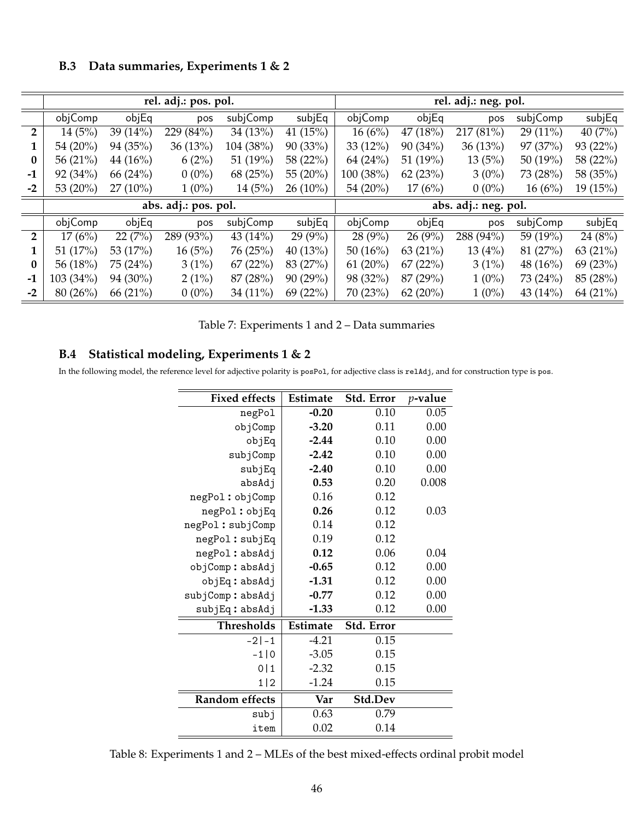## <span id="page-45-0"></span>**B.3 Data summaries, Experiments 1 & 2**

|                |             | rel. adj.: pos. pol. |                      |            |             |             |            | rel. adj.: neg. pol. |             |          |  |
|----------------|-------------|----------------------|----------------------|------------|-------------|-------------|------------|----------------------|-------------|----------|--|
|                | objComp     | objEq                | pos                  | subjComp   | subjEq      | objComp     | objEq      | pos                  | subjComp    | subjEq   |  |
| $\overline{2}$ | 14(5%)      | 39 $(14\%)$          | 229 (84%)            | 34(13%)    | 41 $(15%)$  | 16(6%)      | 47 (18%)   | 217 (81%)            | $29(11\%)$  | 40(7%)   |  |
|                | 54 $(20\%)$ | 94 (35%)             | 36 $(13%)$           | 104 (38%)  | 90(33%)     | 33 $(12\%)$ | 90(34%)    | 36(13%)              | 97 (37%)    | 93 (22%) |  |
| $\bf{0}$       | 56 $(21\%)$ | 44 $(16\%)$          | 6(2%)                | 51 $(19%)$ | 58 (22%)    | 64 (24%)    | 51 $(19%)$ | 13(5%)               | 50 $(19\%)$ | 58 (22%) |  |
| -1             | 92 (34%)    | 66 (24%)             | $0(0\%)$             | 68 (25%)   | 55 $(20\%)$ | 100 (38%)   | 62(23%)    | $3(0\%)$             | 73 (28%)    | 58 (35%) |  |
| $-2$           | 53 (20%)    | $27(10\%)$           | $1(0\%)$             | 14(5%)     | $26(10\%)$  | 54 (20%)    | 17(6%)     | $0(0\%)$             | 16(6%)      | 19 (15%) |  |
|                |             |                      | abs. adj.: pos. pol. |            |             |             |            | abs. adj.: neg. pol. |             |          |  |
|                | objComp     | objEq                | pos                  | subjComp   | subjEq      | objComp     | objEq      | pos                  | subjComp    | subjEq   |  |
| $\overline{2}$ | 17(6%)      | 22(7%)               | 289 (93%)            | 43 (14%)   | 29(9%)      | 28(9%)      | 26(9%)     | 288 (94%)            | 59 (19%)    | 24(8%)   |  |
|                | 51(17%)     | 53 (17%)             | 16(5%)               | 76(25%)    | 40(13%)     | 50 $(16\%)$ | 63(21%)    | 13(4%)               | 81(27%)     | 63(21%)  |  |
| $\bf{0}$       | 56 (18%)    | 75 (24%)             | $3(1\%)$             | 67(22%)    | 83 (27%)    | $61(20\%)$  | 67(22%)    | $3(1\%)$             | 48 (16%)    | 69(23%)  |  |
| -1             | 103 (34%)   | 94 (30%)             | $2(1\%)$             | 87 (28%)   | 90 (29%)    | 98 (32%)    | 87 (29%)   | $1(0\%)$             | 73 (24%)    | 85 (28%) |  |
| $-2$           | 80(26%)     | 66 $(21\%)$          | $0(0\%)$             | $34(11\%)$ | 69(22%)     | 70 (23%)    | 62(20%)    | $1(0\%)$             | 43 (14%)    | 64(21%)  |  |

Table 7: Experiments 1 and 2 – Data summaries

## <span id="page-45-1"></span>**B.4 Statistical modeling, Experiments 1 & 2**

In the following model, the reference level for adjective polarity is posPol, for adjective class is relAdj, and for construction type is pos.

| <b>Fixed effects</b>  | Estimate | Std. Error | $p$ -value |
|-----------------------|----------|------------|------------|
| negPol                | $-0.20$  | 0.10       | 0.05       |
| objComp               | $-3.20$  | 0.11       | 0.00       |
| objEq                 | $-2.44$  | 0.10       | 0.00       |
| subjComp              | $-2.42$  | 0.10       | 0.00       |
| subjEq                | $-2.40$  | 0.10       | 0.00       |
| absAdj                | 0.53     | 0.20       | 0.008      |
| negPol: objComp       | 0.16     | 0.12       |            |
| negPol: objEq         | 0.26     | 0.12       | 0.03       |
| negPol: subjComp      | 0.14     | 0.12       |            |
| negPol: subjEq        | 0.19     | 0.12       |            |
| negPol: absAdj        | 0.12     | 0.06       | 0.04       |
| objComp: absAdj       | $-0.65$  | 0.12       | 0.00       |
| objEq: absAdj         | $-1.31$  | 0.12       | 0.00       |
| subjComp: absAdj      | $-0.77$  | 0.12       | 0.00       |
| subjEq:absAdj         | $-1.33$  | 0.12       | 0.00       |
| <b>Thresholds</b>     | Estimate | Std. Error |            |
| $-2$  -1              | $-4.21$  | 0.15       |            |
| $-1$  0               | $-3.05$  | 0.15       |            |
| 0 1                   | $-2.32$  | 0.15       |            |
| 1 2                   | $-1.24$  | 0.15       |            |
| <b>Random effects</b> | Var      | Std.Dev    |            |
| subj                  | 0.63     | 0.79       |            |
| item                  | 0.02     | 0.14       |            |

Table 8: Experiments 1 and 2 – MLEs of the best mixed-effects ordinal probit model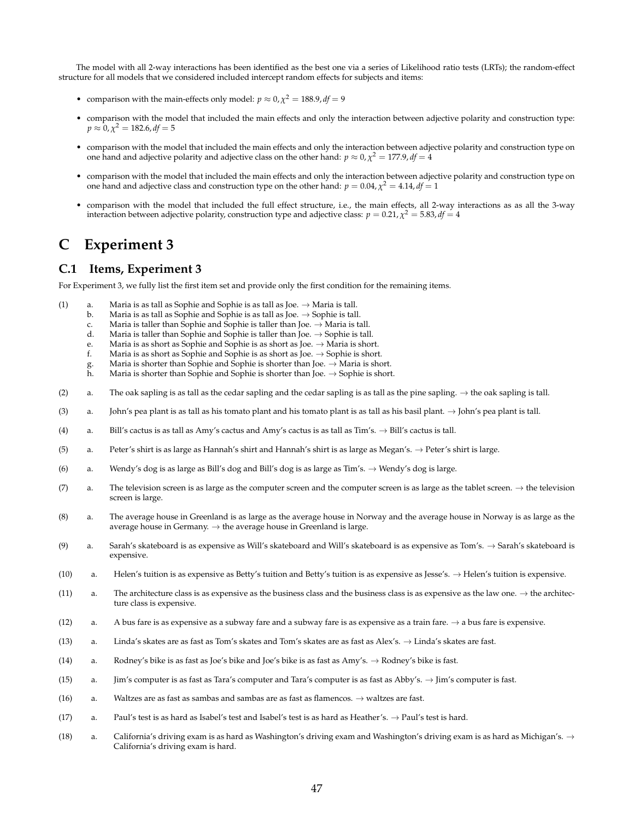The model with all 2-way interactions has been identified as the best one via a series of Likelihood ratio tests (LRTs); the random-effect structure for all models that we considered included intercept random effects for subjects and items:

- comparison with the main-effects only model:  $p \approx 0, \chi^2 = 188.9$ ,  $df = 9$
- comparison with the model that included the main effects and only the interaction between adjective polarity and construction type:  $p \approx 0, \chi^2 = 182.6$ ,  $df = 5$
- comparison with the model that included the main effects and only the interaction between adjective polarity and construction type on one hand and adjective polarity and adjective class on the other hand:  $p \approx 0$  ,  $\chi^2 = 177.9$  ,  $df = 4$
- comparison with the model that included the main effects and only the interaction between adjective polarity and construction type on one hand and adjective class and construction type on the other hand:  $p = 0.04$ ,  $\chi^2 = 4.14$ ,  $df = 1$
- comparison with the model that included the full effect structure, i.e., the main effects, all 2-way interactions as as all the 3-way interaction between adjective polarity, construction type and adjective class:  $p = 0.21$ ,  $\chi^2 = 5.83$ ,  $df = 4$

# **C Experiment 3**

#### **C.1 Items, Experiment 3**

For Experiment 3, we fully list the first item set and provide only the first condition for the remaining items.

- (1) a. Maria is as tall as Sophie and Sophie is as tall as Joe.  $\rightarrow$  Maria is tall.
	- b. Maria is as tall as Sophie and Sophie is as tall as Joe.  $\rightarrow$  Sophie is tall.
	- c. Maria is taller than Sophie and Sophie is taller than Joe.  $\rightarrow$  Maria is tall.<br>d. Maria is taller than Sophie and Sophie is taller than Ioe.  $\rightarrow$  Sophie is tall
	- Maria is taller than Sophie and Sophie is taller than Joe.  $\rightarrow$  Sophie is tall.
	- e. Maria is as short as Sophie and Sophie is as short as Joe.  $\rightarrow$  Maria is short.
	- f. Maria is as short as Sophie and Sophie is as short as Joe.  $\rightarrow$  Sophie is short.
	- g. Maria is shorter than Sophie and Sophie is shorter than Joe.  $\rightarrow$  Maria is short.
	- h. Maria is shorter than Sophie and Sophie is shorter than Joe.  $\rightarrow$  Sophie is short.
- (2) a. The oak sapling is as tall as the cedar sapling and the cedar sapling is as tall as the pine sapling.  $\rightarrow$  the oak sapling is tall.
- (3) a. John's pea plant is as tall as his tomato plant and his tomato plant is as tall as his basil plant.  $\rightarrow$  John's pea plant is tall.
- (4) a. Bill's cactus is as tall as Amy's cactus and Amy's cactus is as tall as Tim's.  $\rightarrow$  Bill's cactus is tall.
- (5) a. Peter's shirt is as large as Hannah's shirt and Hannah's shirt is as large as Megan's. → Peter's shirt is large.
- (6) a. Wendy's dog is as large as Bill's dog and Bill's dog is as large as Tim's.  $\rightarrow$  Wendy's dog is large.
- (7) a. The television screen is as large as the computer screen and the computer screen is as large as the tablet screen.  $\rightarrow$  the television screen is large.
- (8) a. The average house in Greenland is as large as the average house in Norway and the average house in Norway is as large as the average house in Germany.  $\rightarrow$  the average house in Greenland is large.
- (9) a. Sarah's skateboard is as expensive as Will's skateboard and Will's skateboard is as expensive as Tom's.  $\rightarrow$  Sarah's skateboard is expensive.
- (10) a. Helen's tuition is as expensive as Betty's tuition and Betty's tuition is as expensive as Jesse's. → Helen's tuition is expensive.
- (11) a. The architecture class is as expensive as the business class and the business class is as expensive as the law one.  $\rightarrow$  the architecture class is expensive.
- (12) a. A bus fare is as expensive as a subway fare and a subway fare is as expensive as a train fare.  $\rightarrow$  a bus fare is expensive.
- (13) a. Linda's skates are as fast as Tom's skates and Tom's skates are as fast as Alex's. → Linda's skates are fast.
- (14) a. Rodney's bike is as fast as Joe's bike and Joe's bike is as fast as Amy's.  $\rightarrow$  Rodney's bike is fast.
- (15) a. Jim's computer is as fast as Tara's computer and Tara's computer is as fast as Abby's.  $\rightarrow$  Jim's computer is fast.
- (16) a. Waltzes are as fast as sambas and sambas are as fast as flamencos.  $\rightarrow$  waltzes are fast.
- (17) a. Paul's test is as hard as Isabel's test and Isabel's test is as hard as Heather's.  $\rightarrow$  Paul's test is hard.
- (18) a. California's driving exam is as hard as Washington's driving exam and Washington's driving exam is as hard as Michigan's.  $\rightarrow$ California's driving exam is hard.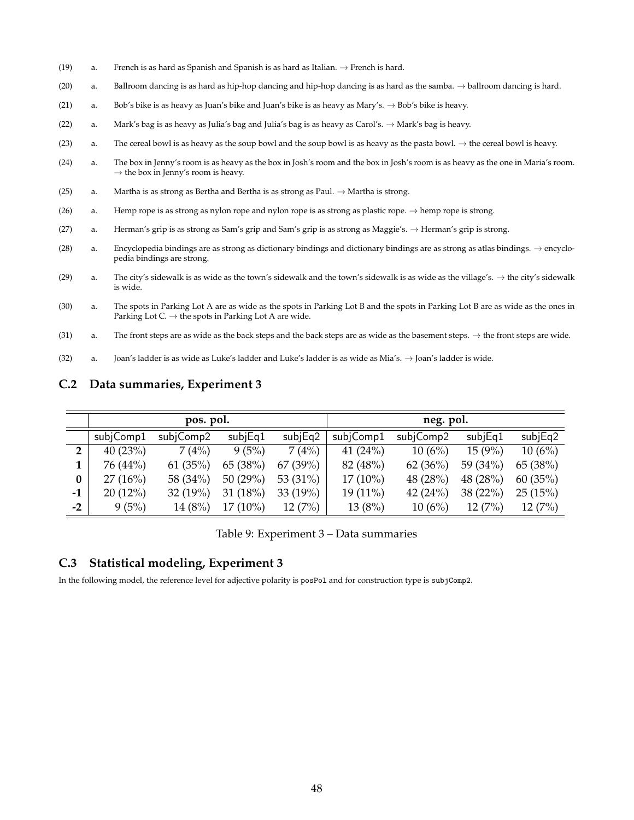- (19) a. French is as hard as Spanish and Spanish is as hard as Italian.  $\rightarrow$  French is hard.
- (20) a. Ballroom dancing is as hard as hip-hop dancing and hip-hop dancing is as hard as the samba.  $\rightarrow$  ballroom dancing is hard.
- (21) a. Bob's bike is as heavy as Juan's bike and Juan's bike is as heavy as Mary's.  $\rightarrow$  Bob's bike is heavy.
- (22) a. Mark's bag is as heavy as Julia's bag and Julia's bag is as heavy as Carol's.  $\rightarrow$  Mark's bag is heavy.
- (23) a. The cereal bowl is as heavy as the soup bowl and the soup bowl is as heavy as the pasta bowl.  $\rightarrow$  the cereal bowl is heavy.
- (24) a. The box in Jenny's room is as heavy as the box in Josh's room and the box in Josh's room is as heavy as the one in Maria's room.  $\rightarrow$  the box in Jenny's room is heavy.
- (25) a. Martha is as strong as Bertha and Bertha is as strong as Paul.  $\rightarrow$  Martha is strong.
- (26) a. Hemp rope is as strong as nylon rope and nylon rope is as strong as plastic rope.  $\rightarrow$  hemp rope is strong.
- (27) a. Herman's grip is as strong as Sam's grip and Sam's grip is as strong as Maggie's. → Herman's grip is strong.
- (28) a. Encyclopedia bindings are as strong as dictionary bindings and dictionary bindings are as strong as atlas bindings.  $\rightarrow$  encyclopedia bindings are strong.
- (29) a. The city's sidewalk is as wide as the town's sidewalk and the town's sidewalk is as wide as the village's.  $\rightarrow$  the city's sidewalk is wide.
- (30) a. The spots in Parking Lot A are as wide as the spots in Parking Lot B and the spots in Parking Lot B are as wide as the ones in Parking Lot  $C \rightarrow$  the spots in Parking Lot A are wide.
- (31) a. The front steps are as wide as the back steps and the back steps are as wide as the basement steps.  $\rightarrow$  the front steps are wide.
- (32) a. Joan's ladder is as wide as Luke's ladder and Luke's ladder is as wide as Mia's. → Joan's ladder is wide.

#### <span id="page-47-0"></span>**C.2 Data summaries, Experiment 3**

|                | pos. pol.  |           |            |            | neg. pol.  |            |          |         |
|----------------|------------|-----------|------------|------------|------------|------------|----------|---------|
|                | subjComp1  | subjComp2 | subjEq1    | subjEq2    | subjComp1  | subjComp2  | subjEq1  | subjEq2 |
| $\overline{2}$ | 40(23%)    | 7(4%)     | 9(5%)      | 7(4%)      | 41 $(24%)$ | 10(6%)     | 15(9%)   | 10(6%)  |
|                | 76 (44%)   | 61(35%)   | 65(38%)    | 67(39%)    | 82 (48%)   | 62(36%)    | 59 (34%) | 65(38%) |
| $\bf{0}$       | $27(16\%)$ | 58 (34%)  | 50 $(29%)$ | 53 (31%)   | $17(10\%)$ | 48 (28%)   | 48 (28%) | 60(35%) |
| $-1$           | 20(12%)    | 32(19%)   | 31 $(18%)$ | 33 $(19%)$ | $19(11\%)$ | 42 $(24%)$ | 38(22%)  | 25(15%) |
| $-2$           | 9(5%)      | 14(8%)    | 17 (10%)   | 12(7%)     | 13(8%)     | 10(6%)     | 12(7%)   | 12(7%)  |

Table 9: Experiment 3 – Data summaries

#### <span id="page-47-1"></span>**C.3 Statistical modeling, Experiment 3**

In the following model, the reference level for adjective polarity is posPol and for construction type is subjComp2.